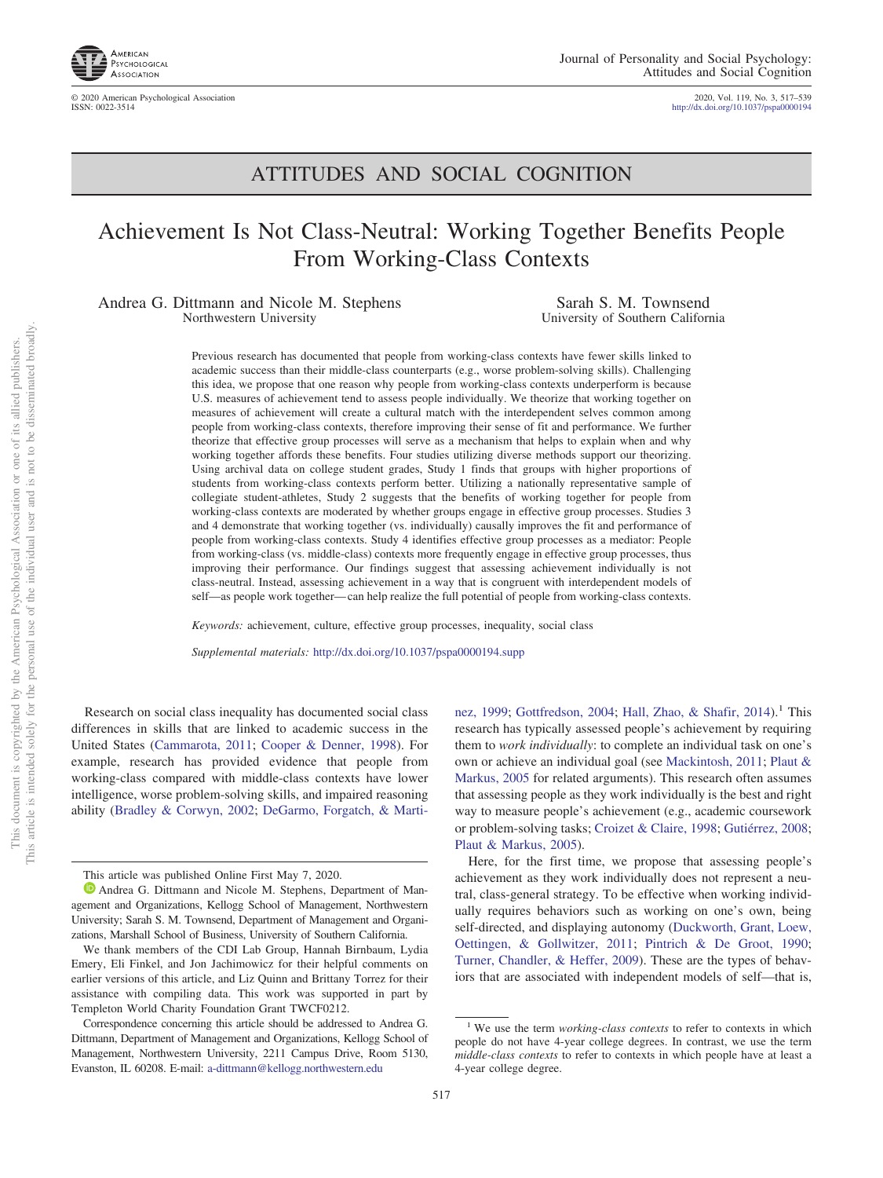

© 2020 American Psychological Association 2020, Vol. 119, No. 3, 517–539 http://dx.doi.org[/10.1037/pspa0000194](http://dx.doi.org/10.1037/pspa0000194)

## ATTITUDES AND SOCIAL COGNITION

# Achievement Is Not Class-Neutral: Working Together Benefits People From Working-Class Contexts

Andrea G. Dittmann and Nicole M. Stephens Northwestern University

Sarah S. M. Townsend University of Southern California

Previous research has documented that people from working-class contexts have fewer skills linked to academic success than their middle-class counterparts (e.g., worse problem-solving skills). Challenging this idea, we propose that one reason why people from working-class contexts underperform is because U.S. measures of achievement tend to assess people individually. We theorize that working together on measures of achievement will create a cultural match with the interdependent selves common among people from working-class contexts, therefore improving their sense of fit and performance. We further theorize that effective group processes will serve as a mechanism that helps to explain when and why working together affords these benefits. Four studies utilizing diverse methods support our theorizing. Using archival data on college student grades, Study 1 finds that groups with higher proportions of students from working-class contexts perform better. Utilizing a nationally representative sample of collegiate student-athletes, Study 2 suggests that the benefits of working together for people from working-class contexts are moderated by whether groups engage in effective group processes. Studies 3 and 4 demonstrate that working together (vs. individually) causally improves the fit and performance of people from working-class contexts. Study 4 identifies effective group processes as a mediator: People from working-class (vs. middle-class) contexts more frequently engage in effective group processes, thus improving their performance. Our findings suggest that assessing achievement individually is not class-neutral. Instead, assessing achievement in a way that is congruent with interdependent models of self—as people work together— can help realize the full potential of people from working-class contexts.

*Keywords:* achievement, culture, effective group processes, inequality, social class

*Supplemental materials:* http://dx.doi.org/10.1037/pspa0000194.supp

Research on social class inequality has documented social class differences in skills that are linked to academic success in the United States [\(Cammarota, 2011;](#page-18-0) [Cooper & Denner, 1998\)](#page-19-0). For example, research has provided evidence that people from working-class compared with middle-class contexts have lower intelligence, worse problem-solving skills, and impaired reasoning ability [\(Bradley & Corwyn, 2002;](#page-18-1) [DeGarmo, Forgatch, & Marti-](#page-19-1)

[nez, 1999;](#page-19-1) [Gottfredson, 2004;](#page-19-2) [Hall, Zhao, & Shafir, 2014\)](#page-19-3).<sup>1</sup> This research has typically assessed people's achievement by requiring them to *work individually*: to complete an individual task on one's own or achieve an individual goal (see [Mackintosh, 2011;](#page-20-0) [Plaut &](#page-21-0) [Markus, 2005](#page-21-0) for related arguments). This research often assumes that assessing people as they work individually is the best and right way to measure people's achievement (e.g., academic coursework or problem-solving tasks; [Croizet & Claire, 1998;](#page-19-4) [Gutiérrez, 2008;](#page-19-5) [Plaut & Markus, 2005\)](#page-21-0).

Here, for the first time, we propose that assessing people's achievement as they work individually does not represent a neutral, class-general strategy. To be effective when working individually requires behaviors such as working on one's own, being self-directed, and displaying autonomy [\(Duckworth, Grant, Loew,](#page-19-6) [Oettingen, & Gollwitzer, 2011;](#page-19-6) [Pintrich & De Groot, 1990;](#page-21-1) [Turner, Chandler, & Heffer, 2009\)](#page-21-2). These are the types of behaviors that are associated with independent models of self—that is,

This article was published Online First May 7, 2020.

**D** [Andrea G. Dittmann](https://orcid.org/0000-0001-8250-0276) and Nicole M. Stephens, Department of Management and Organizations, Kellogg School of Management, Northwestern University; Sarah S. M. Townsend, Department of Management and Organizations, Marshall School of Business, University of Southern California.

We thank members of the CDI Lab Group, Hannah Birnbaum, Lydia Emery, Eli Finkel, and Jon Jachimowicz for their helpful comments on earlier versions of this article, and Liz Quinn and Brittany Torrez for their assistance with compiling data. This work was supported in part by Templeton World Charity Foundation Grant TWCF0212.

Correspondence concerning this article should be addressed to Andrea G. Dittmann, Department of Management and Organizations, Kellogg School of Management, Northwestern University, 2211 Campus Drive, Room 5130, Evanston, IL 60208. E-mail: [a-dittmann@kellogg.northwestern.edu](mailto:a-dittmann@kellogg.northwestern.edu)

<sup>&</sup>lt;sup>1</sup> We use the term *working-class contexts* to refer to contexts in which people do not have 4-year college degrees. In contrast, we use the term *middle-class contexts* to refer to contexts in which people have at least a 4-year college degree.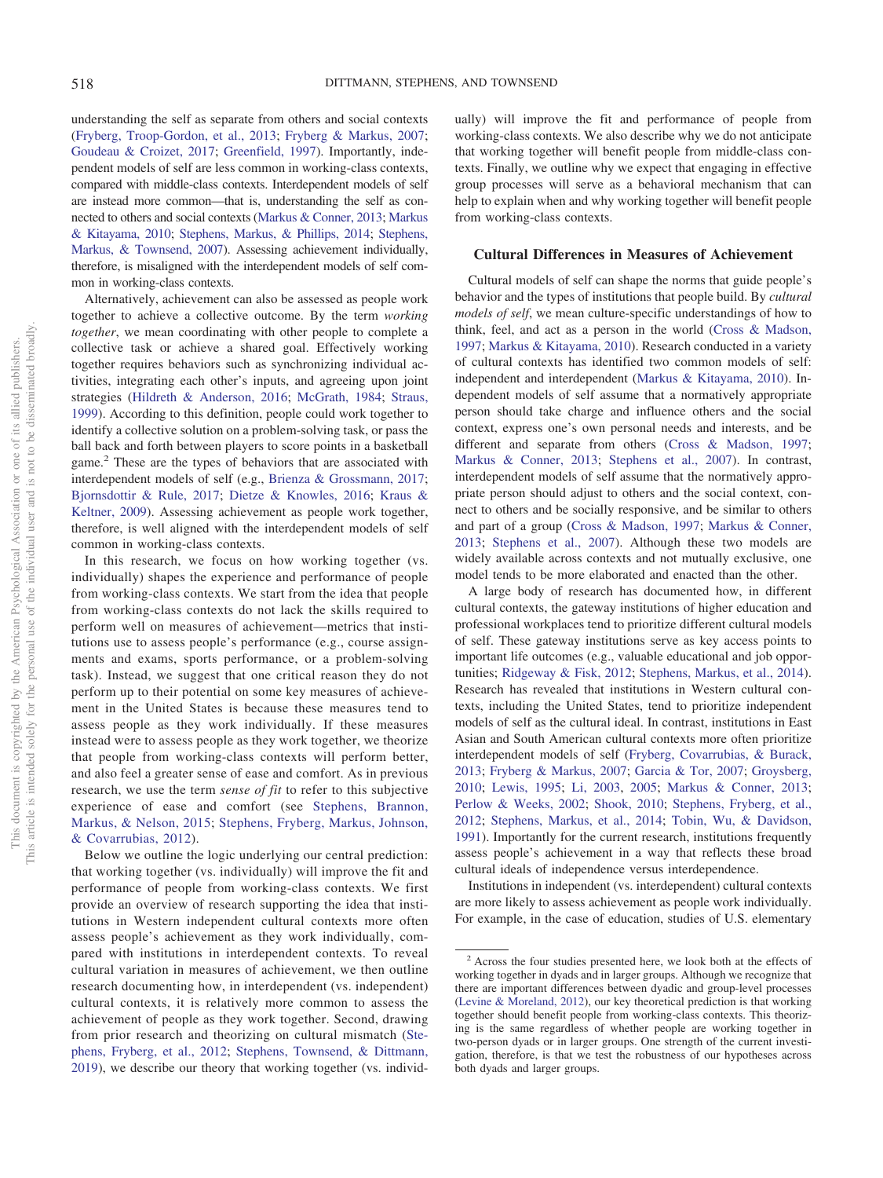understanding the self as separate from others and social contexts [\(Fryberg, Troop-Gordon, et al., 2013;](#page-19-7) [Fryberg & Markus, 2007;](#page-19-8) [Goudeau & Croizet, 2017;](#page-19-9) [Greenfield, 1997\)](#page-19-10). Importantly, independent models of self are less common in working-class contexts, compared with middle-class contexts. Interdependent models of self are instead more common—that is, understanding the self as connected to others and social contexts [\(Markus & Conner, 2013;](#page-20-1) [Markus](#page-20-2) [& Kitayama, 2010;](#page-20-2) [Stephens, Markus, & Phillips, 2014;](#page-21-3) [Stephens,](#page-21-4) [Markus, & Townsend, 2007\)](#page-21-4). Assessing achievement individually, therefore, is misaligned with the interdependent models of self common in working-class contexts.

Alternatively, achievement can also be assessed as people work together to achieve a collective outcome. By the term *working together*, we mean coordinating with other people to complete a collective task or achieve a shared goal. Effectively working together requires behaviors such as synchronizing individual activities, integrating each other's inputs, and agreeing upon joint strategies [\(Hildreth & Anderson, 2016;](#page-19-11) [McGrath, 1984;](#page-20-3) [Straus,](#page-21-5) [1999\)](#page-21-5). According to this definition, people could work together to identify a collective solution on a problem-solving task, or pass the ball back and forth between players to score points in a basketball game.<sup>2</sup> These are the types of behaviors that are associated with interdependent models of self (e.g., [Brienza & Grossmann, 2017;](#page-18-2) [Bjornsdottir & Rule, 2017;](#page-18-3) [Dietze & Knowles, 2016;](#page-19-12) [Kraus &](#page-20-4) [Keltner, 2009\)](#page-20-4). Assessing achievement as people work together, therefore, is well aligned with the interdependent models of self common in working-class contexts.

In this research, we focus on how working together (vs. individually) shapes the experience and performance of people from working-class contexts. We start from the idea that people from working-class contexts do not lack the skills required to perform well on measures of achievement—metrics that institutions use to assess people's performance (e.g., course assignments and exams, sports performance, or a problem-solving task). Instead, we suggest that one critical reason they do not perform up to their potential on some key measures of achievement in the United States is because these measures tend to assess people as they work individually. If these measures instead were to assess people as they work together, we theorize that people from working-class contexts will perform better, and also feel a greater sense of ease and comfort. As in previous research, we use the term *sense of fit* to refer to this subjective experience of ease and comfort (see [Stephens, Brannon,](#page-21-6) [Markus, & Nelson, 2015;](#page-21-6) [Stephens, Fryberg, Markus, Johnson,](#page-21-7) [& Covarrubias, 2012\)](#page-21-7).

Below we outline the logic underlying our central prediction: that working together (vs. individually) will improve the fit and performance of people from working-class contexts. We first provide an overview of research supporting the idea that institutions in Western independent cultural contexts more often assess people's achievement as they work individually, compared with institutions in interdependent contexts. To reveal cultural variation in measures of achievement, we then outline research documenting how, in interdependent (vs. independent) cultural contexts, it is relatively more common to assess the achievement of people as they work together. Second, drawing from prior research and theorizing on cultural mismatch [\(Ste](#page-21-7)[phens, Fryberg, et al., 2012;](#page-21-7) [Stephens, Townsend, & Dittmann,](#page-21-8) [2019\)](#page-21-8), we describe our theory that working together (vs. individually) will improve the fit and performance of people from working-class contexts. We also describe why we do not anticipate that working together will benefit people from middle-class contexts. Finally, we outline why we expect that engaging in effective group processes will serve as a behavioral mechanism that can help to explain when and why working together will benefit people from working-class contexts.

#### **Cultural Differences in Measures of Achievement**

Cultural models of self can shape the norms that guide people's behavior and the types of institutions that people build. By *cultural models of self*, we mean culture-specific understandings of how to think, feel, and act as a person in the world [\(Cross & Madson,](#page-19-13) [1997;](#page-19-13) [Markus & Kitayama, 2010\)](#page-20-2). Research conducted in a variety of cultural contexts has identified two common models of self: independent and interdependent [\(Markus & Kitayama, 2010\)](#page-20-2). Independent models of self assume that a normatively appropriate person should take charge and influence others and the social context, express one's own personal needs and interests, and be different and separate from others [\(Cross & Madson, 1997;](#page-19-13) [Markus & Conner, 2013;](#page-20-1) [Stephens et al., 2007\)](#page-21-4). In contrast, interdependent models of self assume that the normatively appropriate person should adjust to others and the social context, connect to others and be socially responsive, and be similar to others and part of a group [\(Cross & Madson, 1997;](#page-19-13) [Markus & Conner,](#page-20-1) [2013;](#page-20-1) [Stephens et al., 2007\)](#page-21-4). Although these two models are widely available across contexts and not mutually exclusive, one model tends to be more elaborated and enacted than the other.

A large body of research has documented how, in different cultural contexts, the gateway institutions of higher education and professional workplaces tend to prioritize different cultural models of self. These gateway institutions serve as key access points to important life outcomes (e.g., valuable educational and job opportunities; [Ridgeway & Fisk, 2012;](#page-21-9) [Stephens, Markus, et al., 2014\)](#page-21-3). Research has revealed that institutions in Western cultural contexts, including the United States, tend to prioritize independent models of self as the cultural ideal. In contrast, institutions in East Asian and South American cultural contexts more often prioritize interdependent models of self [\(Fryberg, Covarrubias, & Burack,](#page-19-14) [2013;](#page-19-14) [Fryberg & Markus, 2007;](#page-19-8) [Garcia & Tor, 2007;](#page-19-15) [Groysberg,](#page-19-16) [2010;](#page-19-16) [Lewis, 1995;](#page-20-5) [Li, 2003,](#page-20-6) [2005;](#page-20-7) [Markus & Conner, 2013;](#page-20-1) [Perlow & Weeks, 2002;](#page-21-10) [Shook, 2010;](#page-21-11) [Stephens, Fryberg, et al.,](#page-21-7) [2012;](#page-21-7) [Stephens, Markus, et al., 2014;](#page-21-3) [Tobin, Wu, & Davidson,](#page-21-12) [1991\)](#page-21-12). Importantly for the current research, institutions frequently assess people's achievement in a way that reflects these broad cultural ideals of independence versus interdependence.

Institutions in independent (vs. interdependent) cultural contexts are more likely to assess achievement as people work individually. For example, in the case of education, studies of U.S. elementary

<sup>2</sup> Across the four studies presented here, we look both at the effects of working together in dyads and in larger groups. Although we recognize that there are important differences between dyadic and group-level processes [\(Levine & Moreland, 2012\)](#page-20-8), our key theoretical prediction is that working together should benefit people from working-class contexts. This theorizing is the same regardless of whether people are working together in two-person dyads or in larger groups. One strength of the current investigation, therefore, is that we test the robustness of our hypotheses across both dyads and larger groups.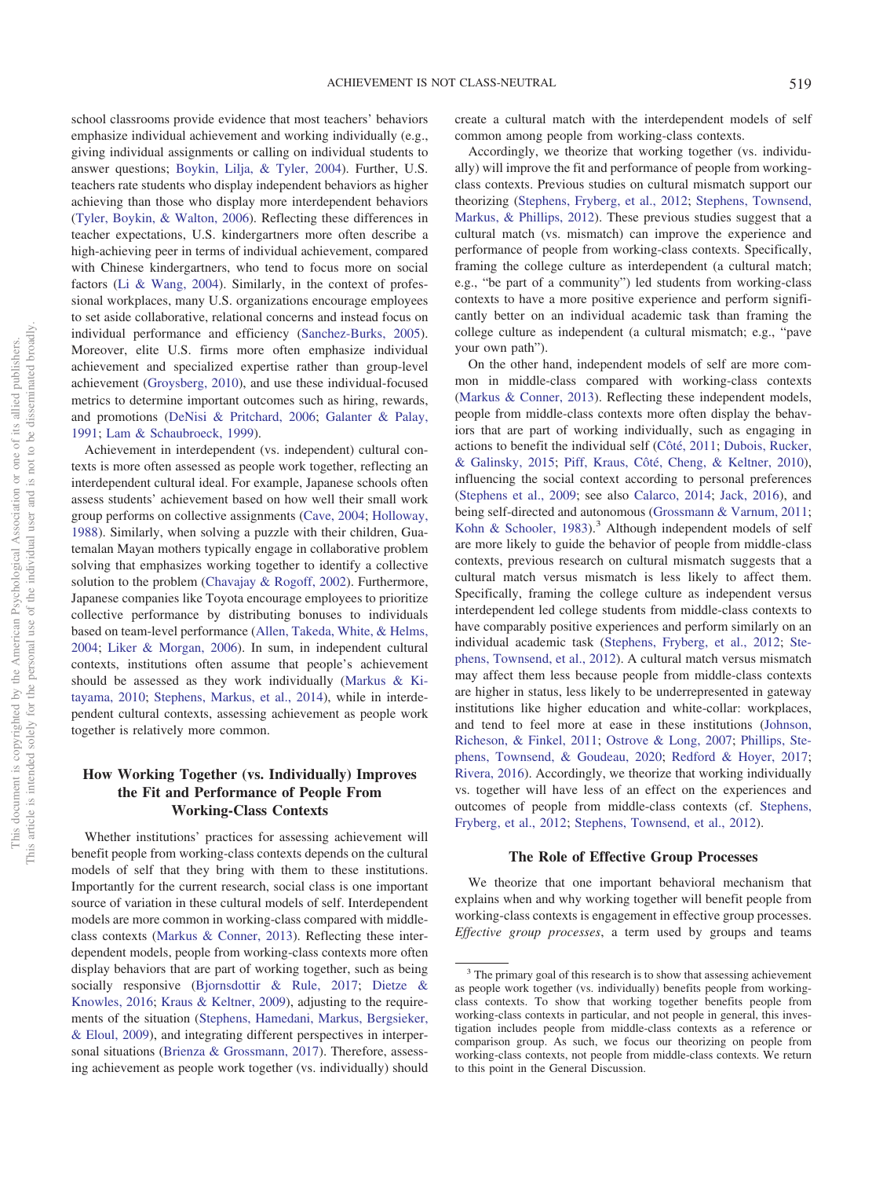school classrooms provide evidence that most teachers' behaviors emphasize individual achievement and working individually (e.g., giving individual assignments or calling on individual students to answer questions; [Boykin, Lilja, & Tyler, 2004\)](#page-18-4). Further, U.S. teachers rate students who display independent behaviors as higher achieving than those who display more interdependent behaviors [\(Tyler, Boykin, & Walton, 2006\)](#page-21-13). Reflecting these differences in teacher expectations, U.S. kindergartners more often describe a high-achieving peer in terms of individual achievement, compared with Chinese kindergartners, who tend to focus more on social factors [\(Li & Wang, 2004\)](#page-20-9). Similarly, in the context of professional workplaces, many U.S. organizations encourage employees to set aside collaborative, relational concerns and instead focus on individual performance and efficiency [\(Sanchez-Burks, 2005\)](#page-21-14). Moreover, elite U.S. firms more often emphasize individual achievement and specialized expertise rather than group-level achievement [\(Groysberg, 2010\)](#page-19-16), and use these individual-focused metrics to determine important outcomes such as hiring, rewards, and promotions [\(DeNisi & Pritchard, 2006;](#page-19-17) [Galanter & Palay,](#page-19-18) [1991;](#page-19-18) [Lam & Schaubroeck, 1999\)](#page-20-10).

Achievement in interdependent (vs. independent) cultural contexts is more often assessed as people work together, reflecting an interdependent cultural ideal. For example, Japanese schools often assess students' achievement based on how well their small work group performs on collective assignments [\(Cave, 2004;](#page-18-5) [Holloway,](#page-20-11) [1988\)](#page-20-11). Similarly, when solving a puzzle with their children, Guatemalan Mayan mothers typically engage in collaborative problem solving that emphasizes working together to identify a collective solution to the problem [\(Chavajay & Rogoff, 2002\)](#page-18-6). Furthermore, Japanese companies like Toyota encourage employees to prioritize collective performance by distributing bonuses to individuals based on team-level performance [\(Allen, Takeda, White, & Helms,](#page-18-7) [2004;](#page-18-7) [Liker & Morgan, 2006\)](#page-20-12). In sum, in independent cultural contexts, institutions often assume that people's achievement should be assessed as they work individually [\(Markus & Ki](#page-20-2)[tayama, 2010;](#page-20-2) [Stephens, Markus, et al., 2014\)](#page-21-3), while in interdependent cultural contexts, assessing achievement as people work together is relatively more common.

## **How Working Together (vs. Individually) Improves the Fit and Performance of People From Working-Class Contexts**

Whether institutions' practices for assessing achievement will benefit people from working-class contexts depends on the cultural models of self that they bring with them to these institutions. Importantly for the current research, social class is one important source of variation in these cultural models of self. Interdependent models are more common in working-class compared with middleclass contexts [\(Markus & Conner, 2013\)](#page-20-1). Reflecting these interdependent models, people from working-class contexts more often display behaviors that are part of working together, such as being socially responsive [\(Bjornsdottir & Rule, 2017;](#page-18-3) [Dietze &](#page-19-12) [Knowles, 2016;](#page-19-12) [Kraus & Keltner, 2009\)](#page-20-4), adjusting to the requirements of the situation [\(Stephens, Hamedani, Markus, Bergsieker,](#page-21-15) [& Eloul, 2009\)](#page-21-15), and integrating different perspectives in interpersonal situations [\(Brienza & Grossmann, 2017\)](#page-18-2). Therefore, assessing achievement as people work together (vs. individually) should create a cultural match with the interdependent models of self common among people from working-class contexts.

Accordingly, we theorize that working together (vs. individually) will improve the fit and performance of people from workingclass contexts. Previous studies on cultural mismatch support our theorizing [\(Stephens, Fryberg, et al., 2012;](#page-21-7) [Stephens, Townsend,](#page-21-16) [Markus, & Phillips, 2012\)](#page-21-16). These previous studies suggest that a cultural match (vs. mismatch) can improve the experience and performance of people from working-class contexts. Specifically, framing the college culture as interdependent (a cultural match; e.g., "be part of a community") led students from working-class contexts to have a more positive experience and perform significantly better on an individual academic task than framing the college culture as independent (a cultural mismatch; e.g., "pave your own path").

On the other hand, independent models of self are more common in middle-class compared with working-class contexts [\(Markus & Conner, 2013\)](#page-20-1). Reflecting these independent models, people from middle-class contexts more often display the behaviors that are part of working individually, such as engaging in actions to benefit the individual self [\(Côté, 2011;](#page-19-19) [Dubois, Rucker,](#page-19-20) [& Galinsky, 2015;](#page-19-20) [Piff, Kraus, Côté, Cheng, & Keltner, 2010\)](#page-21-17), influencing the social context according to personal preferences [\(Stephens et al., 2009;](#page-21-15) see also [Calarco, 2014;](#page-18-8) [Jack, 2016\)](#page-20-13), and being self-directed and autonomous [\(Grossmann & Varnum, 2011;](#page-19-21) [Kohn & Schooler, 1983\)](#page-20-14).<sup>3</sup> Although independent models of self are more likely to guide the behavior of people from middle-class contexts, previous research on cultural mismatch suggests that a cultural match versus mismatch is less likely to affect them. Specifically, framing the college culture as independent versus interdependent led college students from middle-class contexts to have comparably positive experiences and perform similarly on an individual academic task [\(Stephens, Fryberg, et al., 2012;](#page-21-7) [Ste](#page-21-16)[phens, Townsend, et al., 2012\)](#page-21-16). A cultural match versus mismatch may affect them less because people from middle-class contexts are higher in status, less likely to be underrepresented in gateway institutions like higher education and white-collar: workplaces, and tend to feel more at ease in these institutions [\(Johnson,](#page-20-15) [Richeson, & Finkel, 2011;](#page-20-15) [Ostrove & Long, 2007;](#page-20-16) [Phillips, Ste](#page-21-18)[phens, Townsend, & Goudeau, 2020;](#page-21-18) [Redford & Hoyer, 2017;](#page-21-19) [Rivera, 2016\)](#page-21-20). Accordingly, we theorize that working individually vs. together will have less of an effect on the experiences and outcomes of people from middle-class contexts (cf. [Stephens,](#page-21-7) [Fryberg, et al., 2012;](#page-21-7) [Stephens, Townsend, et al., 2012\)](#page-21-16).

#### **The Role of Effective Group Processes**

We theorize that one important behavioral mechanism that explains when and why working together will benefit people from working-class contexts is engagement in effective group processes. *Effective group processes*, a term used by groups and teams

<sup>&</sup>lt;sup>3</sup> The primary goal of this research is to show that assessing achievement as people work together (vs. individually) benefits people from workingclass contexts. To show that working together benefits people from working-class contexts in particular, and not people in general, this investigation includes people from middle-class contexts as a reference or comparison group. As such, we focus our theorizing on people from working-class contexts, not people from middle-class contexts. We return to this point in the General Discussion.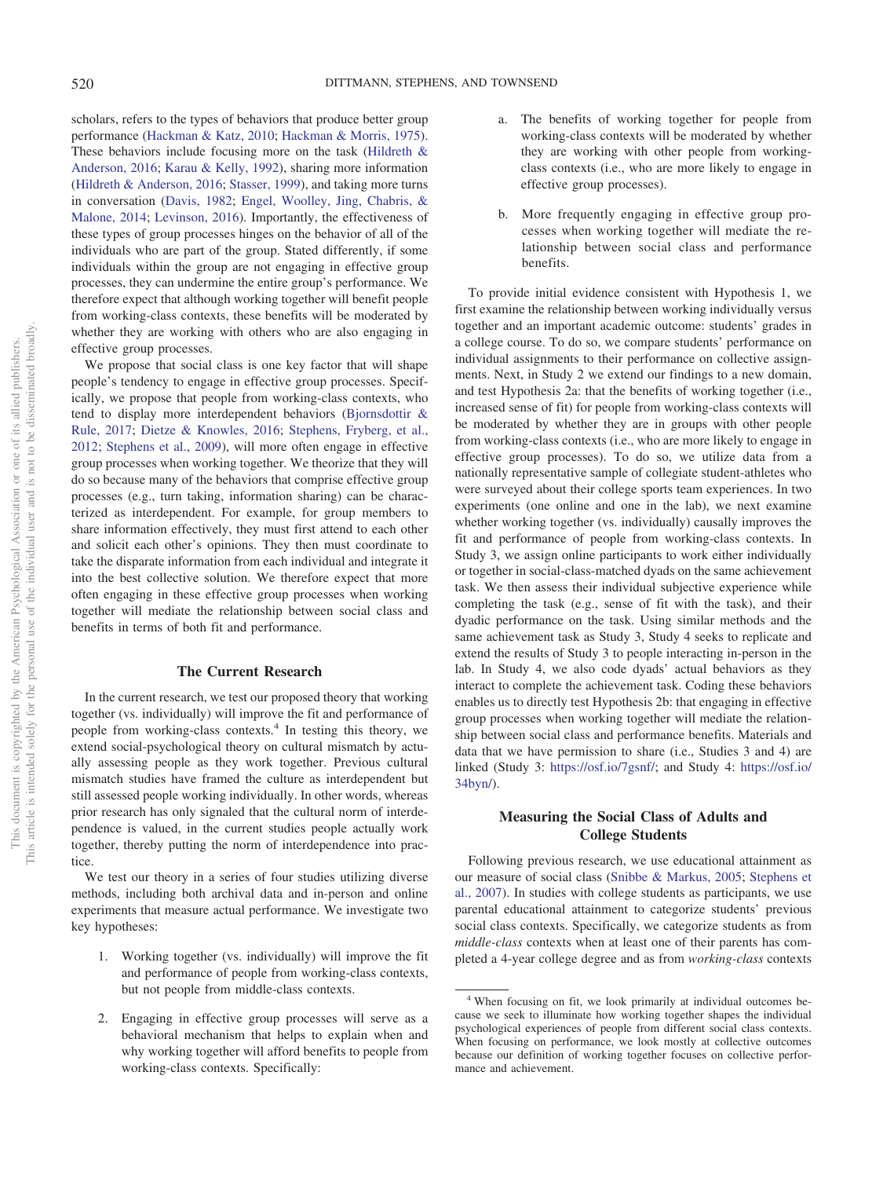scholars, refers to the types of behaviors that produce better group performance [\(Hackman & Katz, 2010;](#page-19-22) [Hackman & Morris, 1975\)](#page-19-23). These behaviors include focusing more on the task [\(Hildreth &](#page-19-11) [Anderson, 2016;](#page-19-11) [Karau & Kelly, 1992\)](#page-20-17), sharing more information [\(Hildreth & Anderson, 2016;](#page-19-11) [Stasser, 1999\)](#page-21-21), and taking more turns in conversation [\(Davis, 1982;](#page-19-24) [Engel, Woolley, Jing, Chabris, &](#page-19-25) [Malone, 2014;](#page-19-25) [Levinson, 2016\)](#page-20-18). Importantly, the effectiveness of these types of group processes hinges on the behavior of all of the individuals who are part of the group. Stated differently, if some individuals within the group are not engaging in effective group processes, they can undermine the entire group's performance. We therefore expect that although working together will benefit people from working-class contexts, these benefits will be moderated by whether they are working with others who are also engaging in effective group processes.

We propose that social class is one key factor that will shape people's tendency to engage in effective group processes. Specifically, we propose that people from working-class contexts, who tend to display more interdependent behaviors [\(Bjornsdottir &](#page-18-3) [Rule, 2017;](#page-18-3) [Dietze & Knowles, 2016;](#page-19-12) [Stephens, Fryberg, et al.,](#page-21-7) [2012;](#page-21-7) [Stephens et al., 2009\)](#page-21-15), will more often engage in effective group processes when working together. We theorize that they will do so because many of the behaviors that comprise effective group processes (e.g., turn taking, information sharing) can be characterized as interdependent. For example, for group members to share information effectively, they must first attend to each other and solicit each other's opinions. They then must coordinate to take the disparate information from each individual and integrate it into the best collective solution. We therefore expect that more often engaging in these effective group processes when working together will mediate the relationship between social class and benefits in terms of both fit and performance.

## **The Current Research**

In the current research, we test our proposed theory that working together (vs. individually) will improve the fit and performance of people from working-class contexts.4 In testing this theory, we extend social-psychological theory on cultural mismatch by actually assessing people as they work together. Previous cultural mismatch studies have framed the culture as interdependent but still assessed people working individually. In other words, whereas prior research has only signaled that the cultural norm of interdependence is valued, in the current studies people actually work together, thereby putting the norm of interdependence into practice.

We test our theory in a series of four studies utilizing diverse methods, including both archival data and in-person and online experiments that measure actual performance. We investigate two key hypotheses:

- 1. Working together (vs. individually) will improve the fit and performance of people from working-class contexts, but not people from middle-class contexts.
- 2. Engaging in effective group processes will serve as a behavioral mechanism that helps to explain when and why working together will afford benefits to people from working-class contexts. Specifically:
- a. The benefits of working together for people from working-class contexts will be moderated by whether they are working with other people from workingclass contexts (i.e., who are more likely to engage in effective group processes).
- b. More frequently engaging in effective group processes when working together will mediate the relationship between social class and performance benefits.

To provide initial evidence consistent with Hypothesis 1, we first examine the relationship between working individually versus together and an important academic outcome: students' grades in a college course. To do so, we compare students' performance on individual assignments to their performance on collective assignments. Next, in Study 2 we extend our findings to a new domain, and test Hypothesis 2a: that the benefits of working together (i.e., increased sense of fit) for people from working-class contexts will be moderated by whether they are in groups with other people from working-class contexts (i.e., who are more likely to engage in effective group processes). To do so, we utilize data from a nationally representative sample of collegiate student-athletes who were surveyed about their college sports team experiences. In two experiments (one online and one in the lab), we next examine whether working together (vs. individually) causally improves the fit and performance of people from working-class contexts. In Study 3, we assign online participants to work either individually or together in social-class-matched dyads on the same achievement task. We then assess their individual subjective experience while completing the task (e.g., sense of fit with the task), and their dyadic performance on the task. Using similar methods and the same achievement task as Study 3, Study 4 seeks to replicate and extend the results of Study 3 to people interacting in-person in the lab. In Study 4, we also code dyads' actual behaviors as they interact to complete the achievement task. Coding these behaviors enables us to directly test Hypothesis 2b: that engaging in effective group processes when working together will mediate the relationship between social class and performance benefits. Materials and data that we have permission to share (i.e., Studies 3 and 4) are linked (Study 3: [https://osf.io/7gsnf/;](https://osf.io/7gsnf/) and Study 4: [https://osf.io/](https://osf.io/34byn/) [34byn/\)](https://osf.io/34byn/).

## **Measuring the Social Class of Adults and College Students**

Following previous research, we use educational attainment as our measure of social class [\(Snibbe & Markus, 2005;](#page-21-22) [Stephens et](#page-21-4) [al., 2007\)](#page-21-4). In studies with college students as participants, we use parental educational attainment to categorize students' previous social class contexts. Specifically, we categorize students as from *middle-class* contexts when at least one of their parents has completed a 4-year college degree and as from *working-class* contexts

<sup>4</sup> When focusing on fit, we look primarily at individual outcomes because we seek to illuminate how working together shapes the individual psychological experiences of people from different social class contexts. When focusing on performance, we look mostly at collective outcomes because our definition of working together focuses on collective performance and achievement.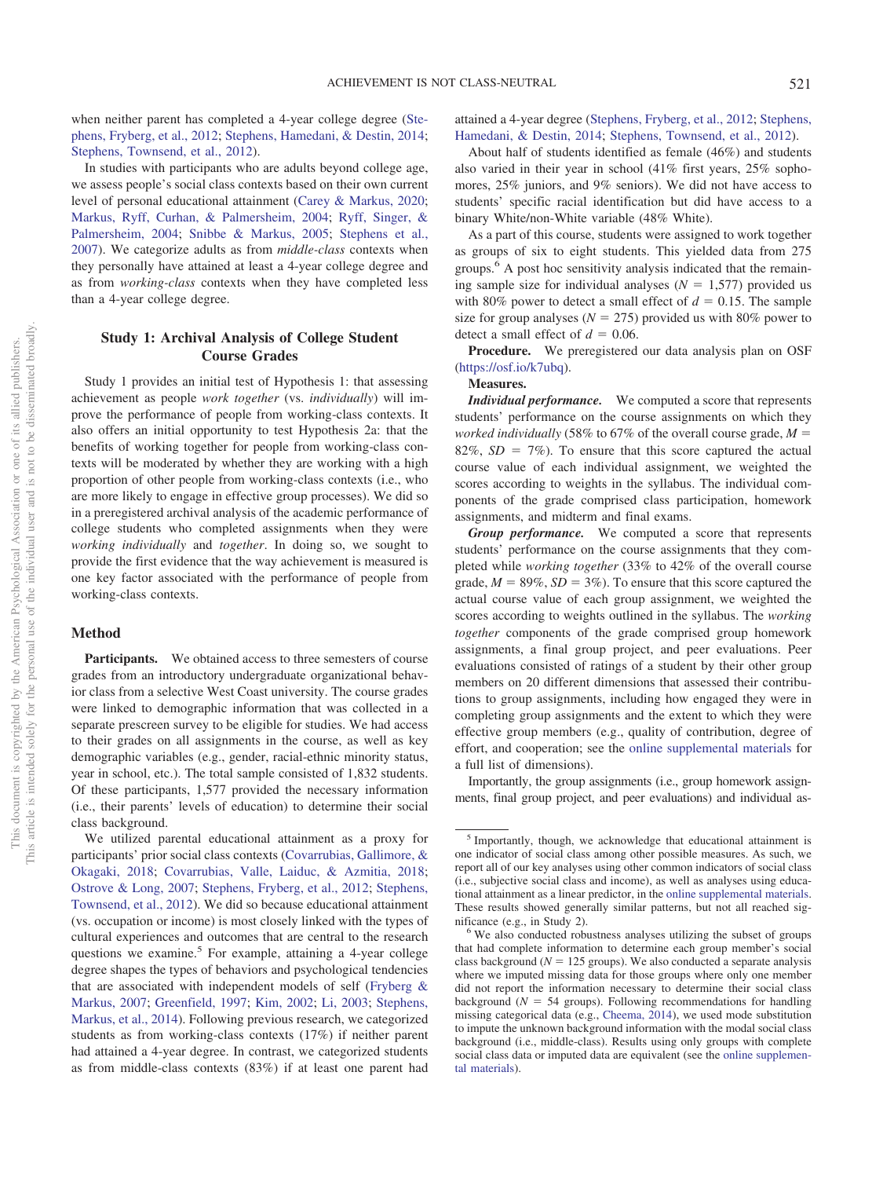when neither parent has completed a 4-year college degree [\(Ste](#page-21-7)[phens, Fryberg, et al., 2012;](#page-21-7) [Stephens, Hamedani, & Destin, 2014;](#page-21-23) [Stephens, Townsend, et al., 2012\)](#page-21-16).

In studies with participants who are adults beyond college age, we assess people's social class contexts based on their own current level of personal educational attainment [\(Carey & Markus, 2020;](#page-18-9) [Markus, Ryff, Curhan, & Palmersheim, 2004;](#page-20-19) [Ryff, Singer, &](#page-21-24) [Palmersheim, 2004;](#page-21-24) [Snibbe & Markus, 2005;](#page-21-22) [Stephens et al.,](#page-21-4) [2007\)](#page-21-4). We categorize adults as from *middle-class* contexts when they personally have attained at least a 4-year college degree and as from *working-class* contexts when they have completed less than a 4-year college degree.

## **Study 1: Archival Analysis of College Student Course Grades**

Study 1 provides an initial test of Hypothesis 1: that assessing achievement as people *work together* (vs. *individually*) will improve the performance of people from working-class contexts. It also offers an initial opportunity to test Hypothesis 2a: that the benefits of working together for people from working-class contexts will be moderated by whether they are working with a high proportion of other people from working-class contexts (i.e., who are more likely to engage in effective group processes). We did so in a preregistered archival analysis of the academic performance of college students who completed assignments when they were *working individually* and *together*. In doing so, we sought to provide the first evidence that the way achievement is measured is one key factor associated with the performance of people from working-class contexts.

## **Method**

Participants. We obtained access to three semesters of course grades from an introductory undergraduate organizational behavior class from a selective West Coast university. The course grades were linked to demographic information that was collected in a separate prescreen survey to be eligible for studies. We had access to their grades on all assignments in the course, as well as key demographic variables (e.g., gender, racial-ethnic minority status, year in school, etc.). The total sample consisted of 1,832 students. Of these participants, 1,577 provided the necessary information (i.e., their parents' levels of education) to determine their social class background.

We utilized parental educational attainment as a proxy for participants' prior social class contexts [\(Covarrubias, Gallimore, &](#page-19-26) [Okagaki, 2018;](#page-19-26) [Covarrubias, Valle, Laiduc, & Azmitia, 2018;](#page-19-27) [Ostrove & Long, 2007;](#page-20-16) [Stephens, Fryberg, et al., 2012;](#page-21-7) [Stephens,](#page-21-16) [Townsend, et al., 2012\)](#page-21-16). We did so because educational attainment (vs. occupation or income) is most closely linked with the types of cultural experiences and outcomes that are central to the research questions we examine.<sup>5</sup> For example, attaining a 4-year college degree shapes the types of behaviors and psychological tendencies that are associated with independent models of self [\(Fryberg &](#page-19-8) [Markus, 2007;](#page-19-8) [Greenfield, 1997;](#page-19-10) [Kim, 2002;](#page-20-20) [Li, 2003;](#page-20-6) [Stephens,](#page-21-3) [Markus, et al., 2014\)](#page-21-3). Following previous research, we categorized students as from working-class contexts (17%) if neither parent had attained a 4-year degree. In contrast, we categorized students as from middle-class contexts (83%) if at least one parent had attained a 4-year degree [\(Stephens, Fryberg, et al., 2012;](#page-21-7) [Stephens,](#page-21-23) [Hamedani, & Destin, 2014;](#page-21-23) [Stephens, Townsend, et al., 2012\)](#page-21-16).

About half of students identified as female (46%) and students also varied in their year in school (41% first years, 25% sophomores, 25% juniors, and 9% seniors). We did not have access to students' specific racial identification but did have access to a binary White/non-White variable (48% White).

As a part of this course, students were assigned to work together as groups of six to eight students. This yielded data from 275 groups.<sup>6</sup> A post hoc sensitivity analysis indicated that the remaining sample size for individual analyses  $(N = 1,577)$  provided us with 80% power to detect a small effect of  $d = 0.15$ . The sample size for group analyses ( $N = 275$ ) provided us with 80% power to detect a small effect of  $d = 0.06$ .

**Procedure.** We preregistered our data analysis plan on OSF [\(https://osf.io/k7ubq\)](https://osf.io/k7ubq).

## **Measures.**

*Individual performance.* We computed a score that represents students' performance on the course assignments on which they *worked individually* (58% to 67% of the overall course grade,  $M =$  $82\%, SD = 7\%$ ). To ensure that this score captured the actual course value of each individual assignment, we weighted the scores according to weights in the syllabus. The individual components of the grade comprised class participation, homework assignments, and midterm and final exams.

*Group performance.* We computed a score that represents students' performance on the course assignments that they completed while *working together* (33% to 42% of the overall course grade,  $M = 89\%, SD = 3\%$ ). To ensure that this score captured the actual course value of each group assignment, we weighted the scores according to weights outlined in the syllabus. The *working together* components of the grade comprised group homework assignments, a final group project, and peer evaluations. Peer evaluations consisted of ratings of a student by their other group members on 20 different dimensions that assessed their contributions to group assignments, including how engaged they were in completing group assignments and the extent to which they were effective group members (e.g., quality of contribution, degree of effort, and cooperation; see the [online supplemental materials](http://dx.doi.org/10.1037/pspa0000194.supp) for a full list of dimensions).

Importantly, the group assignments (i.e., group homework assignments, final group project, and peer evaluations) and individual as-

<sup>5</sup> Importantly, though, we acknowledge that educational attainment is one indicator of social class among other possible measures. As such, we report all of our key analyses using other common indicators of social class (i.e., subjective social class and income), as well as analyses using educational attainment as a linear predictor, in the [online supplemental materials.](http://dx.doi.org/10.1037/pspa0000194.supp) These results showed generally similar patterns, but not all reached sig-

nificance (e.g., in Study 2).  $\frac{6}{5}$  We also conducted robustness analyses utilizing the subset of groups that had complete information to determine each group member's social class background  $(N = 125$  groups). We also conducted a separate analysis where we imputed missing data for those groups where only one member did not report the information necessary to determine their social class background  $(N = 54$  groups). Following recommendations for handling missing categorical data (e.g., [Cheema, 2014\)](#page-18-10), we used mode substitution to impute the unknown background information with the modal social class background (i.e., middle-class). Results using only groups with complete social class data or imputed data are equivalent (see the [online supplemen](http://dx.doi.org/10.1037/pspa0000194.supp)[tal materials\)](http://dx.doi.org/10.1037/pspa0000194.supp).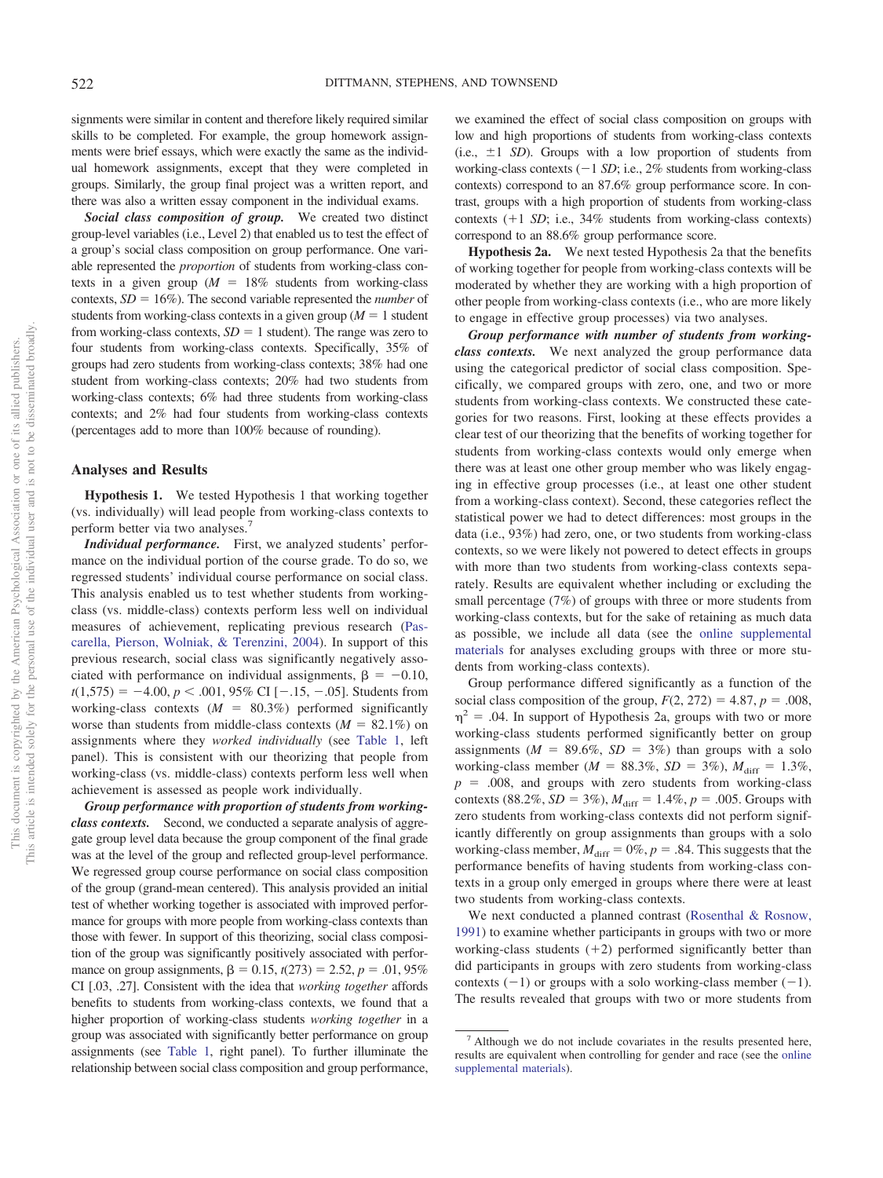signments were similar in content and therefore likely required similar skills to be completed. For example, the group homework assignments were brief essays, which were exactly the same as the individual homework assignments, except that they were completed in groups. Similarly, the group final project was a written report, and there was also a written essay component in the individual exams.

*Social class composition of group.* We created two distinct group-level variables (i.e., Level 2) that enabled us to test the effect of a group's social class composition on group performance. One variable represented the *proportion* of students from working-class contexts in a given group ( $M = 18\%$  students from working-class contexts,  $SD = 16\%$ ). The second variable represented the *number* of students from working-class contexts in a given group  $(M = 1)$  student from working-class contexts,  $SD = 1$  student). The range was zero to four students from working-class contexts. Specifically, 35% of groups had zero students from working-class contexts; 38% had one student from working-class contexts; 20% had two students from working-class contexts; 6% had three students from working-class contexts; and 2% had four students from working-class contexts (percentages add to more than 100% because of rounding).

#### **Analyses and Results**

**Hypothesis 1.** We tested Hypothesis 1 that working together (vs. individually) will lead people from working-class contexts to perform better via two analyses.7

*Individual performance.* First, we analyzed students' performance on the individual portion of the course grade. To do so, we regressed students' individual course performance on social class. This analysis enabled us to test whether students from workingclass (vs. middle-class) contexts perform less well on individual measures of achievement, replicating previous research [\(Pas](#page-20-21)[carella, Pierson, Wolniak, & Terenzini, 2004\)](#page-20-21). In support of this previous research, social class was significantly negatively associated with performance on individual assignments,  $\beta = -0.10$ ,  $t(1,575) = -4.00, p < .001, 95\% \text{ CI} [-.15, -.05]$ . Students from working-class contexts  $(M = 80.3\%)$  performed significantly worse than students from middle-class contexts  $(M = 82.1\%)$  on assignments where they *worked individually* (see [Table 1,](#page-6-0) left panel). This is consistent with our theorizing that people from working-class (vs. middle-class) contexts perform less well when achievement is assessed as people work individually.

*Group performance with proportion of students from workingclass contexts.* Second, we conducted a separate analysis of aggregate group level data because the group component of the final grade was at the level of the group and reflected group-level performance. We regressed group course performance on social class composition of the group (grand-mean centered). This analysis provided an initial test of whether working together is associated with improved performance for groups with more people from working-class contexts than those with fewer. In support of this theorizing, social class composition of the group was significantly positively associated with performance on group assignments,  $\beta = 0.15$ ,  $t(273) = 2.52$ ,  $p = .01$ , 95% CI [.03, .27]. Consistent with the idea that *working together* affords benefits to students from working-class contexts, we found that a higher proportion of working-class students *working together* in a group was associated with significantly better performance on group assignments (see [Table 1,](#page-6-0) right panel). To further illuminate the relationship between social class composition and group performance,

we examined the effect of social class composition on groups with low and high proportions of students from working-class contexts (i.e.,  $\pm 1$  *SD*). Groups with a low proportion of students from working-class contexts  $(-1 SD; i.e., 2\%$  students from working-class contexts) correspond to an 87.6% group performance score. In contrast, groups with a high proportion of students from working-class contexts (+1 *SD*; i.e., 34% students from working-class contexts) correspond to an 88.6% group performance score.

**Hypothesis 2a.** We next tested Hypothesis 2a that the benefits of working together for people from working-class contexts will be moderated by whether they are working with a high proportion of other people from working-class contexts (i.e., who are more likely to engage in effective group processes) via two analyses.

*Group performance with number of students from workingclass contexts.* We next analyzed the group performance data using the categorical predictor of social class composition. Specifically, we compared groups with zero, one, and two or more students from working-class contexts. We constructed these categories for two reasons. First, looking at these effects provides a clear test of our theorizing that the benefits of working together for students from working-class contexts would only emerge when there was at least one other group member who was likely engaging in effective group processes (i.e., at least one other student from a working-class context). Second, these categories reflect the statistical power we had to detect differences: most groups in the data (i.e., 93%) had zero, one, or two students from working-class contexts, so we were likely not powered to detect effects in groups with more than two students from working-class contexts separately. Results are equivalent whether including or excluding the small percentage (7%) of groups with three or more students from working-class contexts, but for the sake of retaining as much data as possible, we include all data (see the [online supplemental](http://dx.doi.org/10.1037/pspa0000194.supp) [materials](http://dx.doi.org/10.1037/pspa0000194.supp) for analyses excluding groups with three or more students from working-class contexts).

Group performance differed significantly as a function of the social class composition of the group,  $F(2, 272) = 4.87$ ,  $p = .008$ ,  $\eta^2$  = .04. In support of Hypothesis 2a, groups with two or more working-class students performed significantly better on group assignments ( $M = 89.6\%$ ,  $SD = 3\%$ ) than groups with a solo working-class member ( $M = 88.3\%$ ,  $SD = 3\%$ ),  $M_{\text{diff}} = 1.3\%$ ,  $p = 0.008$ , and groups with zero students from working-class contexts  $(88.2\%, SD = 3\%)$ ,  $M_{\text{diff}} = 1.4\%, p = .005$ . Groups with zero students from working-class contexts did not perform significantly differently on group assignments than groups with a solo working-class member,  $M_{\text{diff}} = 0\%$ ,  $p = .84$ . This suggests that the performance benefits of having students from working-class contexts in a group only emerged in groups where there were at least two students from working-class contexts.

We next conducted a planned contrast [\(Rosenthal & Rosnow,](#page-21-25) [1991\)](#page-21-25) to examine whether participants in groups with two or more working-class students  $(+2)$  performed significantly better than did participants in groups with zero students from working-class contexts  $(-1)$  or groups with a solo working-class member  $(-1)$ . The results revealed that groups with two or more students from

<sup>7</sup> Although we do not include covariates in the results presented here, results are equivalent when controlling for gender and race (see the [online](http://dx.doi.org/10.1037/pspa0000194.supp) [supplemental materials\)](http://dx.doi.org/10.1037/pspa0000194.supp).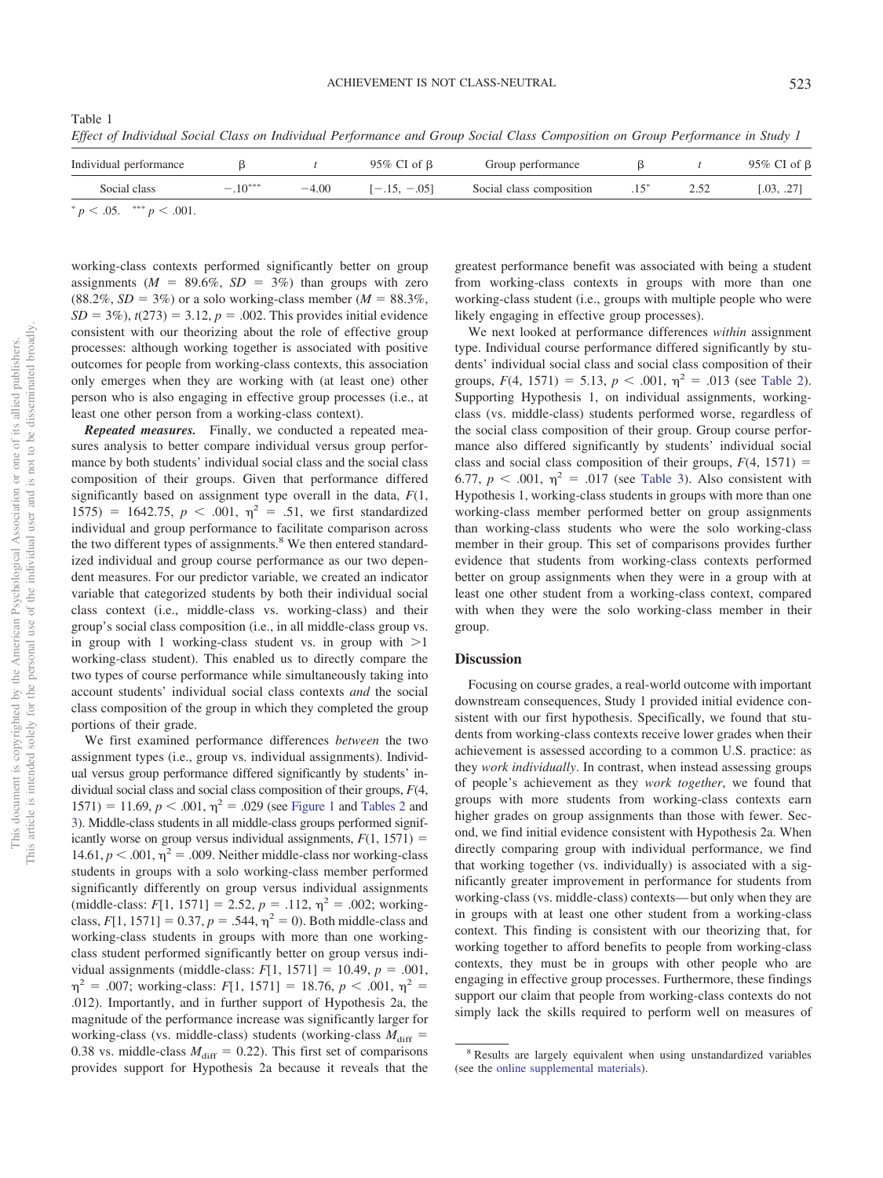<span id="page-6-0"></span>Table 1 *Effect of Individual Social Class on Individual Performance and Group Social Class Composition on Group Performance in Study 1*

| Individual performance         | 95% CI of $\beta$<br>Group performance |         |                |                          | 95% CI of $\beta$ |      |            |
|--------------------------------|----------------------------------------|---------|----------------|--------------------------|-------------------|------|------------|
| Social class                   | $-.10***$                              | $-4.00$ | $[-.15, -.05]$ | Social class composition | $.15^{\circ}$     | 2.52 | [.03, .27] |
| * $p < .05$ . *** $p < .001$ . |                                        |         |                |                          |                   |      |            |

working-class contexts performed significantly better on group assignments ( $M = 89.6\%$ ,  $SD = 3\%$ ) than groups with zero  $(88.2\%, SD = 3\%)$  or a solo working-class member ( $M = 88.3\%$ ,  $SD = 3\%)$ ,  $t(273) = 3.12$ ,  $p = .002$ . This provides initial evidence consistent with our theorizing about the role of effective group processes: although working together is associated with positive outcomes for people from working-class contexts, this association only emerges when they are working with (at least one) other person who is also engaging in effective group processes (i.e., at least one other person from a working-class context).

*Repeated measures.* Finally, we conducted a repeated measures analysis to better compare individual versus group performance by both students' individual social class and the social class composition of their groups. Given that performance differed significantly based on assignment type overall in the data, *F*(1, 1575) = 1642.75,  $p < .001$ ,  $\eta^2 = .51$ , we first standardized individual and group performance to facilitate comparison across the two different types of assignments.<sup>8</sup> We then entered standardized individual and group course performance as our two dependent measures. For our predictor variable, we created an indicator variable that categorized students by both their individual social class context (i.e., middle-class vs. working-class) and their group's social class composition (i.e., in all middle-class group vs. in group with 1 working-class student vs. in group with  $>1$ working-class student). This enabled us to directly compare the two types of course performance while simultaneously taking into account students' individual social class contexts *and* the social class composition of the group in which they completed the group portions of their grade.

We first examined performance differences *between* the two assignment types (i.e., group vs. individual assignments). Individual versus group performance differed significantly by students' individual social class and social class composition of their groups, *F*(4,  $1571$ ) = 11.69,  $p < .001$ ,  $\eta^2 = .029$  (see [Figure 1](#page-7-0) and [Tables 2](#page-7-1) and [3\)](#page-8-0). Middle-class students in all middle-class groups performed significantly worse on group versus individual assignments,  $F(1, 1571) =$ 14.61,  $p < .001$ ,  $\eta^2 = .009$ . Neither middle-class nor working-class students in groups with a solo working-class member performed significantly differently on group versus individual assignments (middle-class:  $F[1, 1571] = 2.52, p = .112, \eta^2 = .002$ ; workingclass,  $F[1, 1571] = 0.37, p = .544, \eta^2 = 0$ . Both middle-class and working-class students in groups with more than one workingclass student performed significantly better on group versus individual assignments (middle-class:  $F[1, 1571] = 10.49, p = .001,$  $\eta^2$  = .007; working-class: *F*[1, 1571] = 18.76, *p* < .001,  $\eta^2$  = .012). Importantly, and in further support of Hypothesis 2a, the magnitude of the performance increase was significantly larger for working-class (vs. middle-class) students (working-class  $M_{\text{diff}} =$ 0.38 vs. middle-class  $M_{\text{diff}} = 0.22$ ). This first set of comparisons provides support for Hypothesis 2a because it reveals that the

greatest performance benefit was associated with being a student from working-class contexts in groups with more than one working-class student (i.e., groups with multiple people who were likely engaging in effective group processes).

We next looked at performance differences *within* assignment type. Individual course performance differed significantly by students' individual social class and social class composition of their groups,  $F(4, 1571) = 5.13$ ,  $p < .001$ ,  $\eta^2 = .013$  (see [Table 2\)](#page-7-1). Supporting Hypothesis 1, on individual assignments, workingclass (vs. middle-class) students performed worse, regardless of the social class composition of their group. Group course performance also differed significantly by students' individual social class and social class composition of their groups,  $F(4, 1571) =$ 6.77,  $p < .001$ ,  $\eta^2 = .017$  (see [Table 3\)](#page-8-0). Also consistent with Hypothesis 1, working-class students in groups with more than one working-class member performed better on group assignments than working-class students who were the solo working-class member in their group. This set of comparisons provides further evidence that students from working-class contexts performed better on group assignments when they were in a group with at least one other student from a working-class context, compared with when they were the solo working-class member in their group.

#### **Discussion**

Focusing on course grades, a real-world outcome with important downstream consequences, Study 1 provided initial evidence consistent with our first hypothesis. Specifically, we found that students from working-class contexts receive lower grades when their achievement is assessed according to a common U.S. practice: as they *work individually*. In contrast, when instead assessing groups of people's achievement as they *work together*, we found that groups with more students from working-class contexts earn higher grades on group assignments than those with fewer. Second, we find initial evidence consistent with Hypothesis 2a. When directly comparing group with individual performance, we find that working together (vs. individually) is associated with a significantly greater improvement in performance for students from working-class (vs. middle-class) contexts— but only when they are in groups with at least one other student from a working-class context. This finding is consistent with our theorizing that, for working together to afford benefits to people from working-class contexts, they must be in groups with other people who are engaging in effective group processes. Furthermore, these findings support our claim that people from working-class contexts do not simply lack the skills required to perform well on measures of

<sup>8</sup> Results are largely equivalent when using unstandardized variables (see the [online supplemental materials\)](http://dx.doi.org/10.1037/pspa0000194.supp).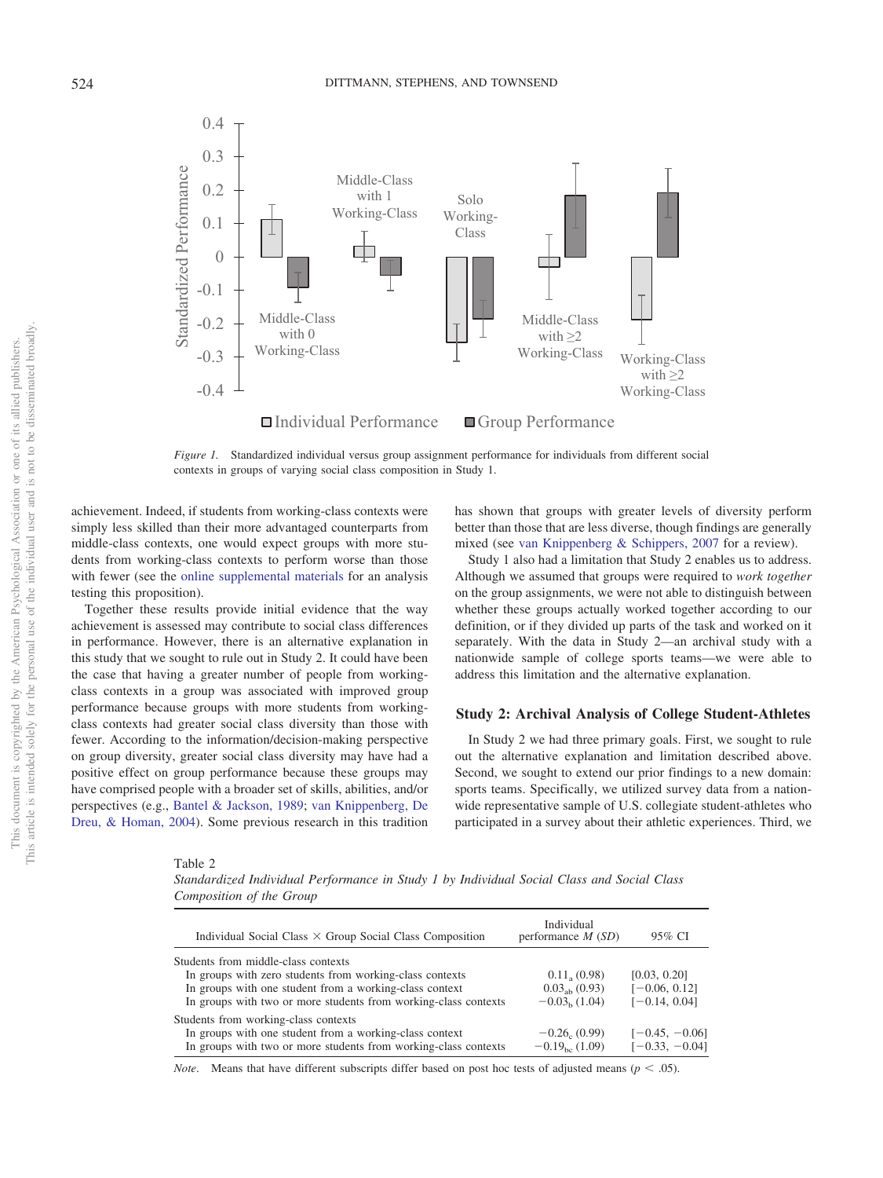

<span id="page-7-0"></span>*Figure 1.* Standardized individual versus group assignment performance for individuals from different social contexts in groups of varying social class composition in Study 1.

achievement. Indeed, if students from working-class contexts were simply less skilled than their more advantaged counterparts from middle-class contexts, one would expect groups with more students from working-class contexts to perform worse than those with fewer (see the [online supplemental materials](http://dx.doi.org/10.1037/pspa0000194.supp) for an analysis testing this proposition).

Together these results provide initial evidence that the way achievement is assessed may contribute to social class differences in performance. However, there is an alternative explanation in this study that we sought to rule out in Study 2. It could have been the case that having a greater number of people from workingclass contexts in a group was associated with improved group performance because groups with more students from workingclass contexts had greater social class diversity than those with fewer. According to the information/decision-making perspective on group diversity, greater social class diversity may have had a positive effect on group performance because these groups may have comprised people with a broader set of skills, abilities, and/or perspectives (e.g., [Bantel & Jackson, 1989;](#page-18-11) [van Knippenberg, De](#page-22-0) [Dreu, & Homan, 2004\)](#page-22-0). Some previous research in this tradition has shown that groups with greater levels of diversity perform better than those that are less diverse, though findings are generally mixed (see [van Knippenberg & Schippers, 2007](#page-22-1) for a review).

Study 1 also had a limitation that Study 2 enables us to address. Although we assumed that groups were required to *work together* on the group assignments, we were not able to distinguish between whether these groups actually worked together according to our definition, or if they divided up parts of the task and worked on it separately. With the data in Study 2—an archival study with a nationwide sample of college sports teams—we were able to address this limitation and the alternative explanation.

## **Study 2: Archival Analysis of College Student-Athletes**

In Study 2 we had three primary goals. First, we sought to rule out the alternative explanation and limitation described above. Second, we sought to extend our prior findings to a new domain: sports teams. Specifically, we utilized survey data from a nationwide representative sample of U.S. collegiate student-athletes who participated in a survey about their athletic experiences. Third, we

<span id="page-7-1"></span>Table 2

*Standardized Individual Performance in Study 1 by Individual Social Class and Social Class Composition of the Group*

| Individual Social Class $\times$ Group Social Class Composition | Individual<br>performance $M(SD)$ | 95% CI           |
|-----------------------------------------------------------------|-----------------------------------|------------------|
| Students from middle-class contexts                             |                                   |                  |
| In groups with zero students from working-class contexts        | 0.11, (0.98)                      | [0.03, 0.20]     |
| In groups with one student from a working-class context         | $0.03ab$ (0.93)                   | $[-0.06, 0.12]$  |
| In groups with two or more students from working-class contexts | $-0.03b(1.04)$                    | $[-0.14, 0.04]$  |
| Students from working-class contexts                            |                                   |                  |
| In groups with one student from a working-class context         | $-0.26_{c}$ (0.99)                | $[-0.45, -0.06]$ |
| In groups with two or more students from working-class contexts | $-0.19_{bc}$ (1.09)               | $[-0.33, -0.04]$ |

*Note*. Means that have different subscripts differ based on post hoc tests of adjusted means ( $p < .05$ ).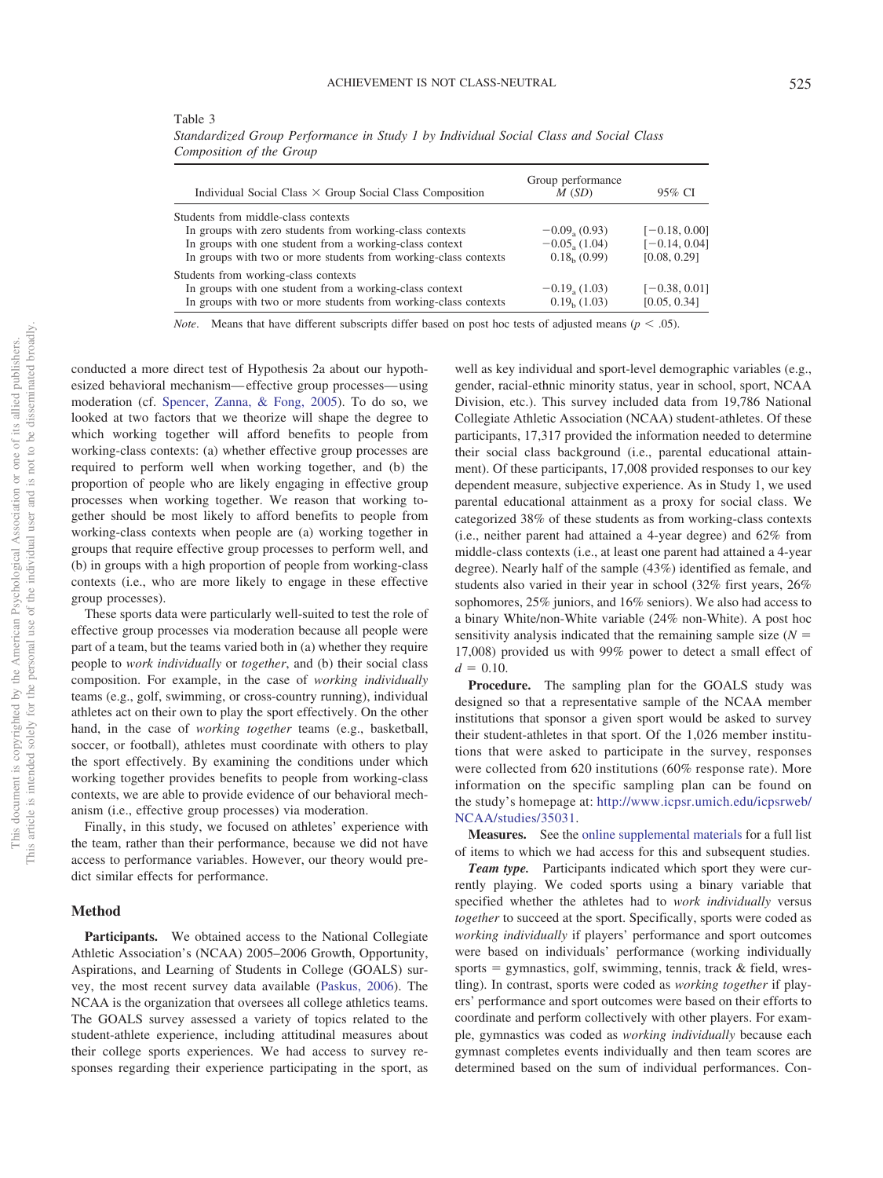<span id="page-8-0"></span>

| Table 3                                                                               |
|---------------------------------------------------------------------------------------|
| Standardized Group Performance in Study 1 by Individual Social Class and Social Class |
| Composition of the Group                                                              |

| Individual Social Class $\times$ Group Social Class Composition | Group performance<br>M(SD) | 95% CI          |
|-----------------------------------------------------------------|----------------------------|-----------------|
| Students from middle-class contexts                             |                            |                 |
| In groups with zero students from working-class contexts        | $-0.09, (0.93)$            | $[-0.18, 0.00]$ |
| In groups with one student from a working-class context         | $-0.05, (1.04)$            | $[-0.14, 0.04]$ |
| In groups with two or more students from working-class contexts | 0.18 <sub>b</sub> (0.99)   | [0.08, 0.29]    |
| Students from working-class contexts                            |                            |                 |
| In groups with one student from a working-class context         | $-0.19, (1.03)$            | $[-0.38, 0.01]$ |
| In groups with two or more students from working-class contexts | $0.19b$ (1.03)             | [0.05, 0.34]    |

*Note*. Means that have different subscripts differ based on post hoc tests of adjusted means ( $p < .05$ ).

conducted a more direct test of Hypothesis 2a about our hypothesized behavioral mechanism— effective group processes— using moderation (cf. [Spencer, Zanna, & Fong, 2005\)](#page-21-26). To do so, we looked at two factors that we theorize will shape the degree to which working together will afford benefits to people from working-class contexts: (a) whether effective group processes are required to perform well when working together, and (b) the proportion of people who are likely engaging in effective group processes when working together. We reason that working together should be most likely to afford benefits to people from working-class contexts when people are (a) working together in groups that require effective group processes to perform well, and (b) in groups with a high proportion of people from working-class contexts (i.e., who are more likely to engage in these effective group processes).

These sports data were particularly well-suited to test the role of effective group processes via moderation because all people were part of a team, but the teams varied both in (a) whether they require people to *work individually* or *together*, and (b) their social class composition. For example, in the case of *working individually* teams (e.g., golf, swimming, or cross-country running), individual athletes act on their own to play the sport effectively. On the other hand, in the case of *working together* teams (e.g., basketball, soccer, or football), athletes must coordinate with others to play the sport effectively. By examining the conditions under which working together provides benefits to people from working-class contexts, we are able to provide evidence of our behavioral mechanism (i.e., effective group processes) via moderation.

Finally, in this study, we focused on athletes' experience with the team, rather than their performance, because we did not have access to performance variables. However, our theory would predict similar effects for performance.

## **Method**

**Participants.** We obtained access to the National Collegiate Athletic Association's (NCAA) 2005–2006 Growth, Opportunity, Aspirations, and Learning of Students in College (GOALS) survey, the most recent survey data available [\(Paskus, 2006\)](#page-20-22). The NCAA is the organization that oversees all college athletics teams. The GOALS survey assessed a variety of topics related to the student-athlete experience, including attitudinal measures about their college sports experiences. We had access to survey responses regarding their experience participating in the sport, as

well as key individual and sport-level demographic variables (e.g., gender, racial-ethnic minority status, year in school, sport, NCAA Division, etc.). This survey included data from 19,786 National Collegiate Athletic Association (NCAA) student-athletes. Of these participants, 17,317 provided the information needed to determine their social class background (i.e., parental educational attainment). Of these participants, 17,008 provided responses to our key dependent measure, subjective experience. As in Study 1, we used parental educational attainment as a proxy for social class. We categorized 38% of these students as from working-class contexts (i.e., neither parent had attained a 4-year degree) and 62% from middle-class contexts (i.e., at least one parent had attained a 4-year degree). Nearly half of the sample (43%) identified as female, and students also varied in their year in school (32% first years, 26% sophomores, 25% juniors, and 16% seniors). We also had access to a binary White/non-White variable (24% non-White). A post hoc sensitivity analysis indicated that the remaining sample size  $(N =$ 17,008) provided us with 99% power to detect a small effect of  $d = 0.10$ .

**Procedure.** The sampling plan for the GOALS study was designed so that a representative sample of the NCAA member institutions that sponsor a given sport would be asked to survey their student-athletes in that sport. Of the 1,026 member institutions that were asked to participate in the survey, responses were collected from 620 institutions (60% response rate). More information on the specific sampling plan can be found on the study's homepage at: [http://www.icpsr.umich.edu/icpsrweb/](http://www.icpsr.umich.edu/icpsrweb/NCAA/studies/35031) [NCAA/studies/35031.](http://www.icpsr.umich.edu/icpsrweb/NCAA/studies/35031)

**Measures.** See the [online supplemental materials](http://dx.doi.org/10.1037/pspa0000194.supp) for a full list of items to which we had access for this and subsequent studies.

*Team type.* Participants indicated which sport they were currently playing. We coded sports using a binary variable that specified whether the athletes had to *work individually* versus *together* to succeed at the sport. Specifically, sports were coded as *working individually* if players' performance and sport outcomes were based on individuals' performance (working individually sports = gymnastics, golf, swimming, tennis, track & field, wrestling). In contrast, sports were coded as *working together* if players' performance and sport outcomes were based on their efforts to coordinate and perform collectively with other players. For example, gymnastics was coded as *working individually* because each gymnast completes events individually and then team scores are determined based on the sum of individual performances. Con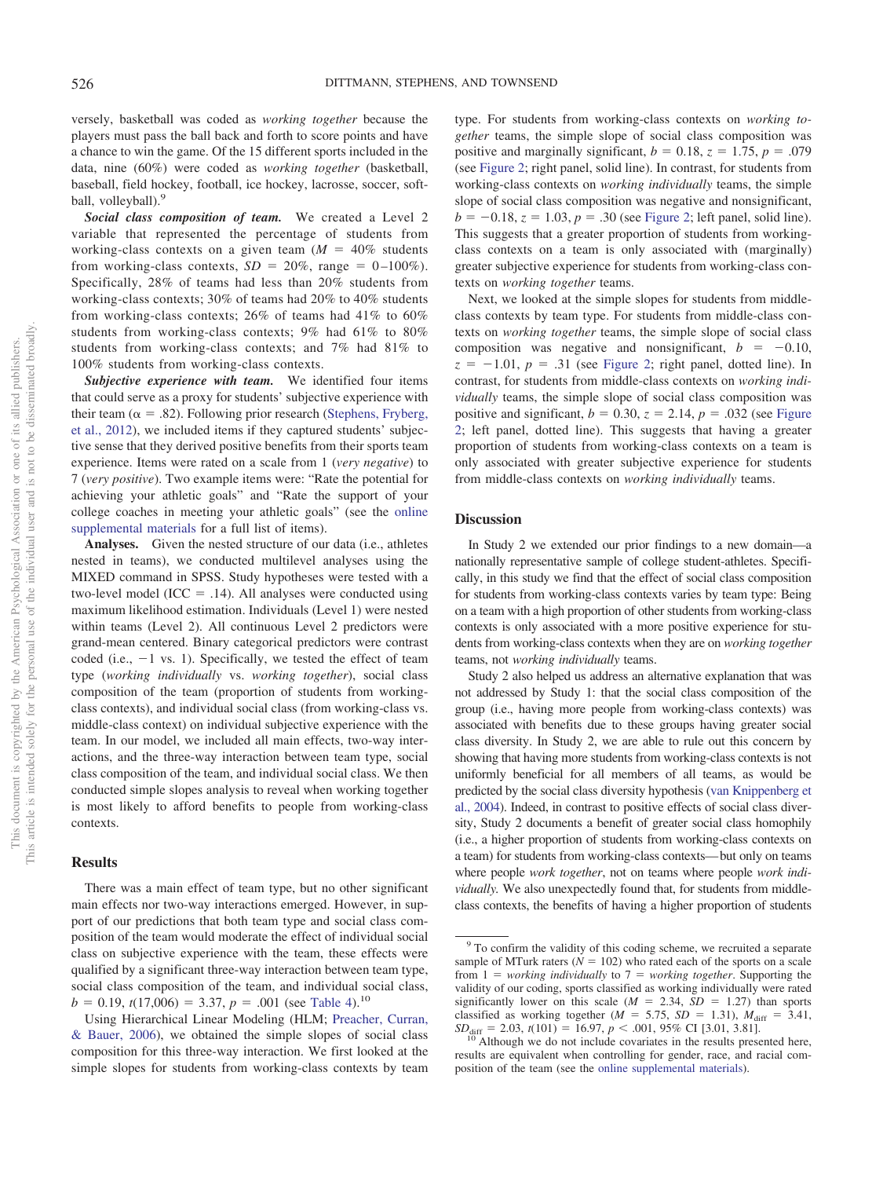versely, basketball was coded as *working together* because the players must pass the ball back and forth to score points and have a chance to win the game. Of the 15 different sports included in the data, nine (60%) were coded as *working together* (basketball, baseball, field hockey, football, ice hockey, lacrosse, soccer, softball, volleyball).<sup>9</sup>

*Social class composition of team.* We created a Level 2 variable that represented the percentage of students from working-class contexts on a given team  $(M = 40\%$  students from working-class contexts,  $SD = 20\%$ , range =  $0-100\%$ ). Specifically, 28% of teams had less than 20% students from working-class contexts; 30% of teams had 20% to 40% students from working-class contexts; 26% of teams had 41% to 60% students from working-class contexts; 9% had 61% to 80% students from working-class contexts; and 7% had 81% to 100% students from working-class contexts.

*Subjective experience with team.* We identified four items that could serve as a proxy for students' subjective experience with their team ( $\alpha = .82$ ). Following prior research [\(Stephens, Fryberg,](#page-21-7) [et al., 2012\)](#page-21-7), we included items if they captured students' subjective sense that they derived positive benefits from their sports team experience. Items were rated on a scale from 1 (*very negative*) to 7 (*very positive*). Two example items were: "Rate the potential for achieving your athletic goals" and "Rate the support of your college coaches in meeting your athletic goals" (see the [online](http://dx.doi.org/10.1037/pspa0000194.supp) [supplemental materials](http://dx.doi.org/10.1037/pspa0000194.supp) for a full list of items).

**Analyses.** Given the nested structure of our data (i.e., athletes nested in teams), we conducted multilevel analyses using the MIXED command in SPSS. Study hypotheses were tested with a two-level model ( $ICC = .14$ ). All analyses were conducted using maximum likelihood estimation. Individuals (Level 1) were nested within teams (Level 2). All continuous Level 2 predictors were grand-mean centered. Binary categorical predictors were contrast coded (i.e.,  $-1$  vs. 1). Specifically, we tested the effect of team type (*working individually* vs. *working together*), social class composition of the team (proportion of students from workingclass contexts), and individual social class (from working-class vs. middle-class context) on individual subjective experience with the team. In our model, we included all main effects, two-way interactions, and the three-way interaction between team type, social class composition of the team, and individual social class. We then conducted simple slopes analysis to reveal when working together is most likely to afford benefits to people from working-class contexts.

#### **Results**

There was a main effect of team type, but no other significant main effects nor two-way interactions emerged. However, in support of our predictions that both team type and social class composition of the team would moderate the effect of individual social class on subjective experience with the team, these effects were qualified by a significant three-way interaction between team type, social class composition of the team, and individual social class,  $b = 0.19$ ,  $t(17,006) = 3.37$ ,  $p = .001$  (see [Table 4\)](#page-10-0).<sup>10</sup>

Using Hierarchical Linear Modeling (HLM; [Preacher, Curran,](#page-21-27) [& Bauer, 2006\)](#page-21-27), we obtained the simple slopes of social class composition for this three-way interaction. We first looked at the simple slopes for students from working-class contexts by team type. For students from working-class contexts on *working together* teams, the simple slope of social class composition was positive and marginally significant,  $b = 0.18$ ,  $z = 1.75$ ,  $p = .079$ (see [Figure 2;](#page-11-0) right panel, solid line). In contrast, for students from working-class contexts on *working individually* teams, the simple slope of social class composition was negative and nonsignificant,  $b = -0.18$ ,  $z = 1.03$ ,  $p = .30$  (see [Figure 2;](#page-11-0) left panel, solid line). This suggests that a greater proportion of students from workingclass contexts on a team is only associated with (marginally) greater subjective experience for students from working-class contexts on *working together* teams.

Next, we looked at the simple slopes for students from middleclass contexts by team type. For students from middle-class contexts on *working together* teams, the simple slope of social class composition was negative and nonsignificant,  $b = -0.10$ ,  $z = -1.01$ ,  $p = .31$  (see [Figure 2;](#page-11-0) right panel, dotted line). In contrast, for students from middle-class contexts on *working individually* teams, the simple slope of social class composition was positive and significant,  $b = 0.30$ ,  $z = 2.14$ ,  $p = .032$  (see [Figure](#page-11-0) [2;](#page-11-0) left panel, dotted line). This suggests that having a greater proportion of students from working-class contexts on a team is only associated with greater subjective experience for students from middle-class contexts on *working individually* teams.

## **Discussion**

In Study 2 we extended our prior findings to a new domain—a nationally representative sample of college student-athletes. Specifically, in this study we find that the effect of social class composition for students from working-class contexts varies by team type: Being on a team with a high proportion of other students from working-class contexts is only associated with a more positive experience for students from working-class contexts when they are on *working together* teams, not *working individually* teams.

Study 2 also helped us address an alternative explanation that was not addressed by Study 1: that the social class composition of the group (i.e., having more people from working-class contexts) was associated with benefits due to these groups having greater social class diversity. In Study 2, we are able to rule out this concern by showing that having more students from working-class contexts is not uniformly beneficial for all members of all teams, as would be predicted by the social class diversity hypothesis [\(van Knippenberg et](#page-22-0) [al., 2004\)](#page-22-0). Indeed, in contrast to positive effects of social class diversity, Study 2 documents a benefit of greater social class homophily (i.e., a higher proportion of students from working-class contexts on a team) for students from working-class contexts— but only on teams where people *work together*, not on teams where people *work individually.* We also unexpectedly found that, for students from middleclass contexts, the benefits of having a higher proportion of students

<sup>9</sup> To confirm the validity of this coding scheme, we recruited a separate sample of MTurk raters  $(N = 102)$  who rated each of the sports on a scale from  $1 =$  *working individually* to  $7 =$  *working together.* Supporting the validity of our coding, sports classified as working individually were rated significantly lower on this scale  $(M = 2.34, SD = 1.27)$  than sports classified as working together ( $M = 5.75$ ,  $SD = 1.31$ ),  $M_{\text{diff}} = 3.41$ ,

 $SD<sub>diff</sub> = 2.03, t(101) = 16.97, p < .001, 95%$  CI [3.01, 3.81]. <sup>10</sup> Although we do not include covariates in the results presented here, results are equivalent when controlling for gender, race, and racial composition of the team (see the [online supplemental materials\)](http://dx.doi.org/10.1037/pspa0000194.supp).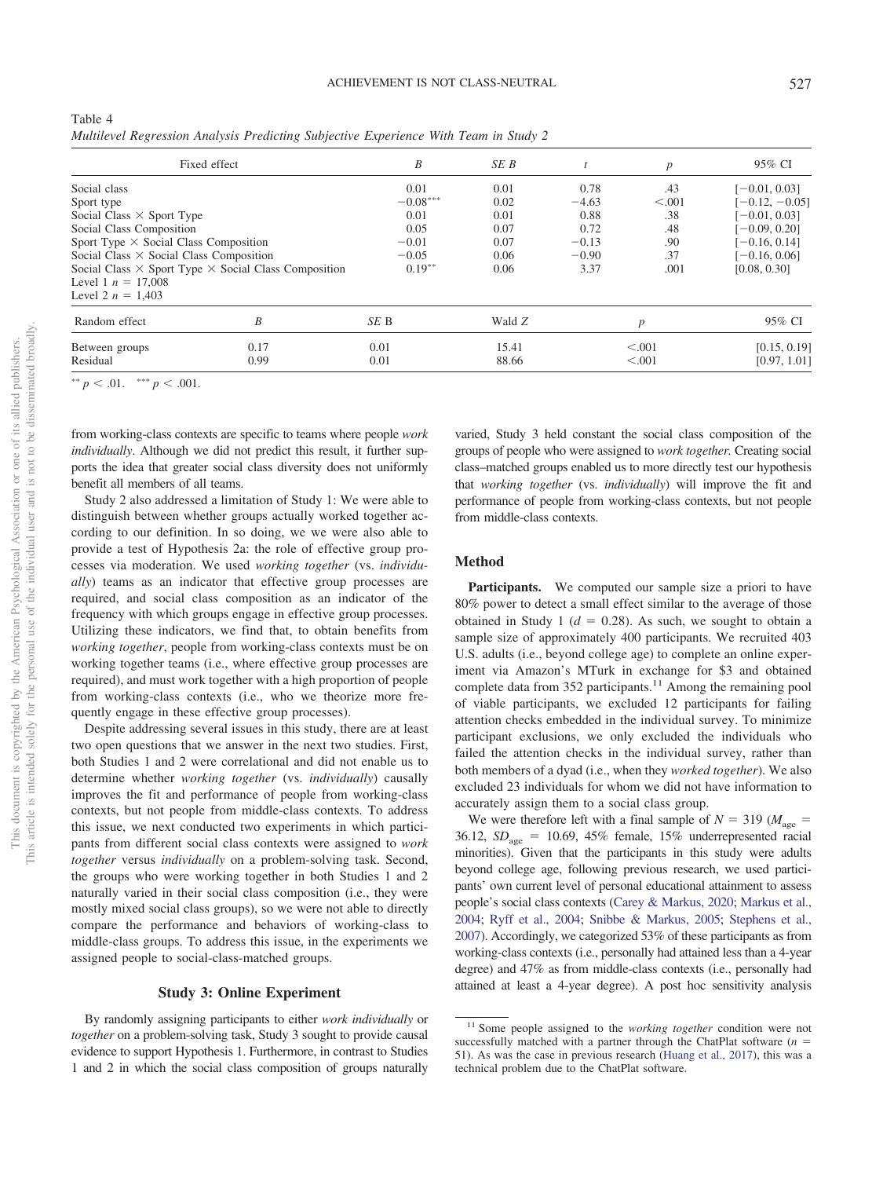<span id="page-10-0"></span>

| Table 4                                                                              |  |  |  |  |  |
|--------------------------------------------------------------------------------------|--|--|--|--|--|
| Multilevel Regression Analysis Predicting Subjective Experience With Team in Study 2 |  |  |  |  |  |

|                                                | Fixed effect                                                       | B          | SE B   |         | $\boldsymbol{p}$ | 95% CI           |  |
|------------------------------------------------|--------------------------------------------------------------------|------------|--------|---------|------------------|------------------|--|
| Social class                                   |                                                                    | 0.01       | 0.01   | 0.78    | .43              | $[-0.01, 0.03]$  |  |
| Sport type                                     |                                                                    | $-0.08***$ | 0.02   | $-4.63$ | < 0.001          | $[-0.12, -0.05]$ |  |
| Social Class $\times$ Sport Type               |                                                                    | 0.01       | 0.01   | 0.88    | .38              | $[-0.01, 0.03]$  |  |
| Social Class Composition                       |                                                                    | 0.05       | 0.07   | 0.72    | .48              | $[-0.09, 0.20]$  |  |
| Sport Type $\times$ Social Class Composition   |                                                                    | $-0.01$    | 0.07   | $-0.13$ | .90              | $[-0.16, 0.14]$  |  |
| Social Class $\times$ Social Class Composition |                                                                    | $-0.05$    | 0.06   | $-0.90$ | .37              | $[-0.16, 0.06]$  |  |
|                                                | Social Class $\times$ Sport Type $\times$ Social Class Composition | $0.19**$   | 0.06   | 3.37    | .001             | [0.08, 0.30]     |  |
| Level 1 $n = 17,008$                           |                                                                    |            |        |         |                  |                  |  |
| Level 2 $n = 1,403$                            |                                                                    |            |        |         |                  |                  |  |
| Random effect                                  | B                                                                  | SE B       | Wald Z | p       |                  | 95% CI           |  |
| Between groups                                 | 0.17                                                               | 0.01       | 15.41  |         | < 0.001          | [0.15, 0.19]     |  |
| Residual                                       | 0.99                                                               | 0.01       | 88.66  |         | < 0.001          | [0.97, 1.01]     |  |

\*\*  $p < .01.$  \*\*\*  $p < .001.$ 

from working-class contexts are specific to teams where people *work individually*. Although we did not predict this result, it further supports the idea that greater social class diversity does not uniformly benefit all members of all teams.

Study 2 also addressed a limitation of Study 1: We were able to distinguish between whether groups actually worked together according to our definition. In so doing, we we were also able to provide a test of Hypothesis 2a: the role of effective group processes via moderation. We used *working together* (vs. *individually*) teams as an indicator that effective group processes are required, and social class composition as an indicator of the frequency with which groups engage in effective group processes. Utilizing these indicators, we find that, to obtain benefits from *working together*, people from working-class contexts must be on working together teams (i.e., where effective group processes are required), and must work together with a high proportion of people from working-class contexts (i.e., who we theorize more frequently engage in these effective group processes).

Despite addressing several issues in this study, there are at least two open questions that we answer in the next two studies. First, both Studies 1 and 2 were correlational and did not enable us to determine whether *working together* (vs. *individually*) causally improves the fit and performance of people from working-class contexts, but not people from middle-class contexts. To address this issue, we next conducted two experiments in which participants from different social class contexts were assigned to *work together* versus *individually* on a problem-solving task. Second, the groups who were working together in both Studies 1 and 2 naturally varied in their social class composition (i.e., they were mostly mixed social class groups), so we were not able to directly compare the performance and behaviors of working-class to middle-class groups. To address this issue, in the experiments we assigned people to social-class-matched groups.

#### **Study 3: Online Experiment**

By randomly assigning participants to either *work individually* or *together* on a problem-solving task, Study 3 sought to provide causal evidence to support Hypothesis 1. Furthermore, in contrast to Studies 1 and 2 in which the social class composition of groups naturally

varied, Study 3 held constant the social class composition of the groups of people who were assigned to *work together.* Creating social class–matched groups enabled us to more directly test our hypothesis that *working together* (vs. *individually*) will improve the fit and performance of people from working-class contexts, but not people from middle-class contexts.

## **Method**

Participants. We computed our sample size a priori to have 80% power to detect a small effect similar to the average of those obtained in Study 1 ( $d = 0.28$ ). As such, we sought to obtain a sample size of approximately 400 participants. We recruited 403 U.S. adults (i.e., beyond college age) to complete an online experiment via Amazon's MTurk in exchange for \$3 and obtained complete data from  $352$  participants.<sup>11</sup> Among the remaining pool of viable participants, we excluded 12 participants for failing attention checks embedded in the individual survey. To minimize participant exclusions, we only excluded the individuals who failed the attention checks in the individual survey, rather than both members of a dyad (i.e., when they *worked together*). We also excluded 23 individuals for whom we did not have information to accurately assign them to a social class group.

We were therefore left with a final sample of  $N = 319$  ( $M_{\text{age}} =$  $36.12$ ,  $SD<sub>age</sub> = 10.69$ ,  $45%$  female,  $15%$  underrepresented racial minorities). Given that the participants in this study were adults beyond college age, following previous research, we used participants' own current level of personal educational attainment to assess people's social class contexts [\(Carey & Markus, 2020;](#page-18-9) [Markus et al.,](#page-20-19) [2004;](#page-20-19) [Ryff et al., 2004;](#page-21-24) [Snibbe & Markus, 2005;](#page-21-22) [Stephens et al.,](#page-21-4) [2007\)](#page-21-4). Accordingly, we categorized 53% of these participants as from working-class contexts (i.e., personally had attained less than a 4-year degree) and 47% as from middle-class contexts (i.e., personally had attained at least a 4-year degree). A post hoc sensitivity analysis

<sup>11</sup> Some people assigned to the *working together* condition were not successfully matched with a partner through the ChatPlat software  $(n =$ 51). As was the case in previous research [\(Huang et al., 2017\)](#page-20-23), this was a technical problem due to the ChatPlat software.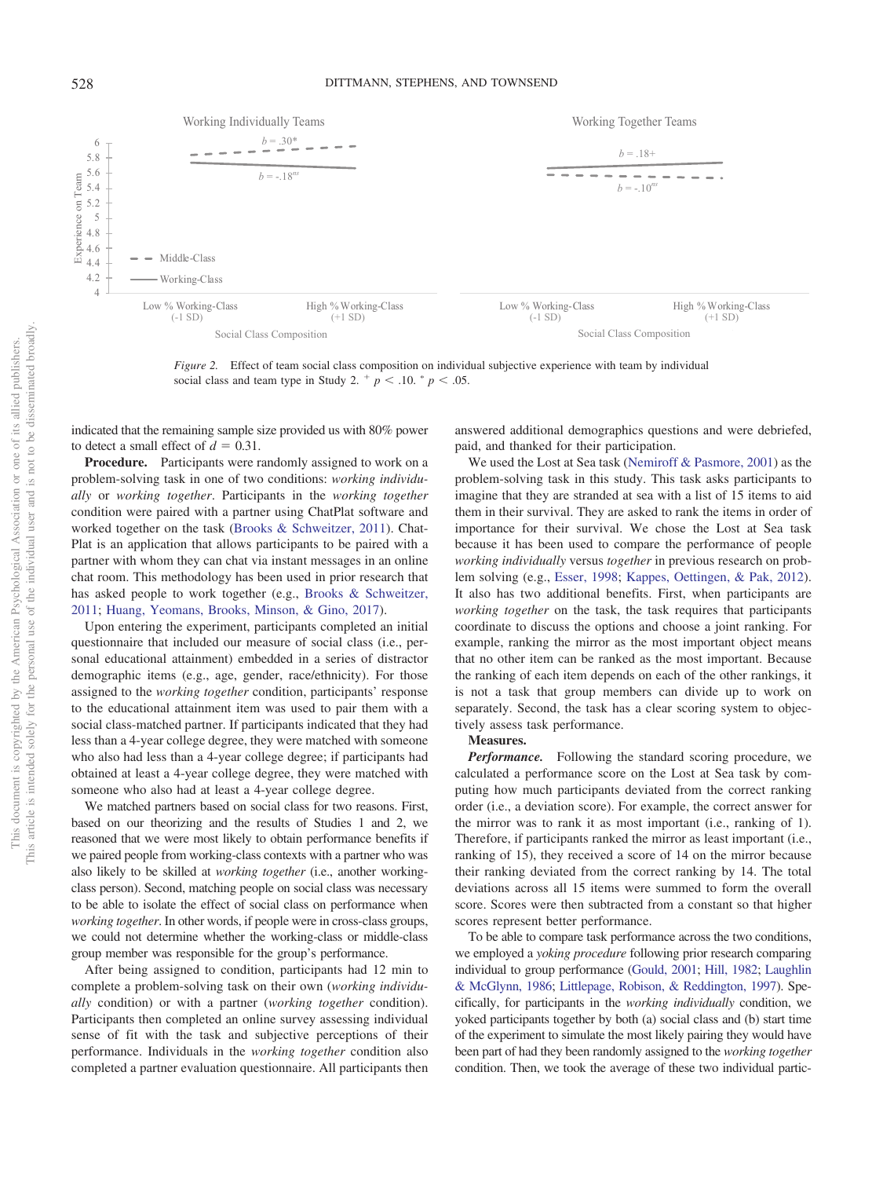

<span id="page-11-0"></span>*Figure 2.* Effect of team social class composition on individual subjective experience with team by individual social class and team type in Study 2.  $^+$   $p$  < .10.  $^*$   $p$  < .05.

indicated that the remaining sample size provided us with 80% power to detect a small effect of  $d = 0.31$ .

**Procedure.** Participants were randomly assigned to work on a problem-solving task in one of two conditions: *working individually* or *working together*. Participants in the *working together* condition were paired with a partner using ChatPlat software and worked together on the task [\(Brooks & Schweitzer, 2011\)](#page-18-12). Chat-Plat is an application that allows participants to be paired with a partner with whom they can chat via instant messages in an online chat room. This methodology has been used in prior research that has asked people to work together (e.g., [Brooks & Schweitzer,](#page-18-12) [2011;](#page-18-12) [Huang, Yeomans, Brooks, Minson, & Gino, 2017\)](#page-20-23).

Upon entering the experiment, participants completed an initial questionnaire that included our measure of social class (i.e., personal educational attainment) embedded in a series of distractor demographic items (e.g., age, gender, race/ethnicity). For those assigned to the *working together* condition, participants' response to the educational attainment item was used to pair them with a social class-matched partner. If participants indicated that they had less than a 4-year college degree, they were matched with someone who also had less than a 4-year college degree; if participants had obtained at least a 4-year college degree, they were matched with someone who also had at least a 4-year college degree.

We matched partners based on social class for two reasons. First, based on our theorizing and the results of Studies 1 and 2, we reasoned that we were most likely to obtain performance benefits if we paired people from working-class contexts with a partner who was also likely to be skilled at *working together* (i.e., another workingclass person). Second, matching people on social class was necessary to be able to isolate the effect of social class on performance when *working together*. In other words, if people were in cross-class groups, we could not determine whether the working-class or middle-class group member was responsible for the group's performance.

After being assigned to condition, participants had 12 min to complete a problem-solving task on their own (*working individually* condition) or with a partner (*working together* condition). Participants then completed an online survey assessing individual sense of fit with the task and subjective perceptions of their performance. Individuals in the *working together* condition also completed a partner evaluation questionnaire. All participants then

answered additional demographics questions and were debriefed, paid, and thanked for their participation.

We used the Lost at Sea task [\(Nemiroff & Pasmore, 2001\)](#page-20-24) as the problem-solving task in this study. This task asks participants to imagine that they are stranded at sea with a list of 15 items to aid them in their survival. They are asked to rank the items in order of importance for their survival. We chose the Lost at Sea task because it has been used to compare the performance of people *working individually* versus *together* in previous research on problem solving (e.g., [Esser, 1998;](#page-19-28) [Kappes, Oettingen, & Pak, 2012\)](#page-20-25). It also has two additional benefits. First, when participants are *working together* on the task, the task requires that participants coordinate to discuss the options and choose a joint ranking. For example, ranking the mirror as the most important object means that no other item can be ranked as the most important. Because the ranking of each item depends on each of the other rankings, it is not a task that group members can divide up to work on separately. Second, the task has a clear scoring system to objectively assess task performance.

#### **Measures.**

*Performance.* Following the standard scoring procedure, we calculated a performance score on the Lost at Sea task by computing how much participants deviated from the correct ranking order (i.e., a deviation score). For example, the correct answer for the mirror was to rank it as most important (i.e., ranking of 1). Therefore, if participants ranked the mirror as least important (i.e., ranking of 15), they received a score of 14 on the mirror because their ranking deviated from the correct ranking by 14. The total deviations across all 15 items were summed to form the overall score. Scores were then subtracted from a constant so that higher scores represent better performance.

To be able to compare task performance across the two conditions, we employed a *yoking procedure* following prior research comparing individual to group performance [\(Gould, 2001;](#page-19-29) [Hill, 1982;](#page-20-26) [Laughlin](#page-20-27) [& McGlynn, 1986;](#page-20-27) [Littlepage, Robison, & Reddington, 1997\)](#page-20-28). Specifically, for participants in the *working individually* condition, we yoked participants together by both (a) social class and (b) start time of the experiment to simulate the most likely pairing they would have been part of had they been randomly assigned to the *working together* condition. Then, we took the average of these two individual partic-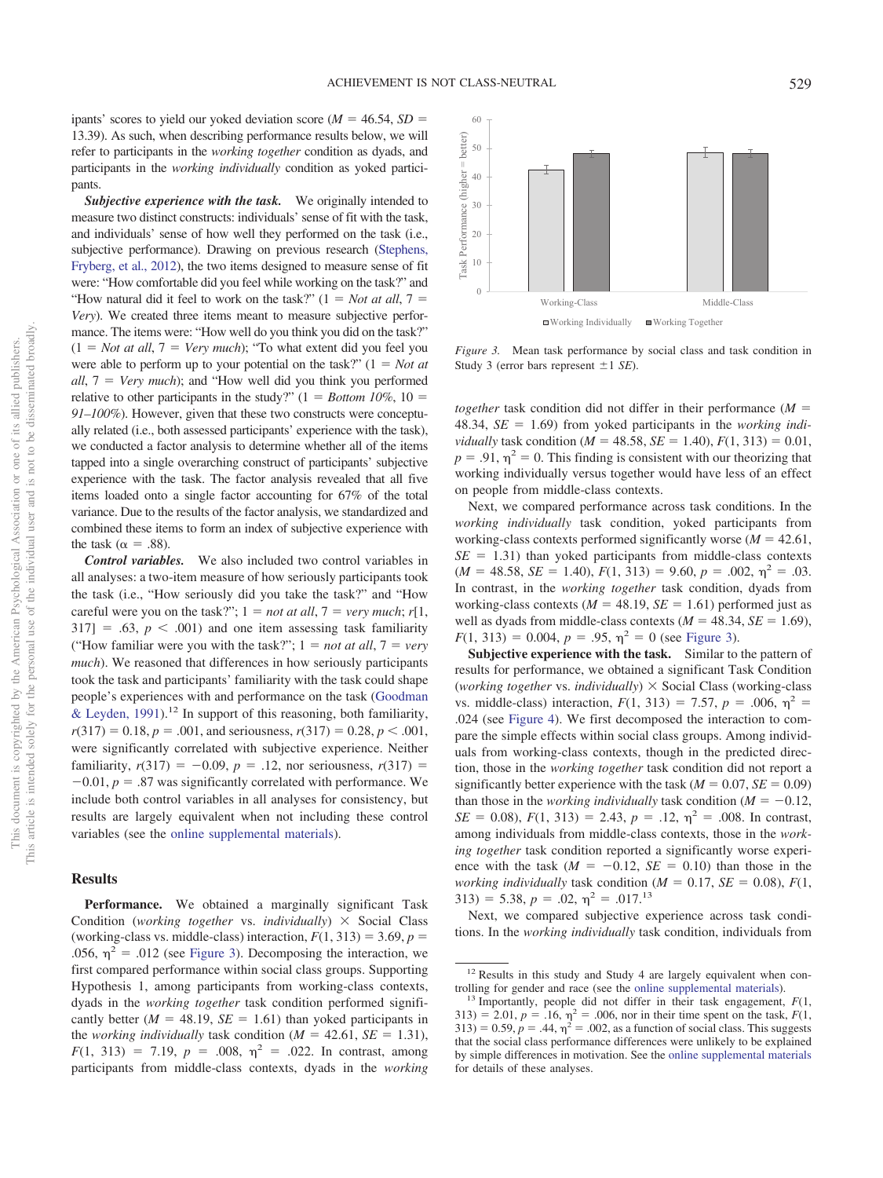ipants' scores to yield our yoked deviation score ( $M = 46.54$ ,  $SD =$ 13.39). As such, when describing performance results below, we will refer to participants in the *working together* condition as dyads, and participants in the *working individually* condition as yoked participants.

*Subjective experience with the task.* We originally intended to measure two distinct constructs: individuals' sense of fit with the task, and individuals' sense of how well they performed on the task (i.e., subjective performance). Drawing on previous research [\(Stephens,](#page-21-7) [Fryberg, et al., 2012\)](#page-21-7), the two items designed to measure sense of fit were: "How comfortable did you feel while working on the task?" and "How natural did it feel to work on the task?"  $(1 = Not at all, 7 = 1)$ *Very*). We created three items meant to measure subjective performance. The items were: "How well do you think you did on the task?"  $(1 = Not at all, 7 = Very much);$  "To what extent did you feel you were able to perform up to your potential on the task?"  $(1 = Not at$ *all*,  $7 = \text{Very much}$ ; and "How well did you think you performed relative to other participants in the study?"  $(1 = Bottom 10\%, 10 =$ *91–100%*). However, given that these two constructs were conceptually related (i.e., both assessed participants' experience with the task), we conducted a factor analysis to determine whether all of the items tapped into a single overarching construct of participants' subjective experience with the task. The factor analysis revealed that all five items loaded onto a single factor accounting for 67% of the total variance. Due to the results of the factor analysis, we standardized and combined these items to form an index of subjective experience with the task ( $\alpha = .88$ ).

*Control variables.* We also included two control variables in all analyses: a two-item measure of how seriously participants took the task (i.e., "How seriously did you take the task?" and "How careful were you on the task?";  $1 = not at all$ ,  $7 = very much$ ;  $r[1,$  $317$ ] = .63,  $p < .001$ ) and one item assessing task familiarity "How familiar were you with the task?";  $1 = not at all, 7 = very$ *much*). We reasoned that differences in how seriously participants took the task and participants' familiarity with the task could shape people's experiences with and performance on the task [\(Goodman](#page-19-30) [& Leyden, 1991\)](#page-19-30).<sup>12</sup> In support of this reasoning, both familiarity,  $r(317) = 0.18$ ,  $p = .001$ , and seriousness,  $r(317) = 0.28$ ,  $p < .001$ , were significantly correlated with subjective experience. Neither familiarity,  $r(317) = -0.09$ ,  $p = .12$ , nor seriousness,  $r(317) =$  $-0.01$ ,  $p = .87$  was significantly correlated with performance. We include both control variables in all analyses for consistency, but results are largely equivalent when not including these control variables (see the [online supplemental materials\)](http://dx.doi.org/10.1037/pspa0000194.supp).

#### **Results**

**Performance.** We obtained a marginally significant Task Condition (*working together* vs. *individually*) × Social Class (working-class vs. middle-class) interaction,  $F(1, 313) = 3.69$ ,  $p =$ .056,  $\eta^2$  = .012 (see [Figure 3\)](#page-12-0). Decomposing the interaction, we first compared performance within social class groups. Supporting Hypothesis 1, among participants from working-class contexts, dyads in the *working together* task condition performed significantly better  $(M = 48.19, SE = 1.61)$  than yoked participants in the *working individually* task condition ( $M = 42.61$ ,  $SE = 1.31$ ),  $F(1, 313) = 7.19, p = .008, \eta^2 = .022$ . In contrast, among participants from middle-class contexts, dyads in the *working*



<span id="page-12-0"></span>*Figure 3.* Mean task performance by social class and task condition in Study 3 (error bars represent  $\pm 1$  *SE*).

*together* task condition did not differ in their performance  $(M =$ 48.34, *SE* - 1.69) from yoked participants in the *working individually* task condition ( $M = 48.58$ ,  $SE = 1.40$ ),  $F(1, 313) = 0.01$ ,  $p = .91$ ,  $\eta^2 = 0$ . This finding is consistent with our theorizing that working individually versus together would have less of an effect on people from middle-class contexts.

Next, we compared performance across task conditions. In the *working individually* task condition, yoked participants from working-class contexts performed significantly worse  $(M = 42.61,$  $SE = 1.31$ ) than yoked participants from middle-class contexts  $(M = 48.58, SE = 1.40), F(1, 313) = 9.60, p = .002, \eta^2 = .03.$ In contrast, in the *working together* task condition, dyads from working-class contexts  $(M = 48.19, SE = 1.61)$  performed just as well as dyads from middle-class contexts  $(M = 48.34, SE = 1.69)$ ,  $F(1, 313) = 0.004$ ,  $p = .95$ ,  $\eta^2 = 0$  (see [Figure 3\)](#page-12-0).

**Subjective experience with the task.** Similar to the pattern of results for performance, we obtained a significant Task Condition (*working together* vs. *individually*) Social Class (working-class vs. middle-class) interaction,  $F(1, 313) = 7.57$ ,  $p = .006$ ,  $\eta^2 =$ .024 (see [Figure 4\)](#page-13-0). We first decomposed the interaction to compare the simple effects within social class groups. Among individuals from working-class contexts, though in the predicted direction, those in the *working together* task condition did not report a significantly better experience with the task ( $M = 0.07$ ,  $SE = 0.09$ ) than those in the *working individually* task condition ( $M = -0.12$ ,  $SE = 0.08$ ,  $F(1, 313) = 2.43$ ,  $p = .12$ ,  $\eta^2 = .008$ . In contrast, among individuals from middle-class contexts, those in the *working together* task condition reported a significantly worse experience with the task  $(M = -0.12, SE = 0.10)$  than those in the *working individually* task condition ( $M = 0.17$ ,  $SE = 0.08$ ),  $F(1, 0.08)$  $313$ ) = 5.38,  $p = .02$ ,  $\eta^2 = .017$ .<sup>13</sup>

Next, we compared subjective experience across task conditions. In the *working individually* task condition, individuals from

<sup>&</sup>lt;sup>12</sup> Results in this study and Study 4 are largely equivalent when con-

trolling for gender and race (see the [online supplemental materials\)](http://dx.doi.org/10.1037/pspa0000194.supp). <sup>13</sup> Importantly, people did not differ in their task engagement, *<sup>F</sup>*(1,  $(313) = 2.01, p = .16, \eta^2 = .006$ , nor in their time spent on the task,  $F(1, \eta)$  $(313) = 0.59, p = .44, \eta^2 = .002$ , as a function of social class. This suggests that the social class performance differences were unlikely to be explained by simple differences in motivation. See the [online supplemental materials](http://dx.doi.org/10.1037/pspa0000194.supp) for details of these analyses.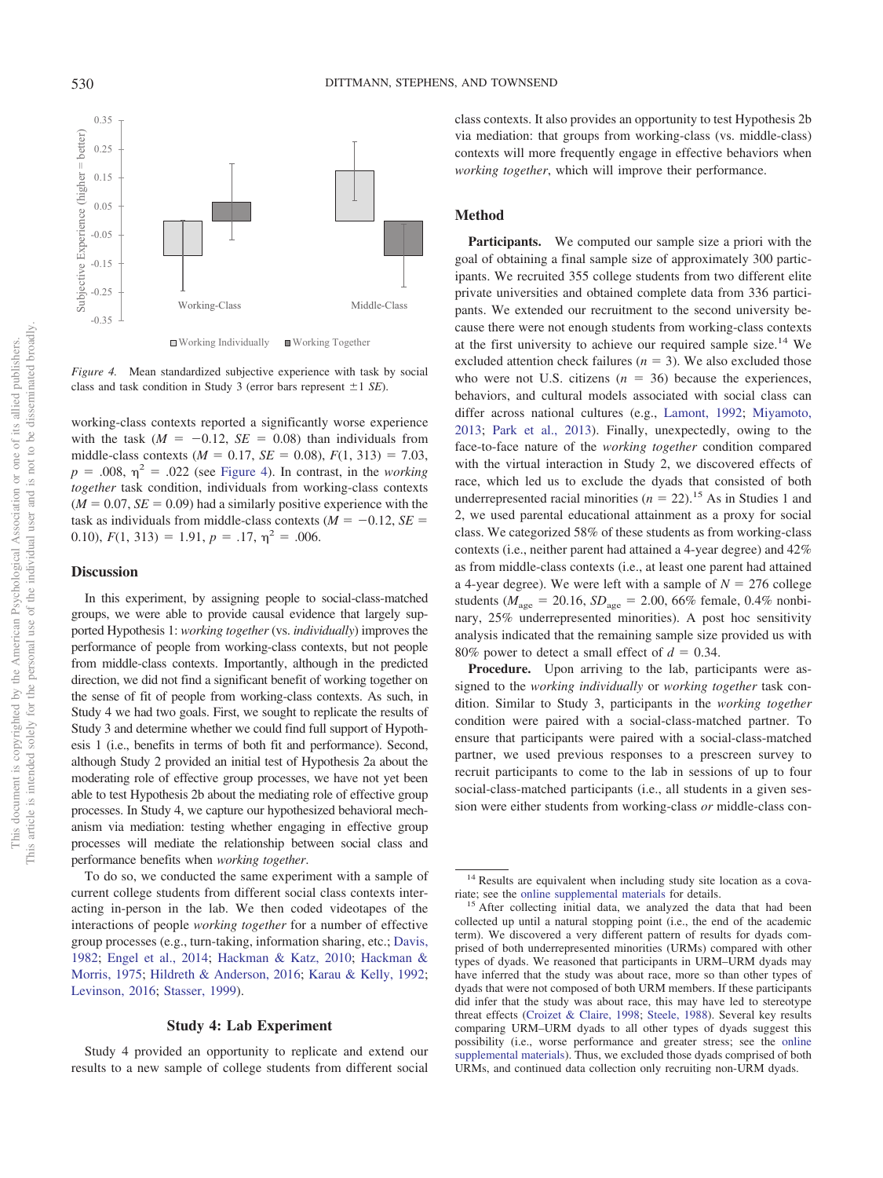0.35 Subjective Experience (higher  $=$  better) Subjective Experience (higher = better) 0.25 0.15 0.05  $-0.05$  $-0.15$  $-0.25$ Working-Class Middle-Class -0.35 Working Individually **Working Together** 

<span id="page-13-0"></span>*Figure 4.* Mean standardized subjective experience with task by social class and task condition in Study 3 (error bars represent  $\pm 1$  *SE*).

working-class contexts reported a significantly worse experience with the task  $(M = -0.12, SE = 0.08)$  than individuals from middle-class contexts ( $M = 0.17$ ,  $SE = 0.08$ ),  $F(1, 313) = 7.03$ ,  $p = .008$ ,  $\eta^2 = .022$  (see [Figure 4\)](#page-13-0). In contrast, in the *working together* task condition, individuals from working-class contexts  $(M = 0.07, SE = 0.09)$  had a similarly positive experience with the task as individuals from middle-class contexts  $(M = -0.12, SE =$ 0.10),  $F(1, 313) = 1.91$ ,  $p = .17$ ,  $\eta^2 = .006$ .

#### **Discussion**

In this experiment, by assigning people to social-class-matched groups, we were able to provide causal evidence that largely supported Hypothesis 1: *working together* (vs. *individually*) improves the performance of people from working-class contexts, but not people from middle-class contexts. Importantly, although in the predicted direction, we did not find a significant benefit of working together on the sense of fit of people from working-class contexts. As such, in Study 4 we had two goals. First, we sought to replicate the results of Study 3 and determine whether we could find full support of Hypothesis 1 (i.e., benefits in terms of both fit and performance). Second, although Study 2 provided an initial test of Hypothesis 2a about the moderating role of effective group processes, we have not yet been able to test Hypothesis 2b about the mediating role of effective group processes. In Study 4, we capture our hypothesized behavioral mechanism via mediation: testing whether engaging in effective group processes will mediate the relationship between social class and performance benefits when *working together*.

To do so, we conducted the same experiment with a sample of current college students from different social class contexts interacting in-person in the lab. We then coded videotapes of the interactions of people *working together* for a number of effective group processes (e.g., turn-taking, information sharing, etc.; [Davis,](#page-19-24) [1982;](#page-19-24) [Engel et al., 2014;](#page-19-25) [Hackman & Katz, 2010;](#page-19-22) [Hackman &](#page-19-23) [Morris, 1975;](#page-19-23) [Hildreth & Anderson, 2016;](#page-19-11) [Karau & Kelly, 1992;](#page-20-17) [Levinson, 2016;](#page-20-18) [Stasser, 1999\)](#page-21-21).

## **Study 4: Lab Experiment**

Study 4 provided an opportunity to replicate and extend our results to a new sample of college students from different social class contexts. It also provides an opportunity to test Hypothesis 2b via mediation: that groups from working-class (vs. middle-class) contexts will more frequently engage in effective behaviors when *working together*, which will improve their performance.

#### **Method**

Participants. We computed our sample size a priori with the goal of obtaining a final sample size of approximately 300 participants. We recruited 355 college students from two different elite private universities and obtained complete data from 336 participants. We extended our recruitment to the second university because there were not enough students from working-class contexts at the first university to achieve our required sample size.14 We excluded attention check failures  $(n = 3)$ . We also excluded those who were not U.S. citizens  $(n = 36)$  because the experiences, behaviors, and cultural models associated with social class can differ across national cultures (e.g., [Lamont, 1992;](#page-20-29) [Miyamoto,](#page-20-30) [2013;](#page-20-30) [Park et al., 2013\)](#page-20-31). Finally, unexpectedly, owing to the face-to-face nature of the *working together* condition compared with the virtual interaction in Study 2, we discovered effects of race, which led us to exclude the dyads that consisted of both underrepresented racial minorities  $(n = 22)$ .<sup>15</sup> As in Studies 1 and 2, we used parental educational attainment as a proxy for social class. We categorized 58% of these students as from working-class contexts (i.e., neither parent had attained a 4-year degree) and 42% as from middle-class contexts (i.e., at least one parent had attained a 4-year degree). We were left with a sample of  $N = 276$  college students ( $M_{\text{age}} = 20.16$ ,  $SD_{\text{age}} = 2.00$ , 66% female, 0.4% nonbinary, 25% underrepresented minorities). A post hoc sensitivity analysis indicated that the remaining sample size provided us with 80% power to detect a small effect of  $d = 0.34$ .

**Procedure.** Upon arriving to the lab, participants were assigned to the *working individually* or *working together* task condition. Similar to Study 3, participants in the *working together* condition were paired with a social-class-matched partner. To ensure that participants were paired with a social-class-matched partner, we used previous responses to a prescreen survey to recruit participants to come to the lab in sessions of up to four social-class-matched participants (i.e., all students in a given session were either students from working-class *or* middle-class con-

<sup>&</sup>lt;sup>14</sup> Results are equivalent when including study site location as a cova-

riate; see the [online supplemental materials](http://dx.doi.org/10.1037/pspa0000194.supp) for details.<br><sup>15</sup> After collecting initial data, we analyzed the data that had been collected up until a natural stopping point (i.e., the end of the academic term). We discovered a very different pattern of results for dyads comprised of both underrepresented minorities (URMs) compared with other types of dyads. We reasoned that participants in URM–URM dyads may have inferred that the study was about race, more so than other types of dyads that were not composed of both URM members. If these participants did infer that the study was about race, this may have led to stereotype threat effects [\(Croizet & Claire, 1998;](#page-19-4) [Steele, 1988\)](#page-21-28). Several key results comparing URM–URM dyads to all other types of dyads suggest this possibility (i.e., worse performance and greater stress; see the [online](http://dx.doi.org/10.1037/pspa0000194.supp) [supplemental materials\)](http://dx.doi.org/10.1037/pspa0000194.supp). Thus, we excluded those dyads comprised of both URMs, and continued data collection only recruiting non-URM dyads.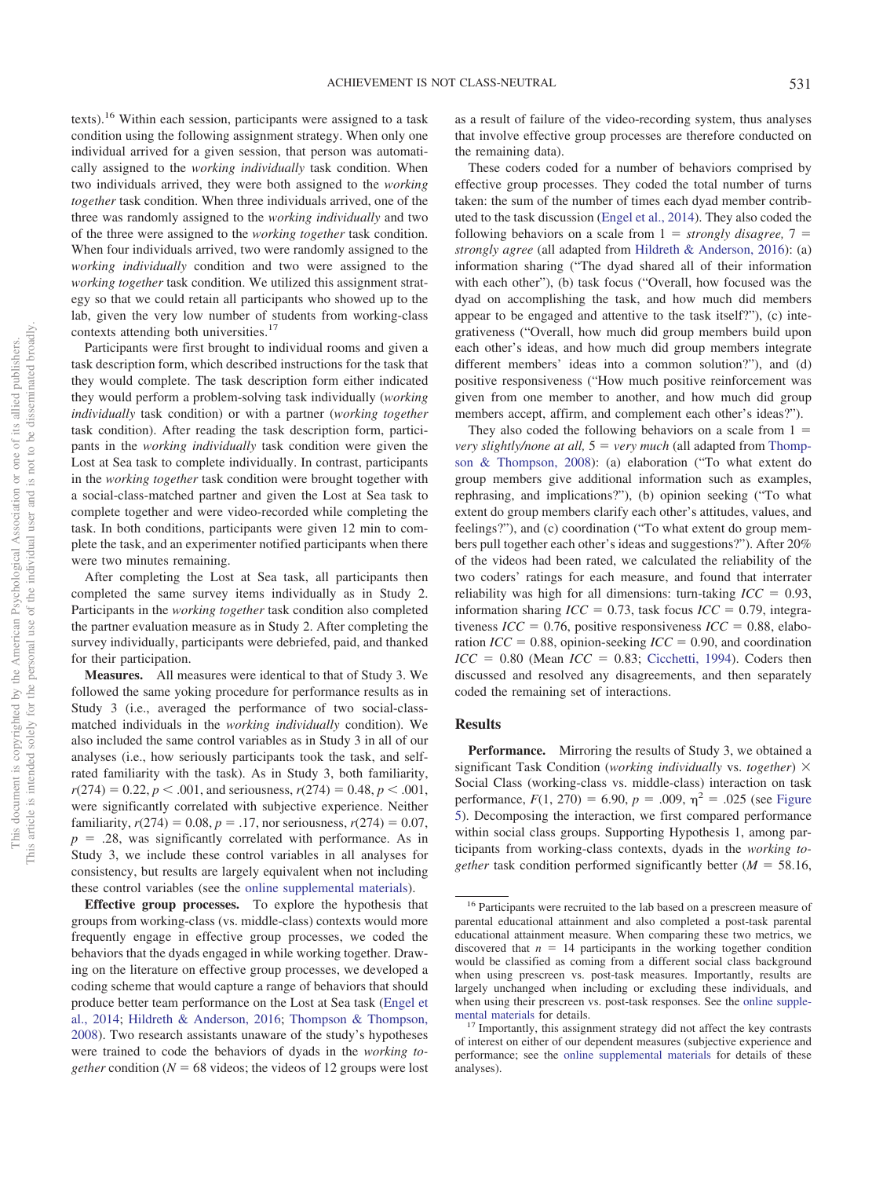texts).16 Within each session, participants were assigned to a task condition using the following assignment strategy. When only one individual arrived for a given session, that person was automatically assigned to the *working individually* task condition. When two individuals arrived, they were both assigned to the *working together* task condition. When three individuals arrived, one of the three was randomly assigned to the *working individually* and two of the three were assigned to the *working together* task condition. When four individuals arrived, two were randomly assigned to the *working individually* condition and two were assigned to the *working together* task condition. We utilized this assignment strategy so that we could retain all participants who showed up to the lab, given the very low number of students from working-class contexts attending both universities.<sup>17</sup>

Participants were first brought to individual rooms and given a task description form, which described instructions for the task that they would complete. The task description form either indicated they would perform a problem-solving task individually (*working individually* task condition) or with a partner (*working together* task condition). After reading the task description form, participants in the *working individually* task condition were given the Lost at Sea task to complete individually. In contrast, participants in the *working together* task condition were brought together with a social-class-matched partner and given the Lost at Sea task to complete together and were video-recorded while completing the task. In both conditions, participants were given 12 min to complete the task, and an experimenter notified participants when there were two minutes remaining.

After completing the Lost at Sea task, all participants then completed the same survey items individually as in Study 2. Participants in the *working together* task condition also completed the partner evaluation measure as in Study 2. After completing the survey individually, participants were debriefed, paid, and thanked for their participation.

**Measures.** All measures were identical to that of Study 3. We followed the same yoking procedure for performance results as in Study 3 (i.e., averaged the performance of two social-classmatched individuals in the *working individually* condition). We also included the same control variables as in Study 3 in all of our analyses (i.e., how seriously participants took the task, and selfrated familiarity with the task). As in Study 3, both familiarity,  $r(274) = 0.22, p < .001$ , and seriousness,  $r(274) = 0.48, p < .001$ , were significantly correlated with subjective experience. Neither familiarity,  $r(274) = 0.08$ ,  $p = .17$ , nor seriousness,  $r(274) = 0.07$ ,  $p = 0.28$ , was significantly correlated with performance. As in Study 3, we include these control variables in all analyses for consistency, but results are largely equivalent when not including these control variables (see the [online supplemental materials\)](http://dx.doi.org/10.1037/pspa0000194.supp).

**Effective group processes.** To explore the hypothesis that groups from working-class (vs. middle-class) contexts would more frequently engage in effective group processes, we coded the behaviors that the dyads engaged in while working together. Drawing on the literature on effective group processes, we developed a coding scheme that would capture a range of behaviors that should produce better team performance on the Lost at Sea task [\(Engel et](#page-19-25) [al., 2014;](#page-19-25) [Hildreth & Anderson, 2016;](#page-19-11) [Thompson & Thompson,](#page-21-29) [2008\)](#page-21-29). Two research assistants unaware of the study's hypotheses were trained to code the behaviors of dyads in the *working together* condition ( $N = 68$  videos; the videos of 12 groups were lost

as a result of failure of the video-recording system, thus analyses that involve effective group processes are therefore conducted on the remaining data).

These coders coded for a number of behaviors comprised by effective group processes. They coded the total number of turns taken: the sum of the number of times each dyad member contributed to the task discussion [\(Engel et al., 2014\)](#page-19-25). They also coded the following behaviors on a scale from  $1 =$  *strongly disagree*,  $7 =$ *strongly agree* (all adapted from [Hildreth & Anderson, 2016\)](#page-19-11): (a) information sharing ("The dyad shared all of their information with each other"), (b) task focus ("Overall, how focused was the dyad on accomplishing the task, and how much did members appear to be engaged and attentive to the task itself?"), (c) integrativeness ("Overall, how much did group members build upon each other's ideas, and how much did group members integrate different members' ideas into a common solution?"), and (d) positive responsiveness ("How much positive reinforcement was given from one member to another, and how much did group members accept, affirm, and complement each other's ideas?").

They also coded the following behaviors on a scale from  $1 =$ *very slightly/none at all,*  $5 = \text{very much (all adapted from Thompson$ [son & Thompson, 2008\)](#page-21-29): (a) elaboration ("To what extent do group members give additional information such as examples, rephrasing, and implications?"), (b) opinion seeking ("To what extent do group members clarify each other's attitudes, values, and feelings?"), and (c) coordination ("To what extent do group members pull together each other's ideas and suggestions?"). After 20% of the videos had been rated, we calculated the reliability of the two coders' ratings for each measure, and found that interrater reliability was high for all dimensions: turn-taking  $\textit{ICC} = 0.93$ , information sharing  $ICC = 0.73$ , task focus  $ICC = 0.79$ , integrativeness  $ICC = 0.76$ , positive responsiveness  $ICC = 0.88$ , elaboration  $ICC = 0.88$ , opinion-seeking  $ICC = 0.90$ , and coordination  $ICC = 0.80$  (Mean  $ICC = 0.83$ ; [Cicchetti, 1994\)](#page-18-13). Coders then discussed and resolved any disagreements, and then separately coded the remaining set of interactions.

#### **Results**

Performance. Mirroring the results of Study 3, we obtained a significant Task Condition (*working individually* vs. *together*) Social Class (working-class vs. middle-class) interaction on task performance,  $F(1, 270) = 6.90$ ,  $p = .009$ ,  $\eta^2 = .025$  (see [Figure](#page-15-0) [5\)](#page-15-0). Decomposing the interaction, we first compared performance within social class groups. Supporting Hypothesis 1, among participants from working-class contexts, dyads in the *working together* task condition performed significantly better  $(M = 58.16,$ 

<sup>&</sup>lt;sup>16</sup> Participants were recruited to the lab based on a prescreen measure of parental educational attainment and also completed a post-task parental educational attainment measure. When comparing these two metrics, we discovered that  $n = 14$  participants in the working together condition would be classified as coming from a different social class background when using prescreen vs. post-task measures. Importantly, results are largely unchanged when including or excluding these individuals, and when using their prescreen vs. post-task responses. See the [online supple-](http://dx.doi.org/10.1037/pspa0000194.supp)

[mental materials](http://dx.doi.org/10.1037/pspa0000194.supp) for details.<br><sup>17</sup> Importantly, this assignment strategy did not affect the key contrasts of interest on either of our dependent measures (subjective experience and performance; see the [online supplemental materials](http://dx.doi.org/10.1037/pspa0000194.supp) for details of these analyses).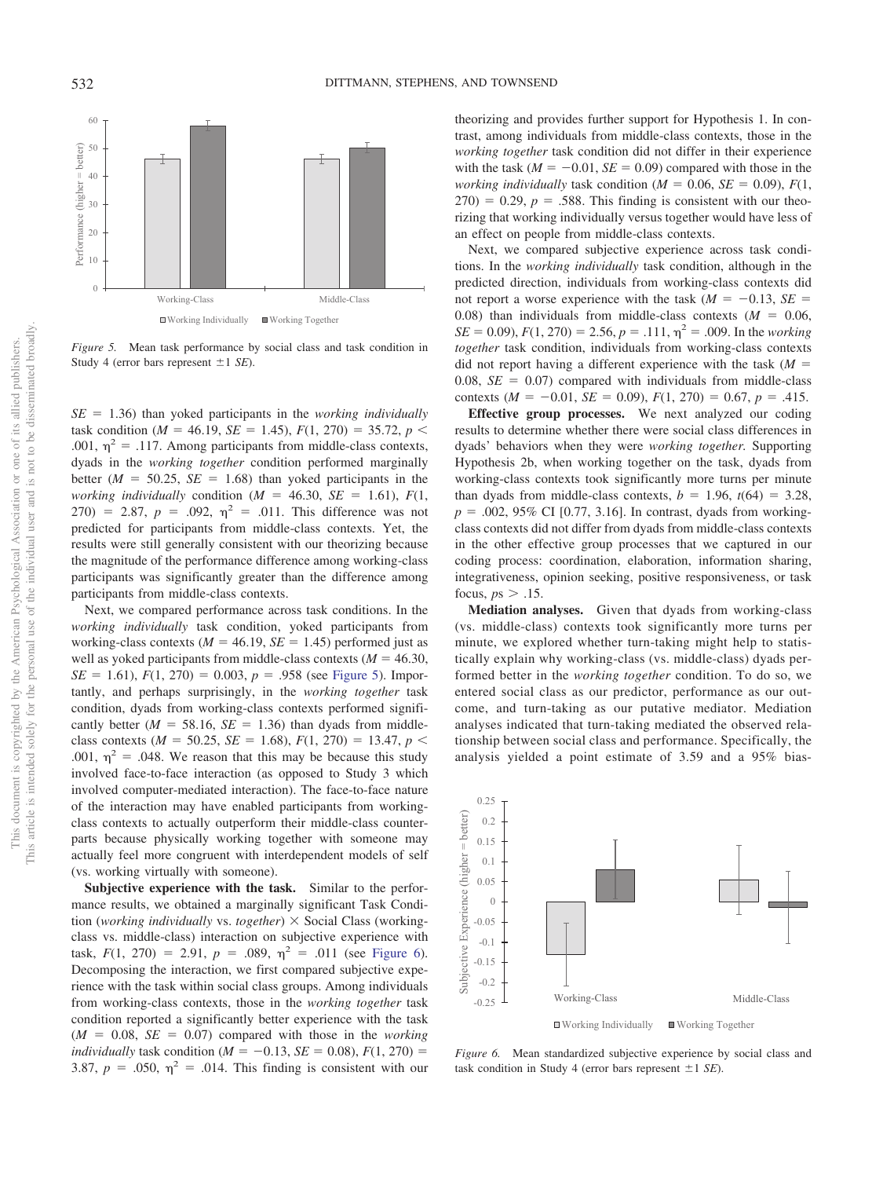

<span id="page-15-0"></span>*Figure 5.* Mean task performance by social class and task condition in Study 4 (error bars represent  $\pm 1$  *SE*).

 $SE = 1.36$ ) than yoked participants in the *working individually* task condition ( $M = 46.19$ ,  $SE = 1.45$ ),  $F(1, 270) = 35.72$ ,  $p <$ .001,  $\eta^2$  = .117. Among participants from middle-class contexts, dyads in the *working together* condition performed marginally better  $(M = 50.25, SE = 1.68)$  than yoked participants in the *working individually* condition ( $M = 46.30$ ,  $SE = 1.61$ ),  $F(1,$ 270) = 2.87,  $p = .092$ ,  $\eta^2 = .011$ . This difference was not predicted for participants from middle-class contexts. Yet, the results were still generally consistent with our theorizing because the magnitude of the performance difference among working-class participants was significantly greater than the difference among participants from middle-class contexts.

Next, we compared performance across task conditions. In the *working individually* task condition, yoked participants from working-class contexts ( $M = 46.19$ ,  $SE = 1.45$ ) performed just as well as yoked participants from middle-class contexts  $(M = 46.30,$  $SE = 1.61$ ,  $F(1, 270) = 0.003$ ,  $p = .958$  (see [Figure 5\)](#page-15-0). Importantly, and perhaps surprisingly, in the *working together* task condition, dyads from working-class contexts performed significantly better  $(M = 58.16, SE = 1.36)$  than dyads from middleclass contexts ( $M = 50.25$ ,  $SE = 1.68$ ),  $F(1, 270) = 13.47$ ,  $p <$ .001,  $\eta^2$  = .048. We reason that this may be because this study involved face-to-face interaction (as opposed to Study 3 which involved computer-mediated interaction). The face-to-face nature of the interaction may have enabled participants from workingclass contexts to actually outperform their middle-class counterparts because physically working together with someone may actually feel more congruent with interdependent models of self (vs. working virtually with someone).

**Subjective experience with the task.** Similar to the performance results, we obtained a marginally significant Task Condition (*working individually* vs. *together*) Social Class (workingclass vs. middle-class) interaction on subjective experience with task,  $F(1, 270) = 2.91$ ,  $p = .089$ ,  $\eta^2 = .011$  (see [Figure 6\)](#page-15-1). Decomposing the interaction, we first compared subjective experience with the task within social class groups. Among individuals from working-class contexts, those in the *working together* task condition reported a significantly better experience with the task  $(M = 0.08, SE = 0.07)$  compared with those in the *working individually* task condition ( $M = -0.13$ ,  $SE = 0.08$ ),  $F(1, 270) =$ 3.87,  $p = .050$ ,  $\eta^2 = .014$ . This finding is consistent with our theorizing and provides further support for Hypothesis 1. In contrast, among individuals from middle-class contexts, those in the *working together* task condition did not differ in their experience with the task  $(M = -0.01, SE = 0.09)$  compared with those in the *working individually* task condition ( $M = 0.06$ ,  $SE = 0.09$ ),  $F(1, 0.06)$  $(270) = 0.29$ ,  $p = .588$ . This finding is consistent with our theorizing that working individually versus together would have less of an effect on people from middle-class contexts.

Next, we compared subjective experience across task conditions. In the *working individually* task condition, although in the predicted direction, individuals from working-class contexts did not report a worse experience with the task  $(M = -0.13, SE =$ 0.08) than individuals from middle-class contexts  $(M = 0.06,$  $SE = 0.09$ ,  $F(1, 270) = 2.56$ ,  $p = .111$ ,  $\eta^2 = .009$ . In the *working together* task condition, individuals from working-class contexts did not report having a different experience with the task  $(M =$ 0.08,  $SE = 0.07$ ) compared with individuals from middle-class contexts ( $M = -0.01$ ,  $SE = 0.09$ ),  $F(1, 270) = 0.67$ ,  $p = .415$ .

**Effective group processes.** We next analyzed our coding results to determine whether there were social class differences in dyads' behaviors when they were *working together.* Supporting Hypothesis 2b, when working together on the task, dyads from working-class contexts took significantly more turns per minute than dyads from middle-class contexts,  $b = 1.96$ ,  $t(64) = 3.28$ ,  $p = .002, 95\% \text{ CI}$  [0.77, 3.16]. In contrast, dyads from workingclass contexts did not differ from dyads from middle-class contexts in the other effective group processes that we captured in our coding process: coordination, elaboration, information sharing, integrativeness, opinion seeking, positive responsiveness, or task focus,  $ps > .15$ .

**Mediation analyses.** Given that dyads from working-class (vs. middle-class) contexts took significantly more turns per minute, we explored whether turn-taking might help to statistically explain why working-class (vs. middle-class) dyads performed better in the *working together* condition. To do so, we entered social class as our predictor, performance as our outcome, and turn-taking as our putative mediator. Mediation analyses indicated that turn-taking mediated the observed relationship between social class and performance. Specifically, the analysis yielded a point estimate of 3.59 and a 95% bias-



<span id="page-15-1"></span>*Figure 6.* Mean standardized subjective experience by social class and task condition in Study 4 (error bars represent  $\pm 1$  *SE*).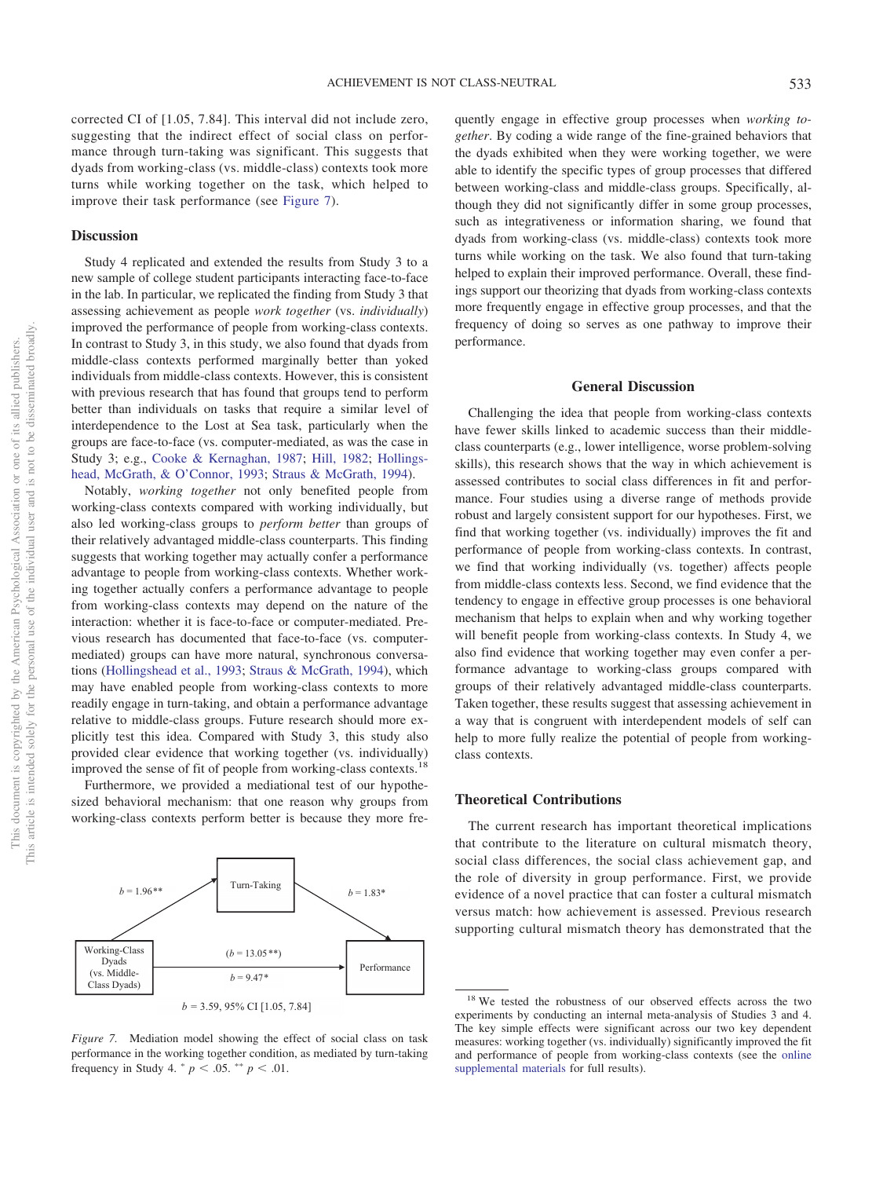corrected CI of [1.05, 7.84]. This interval did not include zero, suggesting that the indirect effect of social class on performance through turn-taking was significant. This suggests that dyads from working-class (vs. middle-class) contexts took more turns while working together on the task, which helped to improve their task performance (see [Figure 7\)](#page-16-0).

## **Discussion**

Study 4 replicated and extended the results from Study 3 to a new sample of college student participants interacting face-to-face in the lab. In particular, we replicated the finding from Study 3 that assessing achievement as people *work together* (vs. *individually*) improved the performance of people from working-class contexts. In contrast to Study 3, in this study, we also found that dyads from middle-class contexts performed marginally better than yoked individuals from middle-class contexts. However, this is consistent with previous research that has found that groups tend to perform better than individuals on tasks that require a similar level of interdependence to the Lost at Sea task, particularly when the groups are face-to-face (vs. computer-mediated, as was the case in Study 3; e.g., [Cooke & Kernaghan, 1987;](#page-19-31) [Hill, 1982;](#page-20-26) [Hollings](#page-20-32)[head, McGrath, & O'Connor, 1993;](#page-20-32) [Straus & McGrath, 1994\)](#page-21-30).

Notably, *working together* not only benefited people from working-class contexts compared with working individually, but also led working-class groups to *perform better* than groups of their relatively advantaged middle-class counterparts. This finding suggests that working together may actually confer a performance advantage to people from working-class contexts. Whether working together actually confers a performance advantage to people from working-class contexts may depend on the nature of the interaction: whether it is face-to-face or computer-mediated. Previous research has documented that face-to-face (vs. computermediated) groups can have more natural, synchronous conversations [\(Hollingshead et al., 1993;](#page-20-32) [Straus & McGrath, 1994\)](#page-21-30), which may have enabled people from working-class contexts to more readily engage in turn-taking, and obtain a performance advantage relative to middle-class groups. Future research should more explicitly test this idea. Compared with Study 3, this study also provided clear evidence that working together (vs. individually) improved the sense of fit of people from working-class contexts.<sup>18</sup>

Furthermore, we provided a mediational test of our hypothesized behavioral mechanism: that one reason why groups from working-class contexts perform better is because they more fre-



<span id="page-16-0"></span>*Figure 7.* Mediation model showing the effect of social class on task performance in the working together condition, as mediated by turn-taking frequency in Study 4.  $^{*} p < .05.$   $^{**} p < .01.$ 

quently engage in effective group processes when *working together*. By coding a wide range of the fine-grained behaviors that the dyads exhibited when they were working together, we were able to identify the specific types of group processes that differed between working-class and middle-class groups. Specifically, although they did not significantly differ in some group processes, such as integrativeness or information sharing, we found that dyads from working-class (vs. middle-class) contexts took more turns while working on the task. We also found that turn-taking helped to explain their improved performance. Overall, these findings support our theorizing that dyads from working-class contexts more frequently engage in effective group processes, and that the frequency of doing so serves as one pathway to improve their performance.

#### **General Discussion**

Challenging the idea that people from working-class contexts have fewer skills linked to academic success than their middleclass counterparts (e.g., lower intelligence, worse problem-solving skills), this research shows that the way in which achievement is assessed contributes to social class differences in fit and performance. Four studies using a diverse range of methods provide robust and largely consistent support for our hypotheses. First, we find that working together (vs. individually) improves the fit and performance of people from working-class contexts. In contrast, we find that working individually (vs. together) affects people from middle-class contexts less. Second, we find evidence that the tendency to engage in effective group processes is one behavioral mechanism that helps to explain when and why working together will benefit people from working-class contexts. In Study 4, we also find evidence that working together may even confer a performance advantage to working-class groups compared with groups of their relatively advantaged middle-class counterparts. Taken together, these results suggest that assessing achievement in a way that is congruent with interdependent models of self can help to more fully realize the potential of people from workingclass contexts.

#### **Theoretical Contributions**

The current research has important theoretical implications that contribute to the literature on cultural mismatch theory, social class differences, the social class achievement gap, and the role of diversity in group performance. First, we provide evidence of a novel practice that can foster a cultural mismatch versus match: how achievement is assessed. Previous research supporting cultural mismatch theory has demonstrated that the

<sup>&</sup>lt;sup>18</sup> We tested the robustness of our observed effects across the two experiments by conducting an internal meta-analysis of Studies 3 and 4. The key simple effects were significant across our two key dependent measures: working together (vs. individually) significantly improved the fit and performance of people from working-class contexts (see the [online](http://dx.doi.org/10.1037/pspa0000194.supp) [supplemental materials](http://dx.doi.org/10.1037/pspa0000194.supp) for full results).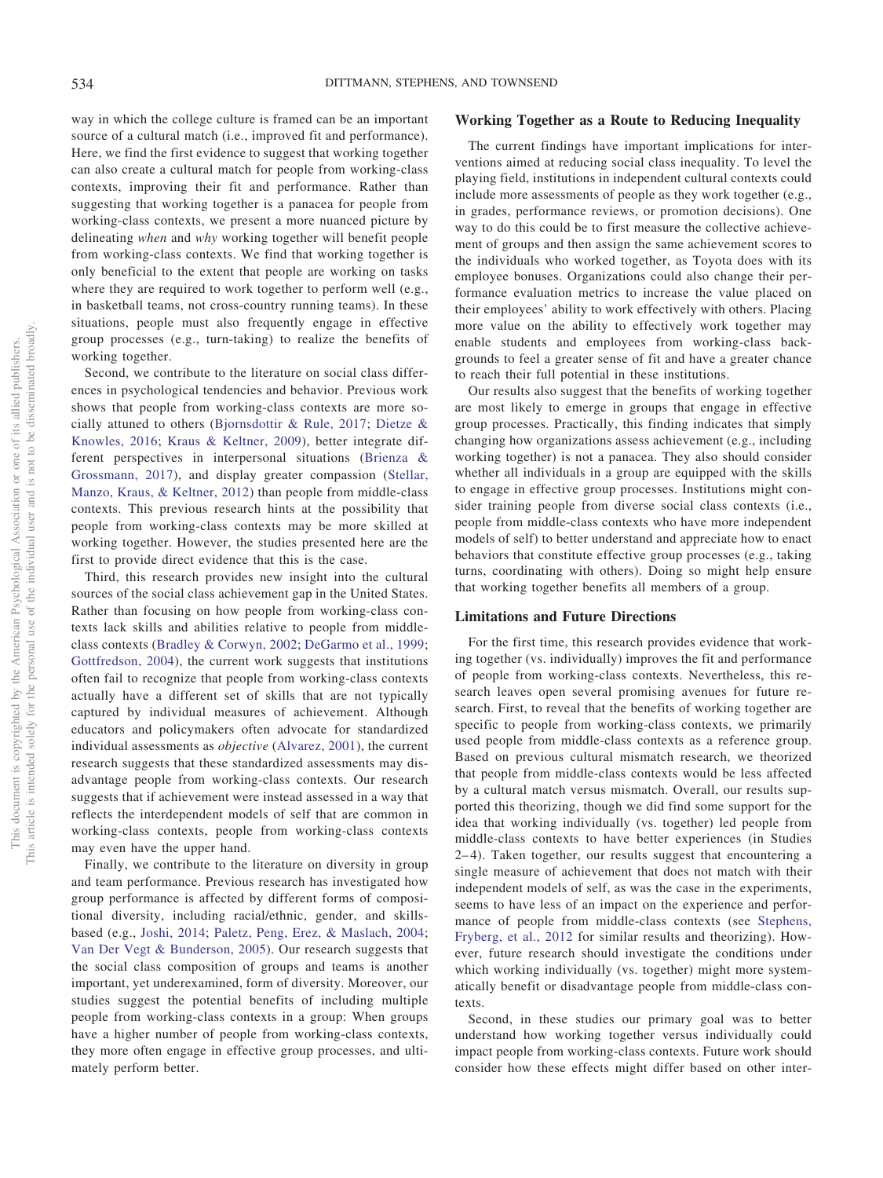way in which the college culture is framed can be an important source of a cultural match (i.e., improved fit and performance). Here, we find the first evidence to suggest that working together can also create a cultural match for people from working-class contexts, improving their fit and performance. Rather than suggesting that working together is a panacea for people from working-class contexts, we present a more nuanced picture by delineating *when* and *why* working together will benefit people from working-class contexts. We find that working together is only beneficial to the extent that people are working on tasks where they are required to work together to perform well (e.g., in basketball teams, not cross-country running teams). In these situations, people must also frequently engage in effective group processes (e.g., turn-taking) to realize the benefits of working together.

Second, we contribute to the literature on social class differences in psychological tendencies and behavior. Previous work shows that people from working-class contexts are more socially attuned to others [\(Bjornsdottir & Rule, 2017;](#page-18-3) [Dietze &](#page-19-12) [Knowles, 2016;](#page-19-12) [Kraus & Keltner, 2009\)](#page-20-4), better integrate different perspectives in interpersonal situations [\(Brienza &](#page-18-2) [Grossmann, 2017\)](#page-18-2), and display greater compassion [\(Stellar,](#page-21-31) [Manzo, Kraus, & Keltner, 2012\)](#page-21-31) than people from middle-class contexts. This previous research hints at the possibility that people from working-class contexts may be more skilled at working together. However, the studies presented here are the first to provide direct evidence that this is the case.

Third, this research provides new insight into the cultural sources of the social class achievement gap in the United States. Rather than focusing on how people from working-class contexts lack skills and abilities relative to people from middleclass contexts [\(Bradley & Corwyn, 2002;](#page-18-1) [DeGarmo et al., 1999;](#page-19-1) [Gottfredson, 2004\)](#page-19-2), the current work suggests that institutions often fail to recognize that people from working-class contexts actually have a different set of skills that are not typically captured by individual measures of achievement. Although educators and policymakers often advocate for standardized individual assessments as *objective* [\(Alvarez, 2001\)](#page-18-14), the current research suggests that these standardized assessments may disadvantage people from working-class contexts. Our research suggests that if achievement were instead assessed in a way that reflects the interdependent models of self that are common in working-class contexts, people from working-class contexts may even have the upper hand.

Finally, we contribute to the literature on diversity in group and team performance. Previous research has investigated how group performance is affected by different forms of compositional diversity, including racial/ethnic, gender, and skillsbased (e.g., [Joshi, 2014;](#page-20-33) [Paletz, Peng, Erez, & Maslach, 2004;](#page-20-34) [Van Der Vegt & Bunderson, 2005\)](#page-22-2). Our research suggests that the social class composition of groups and teams is another important, yet underexamined, form of diversity. Moreover, our studies suggest the potential benefits of including multiple people from working-class contexts in a group: When groups have a higher number of people from working-class contexts, they more often engage in effective group processes, and ultimately perform better.

## **Working Together as a Route to Reducing Inequality**

The current findings have important implications for interventions aimed at reducing social class inequality. To level the playing field, institutions in independent cultural contexts could include more assessments of people as they work together (e.g., in grades, performance reviews, or promotion decisions). One way to do this could be to first measure the collective achievement of groups and then assign the same achievement scores to the individuals who worked together, as Toyota does with its employee bonuses. Organizations could also change their performance evaluation metrics to increase the value placed on their employees' ability to work effectively with others. Placing more value on the ability to effectively work together may enable students and employees from working-class backgrounds to feel a greater sense of fit and have a greater chance to reach their full potential in these institutions.

Our results also suggest that the benefits of working together are most likely to emerge in groups that engage in effective group processes. Practically, this finding indicates that simply changing how organizations assess achievement (e.g., including working together) is not a panacea. They also should consider whether all individuals in a group are equipped with the skills to engage in effective group processes. Institutions might consider training people from diverse social class contexts (i.e., people from middle-class contexts who have more independent models of self) to better understand and appreciate how to enact behaviors that constitute effective group processes (e.g., taking turns, coordinating with others). Doing so might help ensure that working together benefits all members of a group.

#### **Limitations and Future Directions**

For the first time, this research provides evidence that working together (vs. individually) improves the fit and performance of people from working-class contexts. Nevertheless, this research leaves open several promising avenues for future research. First, to reveal that the benefits of working together are specific to people from working-class contexts, we primarily used people from middle-class contexts as a reference group. Based on previous cultural mismatch research, we theorized that people from middle-class contexts would be less affected by a cultural match versus mismatch. Overall, our results supported this theorizing, though we did find some support for the idea that working individually (vs. together) led people from middle-class contexts to have better experiences (in Studies 2– 4). Taken together, our results suggest that encountering a single measure of achievement that does not match with their independent models of self, as was the case in the experiments, seems to have less of an impact on the experience and performance of people from middle-class contexts (see [Stephens,](#page-21-7) [Fryberg, et al., 2012](#page-21-7) for similar results and theorizing). However, future research should investigate the conditions under which working individually (vs. together) might more systematically benefit or disadvantage people from middle-class contexts.

Second, in these studies our primary goal was to better understand how working together versus individually could impact people from working-class contexts. Future work should consider how these effects might differ based on other inter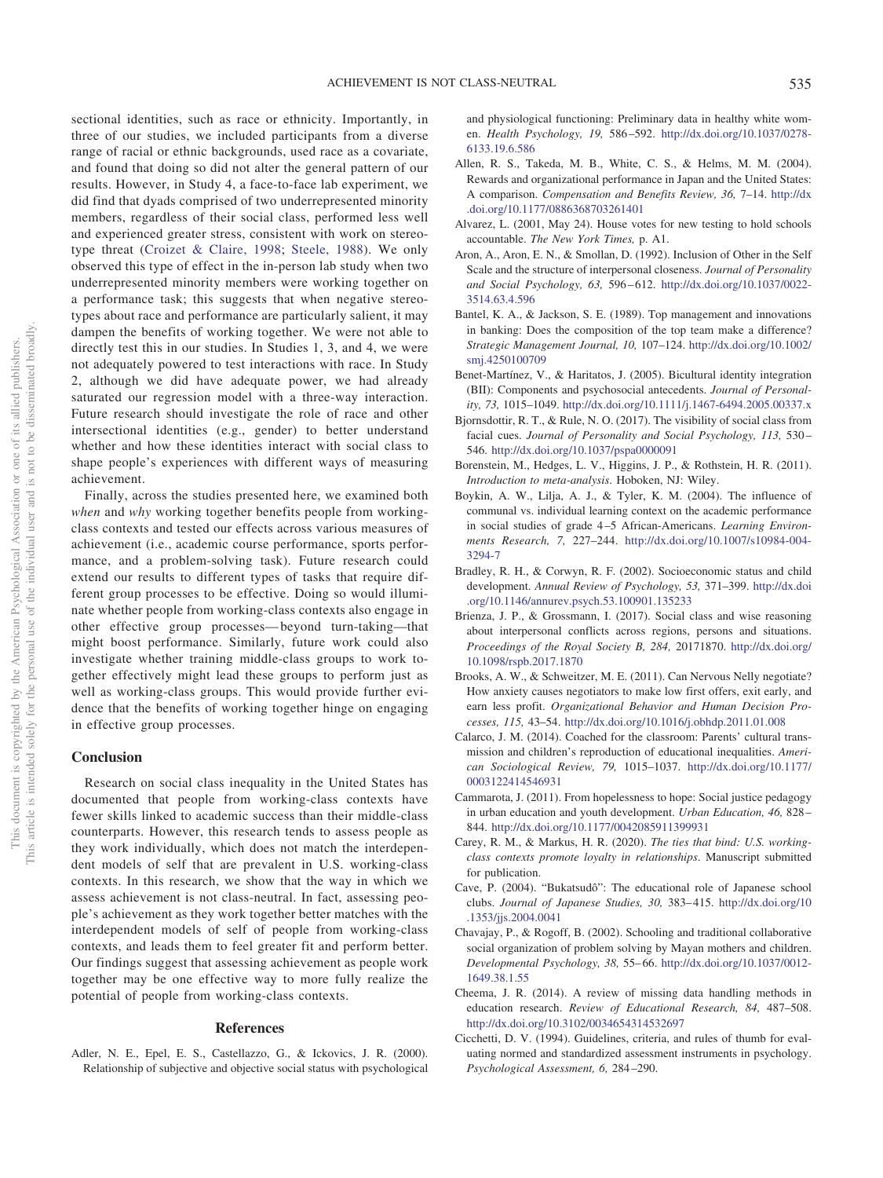sectional identities, such as race or ethnicity. Importantly, in three of our studies, we included participants from a diverse range of racial or ethnic backgrounds, used race as a covariate, and found that doing so did not alter the general pattern of our results. However, in Study 4, a face-to-face lab experiment, we did find that dyads comprised of two underrepresented minority members, regardless of their social class, performed less well and experienced greater stress, consistent with work on stereotype threat [\(Croizet & Claire, 1998;](#page-19-4) [Steele, 1988\)](#page-21-28). We only observed this type of effect in the in-person lab study when two underrepresented minority members were working together on a performance task; this suggests that when negative stereotypes about race and performance are particularly salient, it may dampen the benefits of working together. We were not able to directly test this in our studies. In Studies 1, 3, and 4, we were not adequately powered to test interactions with race. In Study 2, although we did have adequate power, we had already saturated our regression model with a three-way interaction. Future research should investigate the role of race and other intersectional identities (e.g., gender) to better understand whether and how these identities interact with social class to shape people's experiences with different ways of measuring achievement.

Finally, across the studies presented here, we examined both *when* and *why* working together benefits people from workingclass contexts and tested our effects across various measures of achievement (i.e., academic course performance, sports performance, and a problem-solving task). Future research could extend our results to different types of tasks that require different group processes to be effective. Doing so would illuminate whether people from working-class contexts also engage in other effective group processes— beyond turn-taking—that might boost performance. Similarly, future work could also investigate whether training middle-class groups to work together effectively might lead these groups to perform just as well as working-class groups. This would provide further evidence that the benefits of working together hinge on engaging in effective group processes.

### **Conclusion**

Research on social class inequality in the United States has documented that people from working-class contexts have fewer skills linked to academic success than their middle-class counterparts. However, this research tends to assess people as they work individually, which does not match the interdependent models of self that are prevalent in U.S. working-class contexts. In this research, we show that the way in which we assess achievement is not class-neutral. In fact, assessing people's achievement as they work together better matches with the interdependent models of self of people from working-class contexts, and leads them to feel greater fit and perform better. Our findings suggest that assessing achievement as people work together may be one effective way to more fully realize the potential of people from working-class contexts.

## **References**

Adler, N. E., Epel, E. S., Castellazzo, G., & Ickovics, J. R. (2000). Relationship of subjective and objective social status with psychological and physiological functioning: Preliminary data in healthy white women. *Health Psychology, 19,* 586 –592. [http://dx.doi.org/10.1037/0278-](http://dx.doi.org/10.1037/0278-6133.19.6.586) [6133.19.6.586](http://dx.doi.org/10.1037/0278-6133.19.6.586)

- <span id="page-18-7"></span>Allen, R. S., Takeda, M. B., White, C. S., & Helms, M. M. (2004). Rewards and organizational performance in Japan and the United States: A comparison. *Compensation and Benefits Review, 36,* 7–14. [http://dx](http://dx.doi.org/10.1177/0886368703261401) [.doi.org/10.1177/0886368703261401](http://dx.doi.org/10.1177/0886368703261401)
- <span id="page-18-14"></span>Alvarez, L. (2001, May 24). House votes for new testing to hold schools accountable. *The New York Times,* p. A1.
- Aron, A., Aron, E. N., & Smollan, D. (1992). Inclusion of Other in the Self Scale and the structure of interpersonal closeness. *Journal of Personality and Social Psychology, 63,* 596 – 612. [http://dx.doi.org/10.1037/0022-](http://dx.doi.org/10.1037/0022-3514.63.4.596) [3514.63.4.596](http://dx.doi.org/10.1037/0022-3514.63.4.596)
- <span id="page-18-11"></span>Bantel, K. A., & Jackson, S. E. (1989). Top management and innovations in banking: Does the composition of the top team make a difference? *Strategic Management Journal, 10,* 107–124. [http://dx.doi.org/10.1002/](http://dx.doi.org/10.1002/smj.4250100709) [smj.4250100709](http://dx.doi.org/10.1002/smj.4250100709)
- Benet-Martínez, V., & Haritatos, J. (2005). Bicultural identity integration (BII): Components and psychosocial antecedents. *Journal of Personality, 73,* 1015–1049. <http://dx.doi.org/10.1111/j.1467-6494.2005.00337.x>
- <span id="page-18-3"></span>Bjornsdottir, R. T., & Rule, N. O. (2017). The visibility of social class from facial cues. *Journal of Personality and Social Psychology, 113,* 530 – 546. <http://dx.doi.org/10.1037/pspa0000091>
- Borenstein, M., Hedges, L. V., Higgins, J. P., & Rothstein, H. R. (2011). *Introduction to meta-analysis*. Hoboken, NJ: Wiley.
- <span id="page-18-4"></span>Boykin, A. W., Lilja, A. J., & Tyler, K. M. (2004). The influence of communal vs. individual learning context on the academic performance in social studies of grade 4 –5 African-Americans. *Learning Environments Research, 7,* 227–244. [http://dx.doi.org/10.1007/s10984-004-](http://dx.doi.org/10.1007/s10984-004-3294-7) [3294-7](http://dx.doi.org/10.1007/s10984-004-3294-7)
- <span id="page-18-1"></span>Bradley, R. H., & Corwyn, R. F. (2002). Socioeconomic status and child development. *Annual Review of Psychology, 53,* 371–399. [http://dx.doi](http://dx.doi.org/10.1146/annurev.psych.53.100901.135233) [.org/10.1146/annurev.psych.53.100901.135233](http://dx.doi.org/10.1146/annurev.psych.53.100901.135233)
- <span id="page-18-2"></span>Brienza, J. P., & Grossmann, I. (2017). Social class and wise reasoning about interpersonal conflicts across regions, persons and situations. *Proceedings of the Royal Society B, 284,* 20171870. [http://dx.doi.org/](http://dx.doi.org/10.1098/rspb.2017.1870) [10.1098/rspb.2017.1870](http://dx.doi.org/10.1098/rspb.2017.1870)
- <span id="page-18-12"></span>Brooks, A. W., & Schweitzer, M. E. (2011). Can Nervous Nelly negotiate? How anxiety causes negotiators to make low first offers, exit early, and earn less profit. *Organizational Behavior and Human Decision Processes, 115,* 43–54. <http://dx.doi.org/10.1016/j.obhdp.2011.01.008>
- <span id="page-18-8"></span>Calarco, J. M. (2014). Coached for the classroom: Parents' cultural transmission and children's reproduction of educational inequalities. *American Sociological Review, 79,* 1015–1037. [http://dx.doi.org/10.1177/](http://dx.doi.org/10.1177/0003122414546931) [0003122414546931](http://dx.doi.org/10.1177/0003122414546931)
- <span id="page-18-0"></span>Cammarota, J. (2011). From hopelessness to hope: Social justice pedagogy in urban education and youth development. *Urban Education, 46,* 828 – 844. <http://dx.doi.org/10.1177/0042085911399931>
- <span id="page-18-9"></span>Carey, R. M., & Markus, H. R. (2020). *The ties that bind: U.S. workingclass contexts promote loyalty in relationships*. Manuscript submitted for publication.
- <span id="page-18-5"></span>Cave, P. (2004). "Bukatsudô": The educational role of Japanese school clubs. *Journal of Japanese Studies, 30,* 383– 415. [http://dx.doi.org/10](http://dx.doi.org/10.1353/jjs.2004.0041) [.1353/jjs.2004.0041](http://dx.doi.org/10.1353/jjs.2004.0041)
- <span id="page-18-6"></span>Chavajay, P., & Rogoff, B. (2002). Schooling and traditional collaborative social organization of problem solving by Mayan mothers and children. *Developmental Psychology, 38,* 55– 66. [http://dx.doi.org/10.1037/0012-](http://dx.doi.org/10.1037/0012-1649.38.1.55) [1649.38.1.55](http://dx.doi.org/10.1037/0012-1649.38.1.55)
- <span id="page-18-10"></span>Cheema, J. R. (2014). A review of missing data handling methods in education research. *Review of Educational Research, 84,* 487–508. <http://dx.doi.org/10.3102/0034654314532697>
- <span id="page-18-13"></span>Cicchetti, D. V. (1994). Guidelines, criteria, and rules of thumb for evaluating normed and standardized assessment instruments in psychology. *Psychological Assessment, 6,* 284 –290.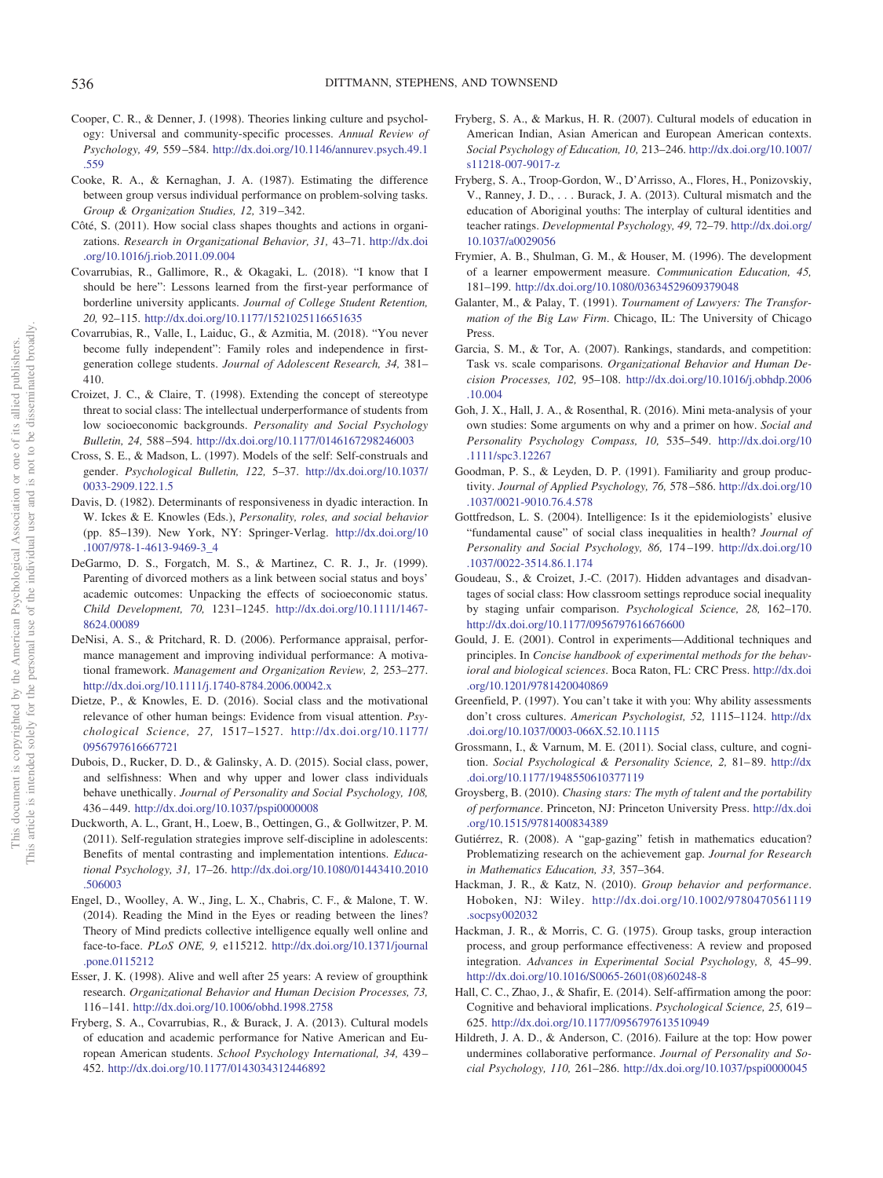- <span id="page-19-0"></span>Cooper, C. R., & Denner, J. (1998). Theories linking culture and psychology: Universal and community-specific processes. *Annual Review of Psychology, 49,* 559 –584. [http://dx.doi.org/10.1146/annurev.psych.49.1](http://dx.doi.org/10.1146/annurev.psych.49.1.559) [.559](http://dx.doi.org/10.1146/annurev.psych.49.1.559)
- <span id="page-19-31"></span>Cooke, R. A., & Kernaghan, J. A. (1987). Estimating the difference between group versus individual performance on problem-solving tasks. *Group & Organization Studies, 12,* 319 –342.
- <span id="page-19-19"></span>Côté, S. (2011). How social class shapes thoughts and actions in organizations. *Research in Organizational Behavior, 31,* 43–71. [http://dx.doi](http://dx.doi.org/10.1016/j.riob.2011.09.004) [.org/10.1016/j.riob.2011.09.004](http://dx.doi.org/10.1016/j.riob.2011.09.004)
- <span id="page-19-26"></span>Covarrubias, R., Gallimore, R., & Okagaki, L. (2018). "I know that I should be here": Lessons learned from the first-year performance of borderline university applicants. *Journal of College Student Retention, 20,* 92–115. <http://dx.doi.org/10.1177/1521025116651635>
- <span id="page-19-27"></span>Covarrubias, R., Valle, I., Laiduc, G., & Azmitia, M. (2018). "You never become fully independent": Family roles and independence in firstgeneration college students. *Journal of Adolescent Research, 34,* 381– 410.
- <span id="page-19-4"></span>Croizet, J. C., & Claire, T. (1998). Extending the concept of stereotype threat to social class: The intellectual underperformance of students from low socioeconomic backgrounds. *Personality and Social Psychology Bulletin, 24,* 588 –594. <http://dx.doi.org/10.1177/0146167298246003>
- <span id="page-19-13"></span>Cross, S. E., & Madson, L. (1997). Models of the self: Self-construals and gender. *Psychological Bulletin, 122,* 5–37. [http://dx.doi.org/10.1037/](http://dx.doi.org/10.1037/0033-2909.122.1.5) [0033-2909.122.1.5](http://dx.doi.org/10.1037/0033-2909.122.1.5)
- <span id="page-19-24"></span>Davis, D. (1982). Determinants of responsiveness in dyadic interaction. In W. Ickes & E. Knowles (Eds.), *Personality, roles, and social behavior* (pp. 85–139). New York, NY: Springer-Verlag. [http://dx.doi.org/10](http://dx.doi.org/10.1007/978-1-4613-9469-3_4) [.1007/978-1-4613-9469-3\\_4](http://dx.doi.org/10.1007/978-1-4613-9469-3_4)
- <span id="page-19-1"></span>DeGarmo, D. S., Forgatch, M. S., & Martinez, C. R. J., Jr. (1999). Parenting of divorced mothers as a link between social status and boys' academic outcomes: Unpacking the effects of socioeconomic status. *Child Development, 70,* 1231–1245. [http://dx.doi.org/10.1111/1467-](http://dx.doi.org/10.1111/1467-8624.00089) [8624.00089](http://dx.doi.org/10.1111/1467-8624.00089)
- <span id="page-19-17"></span>DeNisi, A. S., & Pritchard, R. D. (2006). Performance appraisal, performance management and improving individual performance: A motivational framework. *Management and Organization Review, 2,* 253–277. <http://dx.doi.org/10.1111/j.1740-8784.2006.00042.x>
- <span id="page-19-12"></span>Dietze, P., & Knowles, E. D. (2016). Social class and the motivational relevance of other human beings: Evidence from visual attention. *Psychological Science, 27,* 1517–1527. [http://dx.doi.org/10.1177/](http://dx.doi.org/10.1177/0956797616667721) [0956797616667721](http://dx.doi.org/10.1177/0956797616667721)
- <span id="page-19-20"></span>Dubois, D., Rucker, D. D., & Galinsky, A. D. (2015). Social class, power, and selfishness: When and why upper and lower class individuals behave unethically. *Journal of Personality and Social Psychology, 108,* 436 – 449. <http://dx.doi.org/10.1037/pspi0000008>
- <span id="page-19-6"></span>Duckworth, A. L., Grant, H., Loew, B., Oettingen, G., & Gollwitzer, P. M. (2011). Self-regulation strategies improve self-discipline in adolescents: Benefits of mental contrasting and implementation intentions. *Educational Psychology, 31,* 17–26. [http://dx.doi.org/10.1080/01443410.2010](http://dx.doi.org/10.1080/01443410.2010.506003) [.506003](http://dx.doi.org/10.1080/01443410.2010.506003)
- <span id="page-19-25"></span>Engel, D., Woolley, A. W., Jing, L. X., Chabris, C. F., & Malone, T. W. (2014). Reading the Mind in the Eyes or reading between the lines? Theory of Mind predicts collective intelligence equally well online and face-to-face. *PLoS ONE, 9,* e115212. [http://dx.doi.org/10.1371/journal](http://dx.doi.org/10.1371/journal.pone.0115212) [.pone.0115212](http://dx.doi.org/10.1371/journal.pone.0115212)
- <span id="page-19-28"></span>Esser, J. K. (1998). Alive and well after 25 years: A review of groupthink research. *Organizational Behavior and Human Decision Processes, 73,* 116 –141. <http://dx.doi.org/10.1006/obhd.1998.2758>
- <span id="page-19-14"></span>Fryberg, S. A., Covarrubias, R., & Burack, J. A. (2013). Cultural models of education and academic performance for Native American and European American students. *School Psychology International, 34,* 439 – 452. <http://dx.doi.org/10.1177/0143034312446892>
- <span id="page-19-8"></span>Fryberg, S. A., & Markus, H. R. (2007). Cultural models of education in American Indian, Asian American and European American contexts. *Social Psychology of Education, 10,* 213–246. [http://dx.doi.org/10.1007/](http://dx.doi.org/10.1007/s11218-007-9017-z) [s11218-007-9017-z](http://dx.doi.org/10.1007/s11218-007-9017-z)
- <span id="page-19-7"></span>Fryberg, S. A., Troop-Gordon, W., D'Arrisso, A., Flores, H., Ponizovskiy, V., Ranney, J. D.,... Burack, J. A. (2013). Cultural mismatch and the education of Aboriginal youths: The interplay of cultural identities and teacher ratings. *Developmental Psychology, 49,* 72–79. [http://dx.doi.org/](http://dx.doi.org/10.1037/a0029056) [10.1037/a0029056](http://dx.doi.org/10.1037/a0029056)
- Frymier, A. B., Shulman, G. M., & Houser, M. (1996). The development of a learner empowerment measure. *Communication Education, 45,* 181–199. <http://dx.doi.org/10.1080/03634529609379048>
- <span id="page-19-18"></span>Galanter, M., & Palay, T. (1991). *Tournament of Lawyers: The Transformation of the Big Law Firm*. Chicago, IL: The University of Chicago Press.
- <span id="page-19-15"></span>Garcia, S. M., & Tor, A. (2007). Rankings, standards, and competition: Task vs. scale comparisons. *Organizational Behavior and Human Decision Processes, 102,* 95–108. [http://dx.doi.org/10.1016/j.obhdp.2006](http://dx.doi.org/10.1016/j.obhdp.2006.10.004) [.10.004](http://dx.doi.org/10.1016/j.obhdp.2006.10.004)
- Goh, J. X., Hall, J. A., & Rosenthal, R. (2016). Mini meta-analysis of your own studies: Some arguments on why and a primer on how. *Social and Personality Psychology Compass, 10,* 535–549. [http://dx.doi.org/10](http://dx.doi.org/10.1111/spc3.12267) [.1111/spc3.12267](http://dx.doi.org/10.1111/spc3.12267)
- <span id="page-19-30"></span>Goodman, P. S., & Leyden, D. P. (1991). Familiarity and group productivity. *Journal of Applied Psychology, 76,* 578 –586. [http://dx.doi.org/10](http://dx.doi.org/10.1037/0021-9010.76.4.578) [.1037/0021-9010.76.4.578](http://dx.doi.org/10.1037/0021-9010.76.4.578)
- <span id="page-19-2"></span>Gottfredson, L. S. (2004). Intelligence: Is it the epidemiologists' elusive "fundamental cause" of social class inequalities in health? *Journal of Personality and Social Psychology, 86,* 174 –199. [http://dx.doi.org/10](http://dx.doi.org/10.1037/0022-3514.86.1.174) [.1037/0022-3514.86.1.174](http://dx.doi.org/10.1037/0022-3514.86.1.174)
- <span id="page-19-9"></span>Goudeau, S., & Croizet, J.-C. (2017). Hidden advantages and disadvantages of social class: How classroom settings reproduce social inequality by staging unfair comparison. *Psychological Science, 28,* 162–170. <http://dx.doi.org/10.1177/0956797616676600>
- <span id="page-19-29"></span>Gould, J. E. (2001). Control in experiments—Additional techniques and principles. In *Concise handbook of experimental methods for the behavioral and biological sciences*. Boca Raton, FL: CRC Press. [http://dx.doi](http://dx.doi.org/10.1201/9781420040869) [.org/10.1201/9781420040869](http://dx.doi.org/10.1201/9781420040869)
- <span id="page-19-10"></span>Greenfield, P. (1997). You can't take it with you: Why ability assessments don't cross cultures. *American Psychologist, 52,* 1115–1124. [http://dx](http://dx.doi.org/10.1037/0003-066X.52.10.1115) [.doi.org/10.1037/0003-066X.52.10.1115](http://dx.doi.org/10.1037/0003-066X.52.10.1115)
- <span id="page-19-21"></span>Grossmann, I., & Varnum, M. E. (2011). Social class, culture, and cognition. *Social Psychological & Personality Science, 2,* 81– 89. [http://dx](http://dx.doi.org/10.1177/1948550610377119) [.doi.org/10.1177/1948550610377119](http://dx.doi.org/10.1177/1948550610377119)
- <span id="page-19-16"></span>Groysberg, B. (2010). *Chasing stars: The myth of talent and the portability of performance*. Princeton, NJ: Princeton University Press. [http://dx.doi](http://dx.doi.org/10.1515/9781400834389) [.org/10.1515/9781400834389](http://dx.doi.org/10.1515/9781400834389)
- <span id="page-19-5"></span>Gutiérrez, R. (2008). A "gap-gazing" fetish in mathematics education? Problematizing research on the achievement gap. *Journal for Research in Mathematics Education, 33,* 357–364.
- <span id="page-19-22"></span>Hackman, J. R., & Katz, N. (2010). *Group behavior and performance*. Hoboken, NJ: Wiley. [http://dx.doi.org/10.1002/9780470561119](http://dx.doi.org/10.1002/9780470561119.socpsy002032) [.socpsy002032](http://dx.doi.org/10.1002/9780470561119.socpsy002032)
- <span id="page-19-23"></span>Hackman, J. R., & Morris, C. G. (1975). Group tasks, group interaction process, and group performance effectiveness: A review and proposed integration. *Advances in Experimental Social Psychology, 8,* 45–99. [http://dx.doi.org/10.1016/S0065-2601\(08\)60248-8](http://dx.doi.org/10.1016/S0065-2601%2808%2960248-8)
- <span id="page-19-3"></span>Hall, C. C., Zhao, J., & Shafir, E. (2014). Self-affirmation among the poor: Cognitive and behavioral implications. *Psychological Science, 25,* 619 – 625. <http://dx.doi.org/10.1177/0956797613510949>
- <span id="page-19-11"></span>Hildreth, J. A. D., & Anderson, C. (2016). Failure at the top: How power undermines collaborative performance. *Journal of Personality and Social Psychology, 110,* 261–286. <http://dx.doi.org/10.1037/pspi0000045>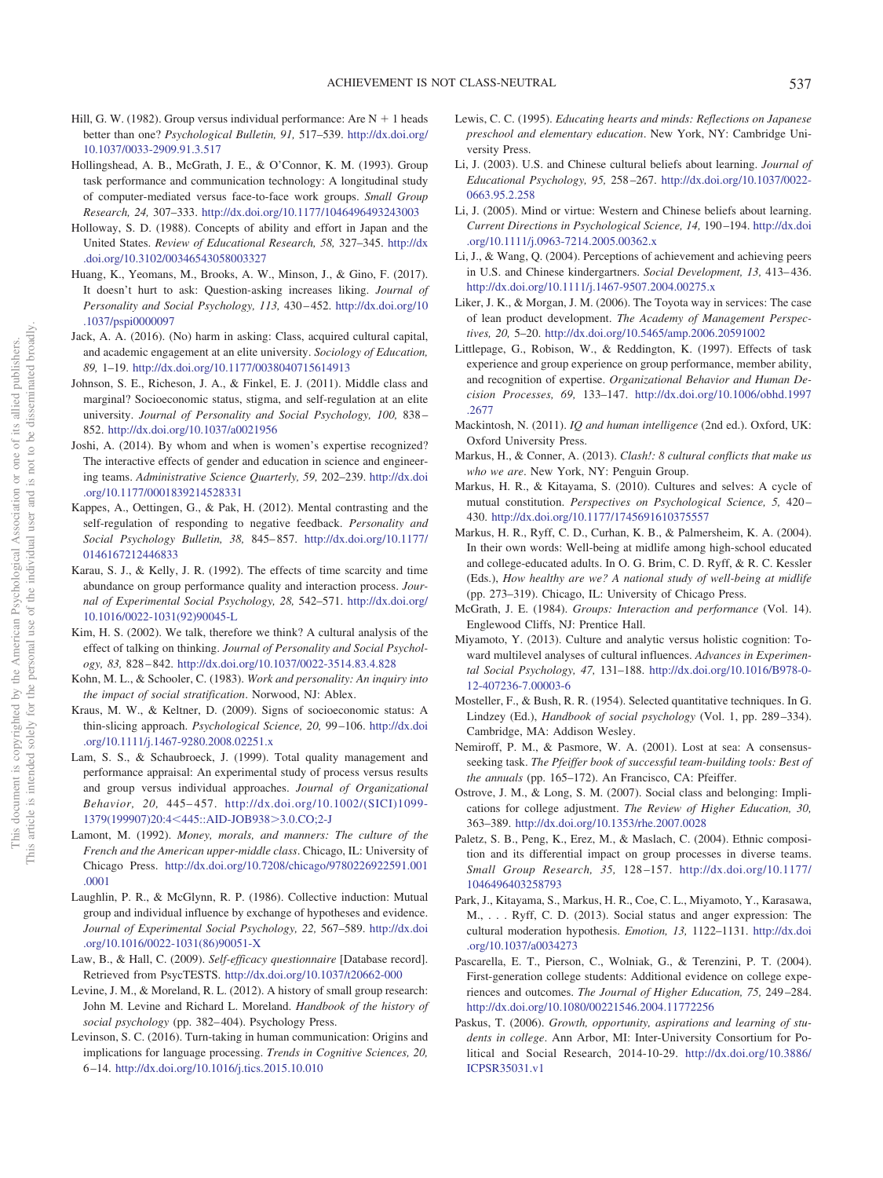- <span id="page-20-26"></span>Hill, G. W. (1982). Group versus individual performance: Are  $N + 1$  heads better than one? *Psychological Bulletin, 91,* 517–539. [http://dx.doi.org/](http://dx.doi.org/10.1037/0033-2909.91.3.517) [10.1037/0033-2909.91.3.517](http://dx.doi.org/10.1037/0033-2909.91.3.517)
- <span id="page-20-32"></span>Hollingshead, A. B., McGrath, J. E., & O'Connor, K. M. (1993). Group task performance and communication technology: A longitudinal study of computer-mediated versus face-to-face work groups. *Small Group Research, 24,* 307–333. <http://dx.doi.org/10.1177/1046496493243003>
- <span id="page-20-11"></span>Holloway, S. D. (1988). Concepts of ability and effort in Japan and the United States. *Review of Educational Research, 58,* 327–345. [http://dx](http://dx.doi.org/10.3102/00346543058003327) [.doi.org/10.3102/00346543058003327](http://dx.doi.org/10.3102/00346543058003327)
- <span id="page-20-23"></span>Huang, K., Yeomans, M., Brooks, A. W., Minson, J., & Gino, F. (2017). It doesn't hurt to ask: Question-asking increases liking. *Journal of Personality and Social Psychology, 113,* 430 – 452. [http://dx.doi.org/10](http://dx.doi.org/10.1037/pspi0000097) [.1037/pspi0000097](http://dx.doi.org/10.1037/pspi0000097)
- <span id="page-20-13"></span>Jack, A. A. (2016). (No) harm in asking: Class, acquired cultural capital, and academic engagement at an elite university. *Sociology of Education, 89,* 1–19. <http://dx.doi.org/10.1177/0038040715614913>
- <span id="page-20-15"></span>Johnson, S. E., Richeson, J. A., & Finkel, E. J. (2011). Middle class and marginal? Socioeconomic status, stigma, and self-regulation at an elite university. *Journal of Personality and Social Psychology, 100,* 838 – 852. <http://dx.doi.org/10.1037/a0021956>
- <span id="page-20-33"></span>Joshi, A. (2014). By whom and when is women's expertise recognized? The interactive effects of gender and education in science and engineering teams. *Administrative Science Quarterly, 59,* 202–239. [http://dx.doi](http://dx.doi.org/10.1177/0001839214528331) [.org/10.1177/0001839214528331](http://dx.doi.org/10.1177/0001839214528331)
- <span id="page-20-25"></span>Kappes, A., Oettingen, G., & Pak, H. (2012). Mental contrasting and the self-regulation of responding to negative feedback. *Personality and Social Psychology Bulletin, 38,* 845– 857. [http://dx.doi.org/10.1177/](http://dx.doi.org/10.1177/0146167212446833) [0146167212446833](http://dx.doi.org/10.1177/0146167212446833)
- <span id="page-20-17"></span>Karau, S. J., & Kelly, J. R. (1992). The effects of time scarcity and time abundance on group performance quality and interaction process. *Journal of Experimental Social Psychology, 28,* 542–571. [http://dx.doi.org/](http://dx.doi.org/10.1016/0022-1031%2892%2990045-L) [10.1016/0022-1031\(92\)90045-L](http://dx.doi.org/10.1016/0022-1031%2892%2990045-L)
- <span id="page-20-20"></span>Kim, H. S. (2002). We talk, therefore we think? A cultural analysis of the effect of talking on thinking. *Journal of Personality and Social Psychology, 83,* 828 – 842. <http://dx.doi.org/10.1037/0022-3514.83.4.828>
- <span id="page-20-14"></span>Kohn, M. L., & Schooler, C. (1983). *Work and personality: An inquiry into the impact of social stratification*. Norwood, NJ: Ablex.
- <span id="page-20-4"></span>Kraus, M. W., & Keltner, D. (2009). Signs of socioeconomic status: A thin-slicing approach. *Psychological Science, 20,* 99 –106. [http://dx.doi](http://dx.doi.org/10.1111/j.1467-9280.2008.02251.x) [.org/10.1111/j.1467-9280.2008.02251.x](http://dx.doi.org/10.1111/j.1467-9280.2008.02251.x)
- <span id="page-20-10"></span>Lam, S. S., & Schaubroeck, J. (1999). Total quality management and performance appraisal: An experimental study of process versus results and group versus individual approaches. *Journal of Organizational Behavior, 20,* 445– 457. [http://dx.doi.org/10.1002/\(SICI\)1099-](http://dx.doi.org/10.1002/%28SICI%291099-1379%28199907%2920:4%3C445::AID-JOB938%3E3.0.CO;2-J) [1379\(199907\)20:4](http://dx.doi.org/10.1002/%28SICI%291099-1379%28199907%2920:4%3C445::AID-JOB938%3E3.0.CO;2-J)<445::AID-JOB938>3.0.CO;2-J
- <span id="page-20-29"></span>Lamont, M. (1992). *Money, morals, and manners: The culture of the French and the American upper-middle class*. Chicago, IL: University of Chicago Press. [http://dx.doi.org/10.7208/chicago/9780226922591.001](http://dx.doi.org/10.7208/chicago/9780226922591.001.0001) [.0001](http://dx.doi.org/10.7208/chicago/9780226922591.001.0001)
- <span id="page-20-27"></span>Laughlin, P. R., & McGlynn, R. P. (1986). Collective induction: Mutual group and individual influence by exchange of hypotheses and evidence. *Journal of Experimental Social Psychology, 22,* 567–589. [http://dx.doi](http://dx.doi.org/10.1016/0022-1031%2886%2990051-X) [.org/10.1016/0022-1031\(86\)90051-X](http://dx.doi.org/10.1016/0022-1031%2886%2990051-X)
- Law, B., & Hall, C. (2009). *Self-efficacy questionnaire* [Database record]. Retrieved from PsycTESTS. <http://dx.doi.org/10.1037/t20662-000>
- <span id="page-20-8"></span>Levine, J. M., & Moreland, R. L. (2012). A history of small group research: John M. Levine and Richard L. Moreland. *Handbook of the history of social psychology* (pp. 382– 404). Psychology Press.
- <span id="page-20-18"></span>Levinson, S. C. (2016). Turn-taking in human communication: Origins and implications for language processing. *Trends in Cognitive Sciences, 20,* 6 –14. <http://dx.doi.org/10.1016/j.tics.2015.10.010>
- <span id="page-20-5"></span>Lewis, C. C. (1995). *Educating hearts and minds: Reflections on Japanese preschool and elementary education*. New York, NY: Cambridge University Press.
- <span id="page-20-6"></span>Li, J. (2003). U.S. and Chinese cultural beliefs about learning. *Journal of Educational Psychology, 95,* 258 –267. [http://dx.doi.org/10.1037/0022-](http://dx.doi.org/10.1037/0022-0663.95.2.258) [0663.95.2.258](http://dx.doi.org/10.1037/0022-0663.95.2.258)
- <span id="page-20-7"></span>Li, J. (2005). Mind or virtue: Western and Chinese beliefs about learning. *Current Directions in Psychological Science, 14,* 190 –194. [http://dx.doi](http://dx.doi.org/10.1111/j.0963-7214.2005.00362.x) [.org/10.1111/j.0963-7214.2005.00362.x](http://dx.doi.org/10.1111/j.0963-7214.2005.00362.x)
- <span id="page-20-9"></span>Li, J., & Wang, Q. (2004). Perceptions of achievement and achieving peers in U.S. and Chinese kindergartners. *Social Development, 13, 413-436*. <http://dx.doi.org/10.1111/j.1467-9507.2004.00275.x>
- <span id="page-20-12"></span>Liker, J. K., & Morgan, J. M. (2006). The Toyota way in services: The case of lean product development. *The Academy of Management Perspectives, 20,* 5–20. <http://dx.doi.org/10.5465/amp.2006.20591002>
- <span id="page-20-28"></span>Littlepage, G., Robison, W., & Reddington, K. (1997). Effects of task experience and group experience on group performance, member ability, and recognition of expertise. *Organizational Behavior and Human Decision Processes, 69,* 133–147. [http://dx.doi.org/10.1006/obhd.1997](http://dx.doi.org/10.1006/obhd.1997.2677) [.2677](http://dx.doi.org/10.1006/obhd.1997.2677)
- <span id="page-20-0"></span>Mackintosh, N. (2011). *IQ and human intelligence* (2nd ed.). Oxford, UK: Oxford University Press.
- <span id="page-20-1"></span>Markus, H., & Conner, A. (2013). *Clash!: 8 cultural conflicts that make us who we are*. New York, NY: Penguin Group.
- <span id="page-20-2"></span>Markus, H. R., & Kitayama, S. (2010). Cultures and selves: A cycle of mutual constitution. *Perspectives on Psychological Science, 5,* 420 – 430. <http://dx.doi.org/10.1177/1745691610375557>
- <span id="page-20-19"></span>Markus, H. R., Ryff, C. D., Curhan, K. B., & Palmersheim, K. A. (2004). In their own words: Well-being at midlife among high-school educated and college-educated adults. In O. G. Brim, C. D. Ryff, & R. C. Kessler (Eds.), *How healthy are we? A national study of well-being at midlife* (pp. 273–319). Chicago, IL: University of Chicago Press.
- <span id="page-20-3"></span>McGrath, J. E. (1984). *Groups: Interaction and performance* (Vol. 14). Englewood Cliffs, NJ: Prentice Hall.
- <span id="page-20-30"></span>Miyamoto, Y. (2013). Culture and analytic versus holistic cognition: Toward multilevel analyses of cultural influences. *Advances in Experimental Social Psychology, 47,* 131–188. [http://dx.doi.org/10.1016/B978-0-](http://dx.doi.org/10.1016/B978-0-12-407236-7.00003-6) [12-407236-7.00003-6](http://dx.doi.org/10.1016/B978-0-12-407236-7.00003-6)
- Mosteller, F., & Bush, R. R. (1954). Selected quantitative techniques. In G. Lindzey (Ed.), *Handbook of social psychology* (Vol. 1, pp. 289 –334). Cambridge, MA: Addison Wesley.
- <span id="page-20-24"></span>Nemiroff, P. M., & Pasmore, W. A. (2001). Lost at sea: A consensusseeking task. *The Pfeiffer book of successful team-building tools: Best of the annuals* (pp. 165–172). An Francisco, CA: Pfeiffer.
- <span id="page-20-16"></span>Ostrove, J. M., & Long, S. M. (2007). Social class and belonging: Implications for college adjustment. *The Review of Higher Education, 30,* 363–389. <http://dx.doi.org/10.1353/rhe.2007.0028>
- <span id="page-20-34"></span>Paletz, S. B., Peng, K., Erez, M., & Maslach, C. (2004). Ethnic composition and its differential impact on group processes in diverse teams. *Small Group Research, 35,* 128 –157. [http://dx.doi.org/10.1177/](http://dx.doi.org/10.1177/1046496403258793) [1046496403258793](http://dx.doi.org/10.1177/1046496403258793)
- <span id="page-20-31"></span>Park, J., Kitayama, S., Markus, H. R., Coe, C. L., Miyamoto, Y., Karasawa, M., . . . Ryff, C. D. (2013). Social status and anger expression: The cultural moderation hypothesis. *Emotion, 13,* 1122–1131. [http://dx.doi](http://dx.doi.org/10.1037/a0034273) [.org/10.1037/a0034273](http://dx.doi.org/10.1037/a0034273)
- <span id="page-20-21"></span>Pascarella, E. T., Pierson, C., Wolniak, G., & Terenzini, P. T. (2004). First-generation college students: Additional evidence on college experiences and outcomes. *The Journal of Higher Education, 75,* 249 –284. <http://dx.doi.org/10.1080/00221546.2004.11772256>
- <span id="page-20-22"></span>Paskus, T. (2006). *Growth, opportunity, aspirations and learning of students in college*. Ann Arbor, MI: Inter-University Consortium for Political and Social Research, 2014-10-29. [http://dx.doi.org/10.3886/](http://dx.doi.org/10.3886/ICPSR35031.v1) [ICPSR35031.v1](http://dx.doi.org/10.3886/ICPSR35031.v1)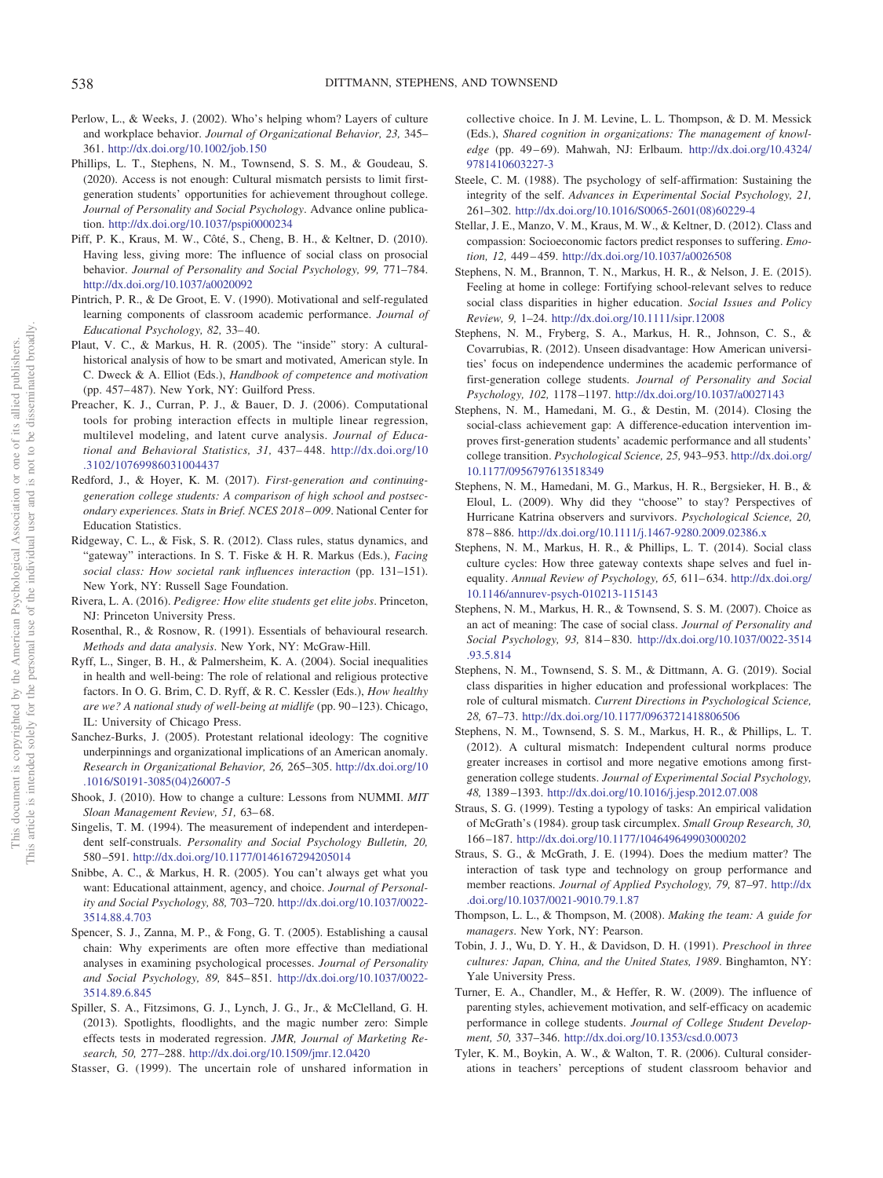- <span id="page-21-10"></span>Perlow, L., & Weeks, J. (2002). Who's helping whom? Layers of culture and workplace behavior. *Journal of Organizational Behavior, 23,* 345– 361. <http://dx.doi.org/10.1002/job.150>
- <span id="page-21-18"></span>Phillips, L. T., Stephens, N. M., Townsend, S. S. M., & Goudeau, S. (2020). Access is not enough: Cultural mismatch persists to limit firstgeneration students' opportunities for achievement throughout college. *Journal of Personality and Social Psychology*. Advance online publication. <http://dx.doi.org/10.1037/pspi0000234>
- <span id="page-21-17"></span>Piff, P. K., Kraus, M. W., Côté, S., Cheng, B. H., & Keltner, D. (2010). Having less, giving more: The influence of social class on prosocial behavior. *Journal of Personality and Social Psychology, 99,* 771–784. <http://dx.doi.org/10.1037/a0020092>
- <span id="page-21-1"></span>Pintrich, P. R., & De Groot, E. V. (1990). Motivational and self-regulated learning components of classroom academic performance. *Journal of Educational Psychology, 82,* 33– 40.
- <span id="page-21-0"></span>Plaut, V. C., & Markus, H. R. (2005). The "inside" story: A culturalhistorical analysis of how to be smart and motivated, American style. In C. Dweck & A. Elliot (Eds.), *Handbook of competence and motivation* (pp. 457– 487). New York, NY: Guilford Press.
- <span id="page-21-27"></span>Preacher, K. J., Curran, P. J., & Bauer, D. J. (2006). Computational tools for probing interaction effects in multiple linear regression, multilevel modeling, and latent curve analysis. *Journal of Educational and Behavioral Statistics, 31,* 437– 448. [http://dx.doi.org/10](http://dx.doi.org/10.3102/10769986031004437) [.3102/10769986031004437](http://dx.doi.org/10.3102/10769986031004437)
- <span id="page-21-19"></span>Redford, J., & Hoyer, K. M. (2017). *First-generation and continuinggeneration college students: A comparison of high school and postsecondary experiences. Stats in Brief. NCES 2018 – 009*. National Center for Education Statistics.
- <span id="page-21-9"></span>Ridgeway, C. L., & Fisk, S. R. (2012). Class rules, status dynamics, and "gateway" interactions. In S. T. Fiske & H. R. Markus (Eds.), *Facing social class: How societal rank influences interaction* (pp. 131–151). New York, NY: Russell Sage Foundation.
- <span id="page-21-20"></span>Rivera, L. A. (2016). *Pedigree: How elite students get elite jobs*. Princeton, NJ: Princeton University Press.
- <span id="page-21-25"></span>Rosenthal, R., & Rosnow, R. (1991). Essentials of behavioural research. *Methods and data analysis*. New York, NY: McGraw-Hill.
- <span id="page-21-24"></span>Ryff, L., Singer, B. H., & Palmersheim, K. A. (2004). Social inequalities in health and well-being: The role of relational and religious protective factors. In O. G. Brim, C. D. Ryff, & R. C. Kessler (Eds.), *How healthy are we? A national study of well-being at midlife* (pp. 90 –123). Chicago, IL: University of Chicago Press.
- <span id="page-21-14"></span>Sanchez-Burks, J. (2005). Protestant relational ideology: The cognitive underpinnings and organizational implications of an American anomaly. *Research in Organizational Behavior, 26,* 265–305. [http://dx.doi.org/10](http://dx.doi.org/10.1016/S0191-3085%2804%2926007-5) [.1016/S0191-3085\(04\)26007-5](http://dx.doi.org/10.1016/S0191-3085%2804%2926007-5)
- <span id="page-21-11"></span>Shook, J. (2010). How to change a culture: Lessons from NUMMI. *MIT Sloan Management Review, 51,* 63– 68.
- Singelis, T. M. (1994). The measurement of independent and interdependent self-construals. *Personality and Social Psychology Bulletin, 20,* 580 –591. <http://dx.doi.org/10.1177/0146167294205014>
- <span id="page-21-22"></span>Snibbe, A. C., & Markus, H. R. (2005). You can't always get what you want: Educational attainment, agency, and choice. *Journal of Personality and Social Psychology, 88,* 703–720. [http://dx.doi.org/10.1037/0022-](http://dx.doi.org/10.1037/0022-3514.88.4.703) [3514.88.4.703](http://dx.doi.org/10.1037/0022-3514.88.4.703)
- <span id="page-21-26"></span>Spencer, S. J., Zanna, M. P., & Fong, G. T. (2005). Establishing a causal chain: Why experiments are often more effective than mediational analyses in examining psychological processes. *Journal of Personality and Social Psychology, 89,* 845– 851. [http://dx.doi.org/10.1037/0022-](http://dx.doi.org/10.1037/0022-3514.89.6.845) [3514.89.6.845](http://dx.doi.org/10.1037/0022-3514.89.6.845)
- Spiller, S. A., Fitzsimons, G. J., Lynch, J. G., Jr., & McClelland, G. H. (2013). Spotlights, floodlights, and the magic number zero: Simple effects tests in moderated regression. *JMR, Journal of Marketing Research, 50,* 277–288. <http://dx.doi.org/10.1509/jmr.12.0420>
- <span id="page-21-21"></span>Stasser, G. (1999). The uncertain role of unshared information in

collective choice. In J. M. Levine, L. L. Thompson, & D. M. Messick (Eds.), *Shared cognition in organizations: The management of knowl*edge (pp. 49-69). Mahwah, NJ: Erlbaum. [http://dx.doi.org/10.4324/](http://dx.doi.org/10.4324/9781410603227-3) [9781410603227-3](http://dx.doi.org/10.4324/9781410603227-3)

- <span id="page-21-28"></span>Steele, C. M. (1988). The psychology of self-affirmation: Sustaining the integrity of the self. *Advances in Experimental Social Psychology, 21,* 261–302. [http://dx.doi.org/10.1016/S0065-2601\(08\)60229-4](http://dx.doi.org/10.1016/S0065-2601%2808%2960229-4)
- <span id="page-21-31"></span>Stellar, J. E., Manzo, V. M., Kraus, M. W., & Keltner, D. (2012). Class and compassion: Socioeconomic factors predict responses to suffering. *Emotion, 12,* 449 – 459. <http://dx.doi.org/10.1037/a0026508>
- <span id="page-21-6"></span>Stephens, N. M., Brannon, T. N., Markus, H. R., & Nelson, J. E. (2015). Feeling at home in college: Fortifying school-relevant selves to reduce social class disparities in higher education. *Social Issues and Policy Review, 9,* 1–24. <http://dx.doi.org/10.1111/sipr.12008>
- <span id="page-21-7"></span>Stephens, N. M., Fryberg, S. A., Markus, H. R., Johnson, C. S., & Covarrubias, R. (2012). Unseen disadvantage: How American universities' focus on independence undermines the academic performance of first-generation college students. *Journal of Personality and Social Psychology, 102,* 1178 –1197. <http://dx.doi.org/10.1037/a0027143>
- <span id="page-21-23"></span>Stephens, N. M., Hamedani, M. G., & Destin, M. (2014). Closing the social-class achievement gap: A difference-education intervention improves first-generation students' academic performance and all students' college transition. *Psychological Science, 25,* 943–953. [http://dx.doi.org/](http://dx.doi.org/10.1177/0956797613518349) [10.1177/0956797613518349](http://dx.doi.org/10.1177/0956797613518349)
- <span id="page-21-15"></span>Stephens, N. M., Hamedani, M. G., Markus, H. R., Bergsieker, H. B., & Eloul, L. (2009). Why did they "choose" to stay? Perspectives of Hurricane Katrina observers and survivors. *Psychological Science, 20,* 878 – 886. <http://dx.doi.org/10.1111/j.1467-9280.2009.02386.x>
- <span id="page-21-3"></span>Stephens, N. M., Markus, H. R., & Phillips, L. T. (2014). Social class culture cycles: How three gateway contexts shape selves and fuel inequality. Annual Review of Psychology, 65, 611-634. [http://dx.doi.org/](http://dx.doi.org/10.1146/annurev-psych-010213-115143) [10.1146/annurev-psych-010213-115143](http://dx.doi.org/10.1146/annurev-psych-010213-115143)
- <span id="page-21-4"></span>Stephens, N. M., Markus, H. R., & Townsend, S. S. M. (2007). Choice as an act of meaning: The case of social class. *Journal of Personality and Social Psychology, 93,* 814 – 830. [http://dx.doi.org/10.1037/0022-3514](http://dx.doi.org/10.1037/0022-3514.93.5.814) [.93.5.814](http://dx.doi.org/10.1037/0022-3514.93.5.814)
- <span id="page-21-8"></span>Stephens, N. M., Townsend, S. S. M., & Dittmann, A. G. (2019). Social class disparities in higher education and professional workplaces: The role of cultural mismatch. *Current Directions in Psychological Science, 28,* 67–73. <http://dx.doi.org/10.1177/0963721418806506>
- <span id="page-21-16"></span>Stephens, N. M., Townsend, S. S. M., Markus, H. R., & Phillips, L. T. (2012). A cultural mismatch: Independent cultural norms produce greater increases in cortisol and more negative emotions among firstgeneration college students. *Journal of Experimental Social Psychology, 48,* 1389 –1393. <http://dx.doi.org/10.1016/j.jesp.2012.07.008>
- <span id="page-21-5"></span>Straus, S. G. (1999). Testing a typology of tasks: An empirical validation of McGrath's (1984). group task circumplex. *Small Group Research, 30,* 166 –187. <http://dx.doi.org/10.1177/104649649903000202>
- <span id="page-21-30"></span>Straus, S. G., & McGrath, J. E. (1994). Does the medium matter? The interaction of task type and technology on group performance and member reactions. *Journal of Applied Psychology, 79,* 87–97. [http://dx](http://dx.doi.org/10.1037/0021-9010.79.1.87) [.doi.org/10.1037/0021-9010.79.1.87](http://dx.doi.org/10.1037/0021-9010.79.1.87)
- <span id="page-21-29"></span>Thompson, L. L., & Thompson, M. (2008). *Making the team: A guide for managers*. New York, NY: Pearson.
- <span id="page-21-12"></span>Tobin, J. J., Wu, D. Y. H., & Davidson, D. H. (1991). *Preschool in three cultures: Japan, China, and the United States, 1989*. Binghamton, NY: Yale University Press.
- <span id="page-21-2"></span>Turner, E. A., Chandler, M., & Heffer, R. W. (2009). The influence of parenting styles, achievement motivation, and self-efficacy on academic performance in college students. *Journal of College Student Development, 50,* 337–346. <http://dx.doi.org/10.1353/csd.0.0073>
- <span id="page-21-13"></span>Tyler, K. M., Boykin, A. W., & Walton, T. R. (2006). Cultural considerations in teachers' perceptions of student classroom behavior and